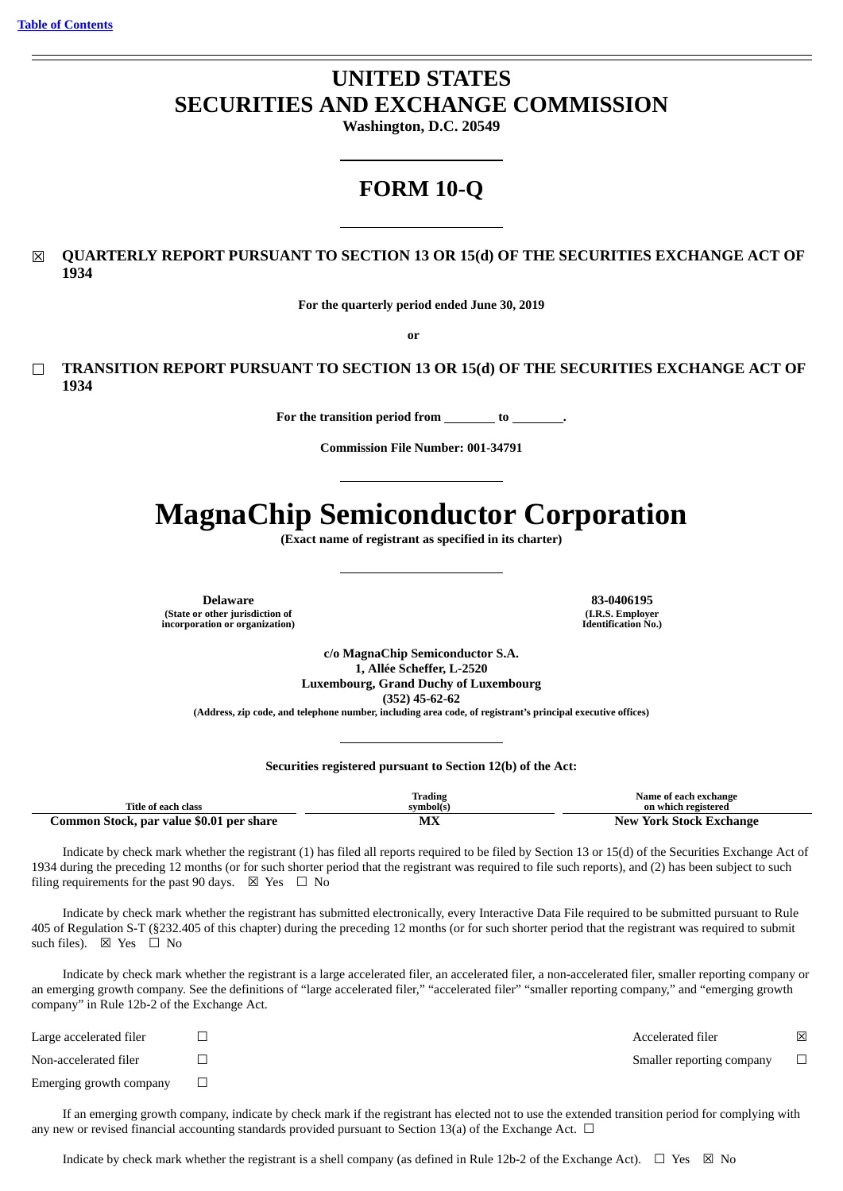# **UNITED STATES SECURITIES AND EXCHANGE COMMISSION**

**Washington, D.C. 20549**

## **FORM 10-Q**

☒ **QUARTERLY REPORT PURSUANT TO SECTION 13 OR 15(d) OF THE SECURITIES EXCHANGE ACT OF 1934**

**For the quarterly period ended June 30, 2019**

**or**

☐ **TRANSITION REPORT PURSUANT TO SECTION 13 OR 15(d) OF THE SECURITIES EXCHANGE ACT OF 1934**

**For the transition period from to .**

**Commission File Number: 001-34791**

# **MagnaChip Semiconductor Corporation**

**(Exact name of registrant as specified in its charter)**

**Delaware 83-0406195 (State or other jurisdiction of incorporation or organization)**

**(I.R.S. Employer Identification No.)**

**c/o MagnaChip Semiconductor S.A. 1, Allée Scheffer, L-2520 Luxembourg, Grand Duchy of Luxembourg (352) 45-62-62 (Address, zip code, and telephone number, including area code, of registrant's principal executive offices)**

#### **Securities registered pursuant to Section 12(b) of the Act:**

| Title of each class                      | Trading<br>symbol(s) | Name of each exchange<br>on which registered |
|------------------------------------------|----------------------|----------------------------------------------|
| Common Stock, par value \$0.01 per share | МX                   | <b>New York Stock Exchange</b>               |

Indicate by check mark whether the registrant (1) has filed all reports required to be filed by Section 13 or 15(d) of the Securities Exchange Act of 1934 during the preceding 12 months (or for such shorter period that the registrant was required to file such reports), and (2) has been subject to such filing requirements for the past 90 days.  $\boxtimes$  Yes  $\Box$  No

Indicate by check mark whether the registrant has submitted electronically, every Interactive Data File required to be submitted pursuant to Rule 405 of Regulation S-T (§232.405 of this chapter) during the preceding 12 months (or for such shorter period that the registrant was required to submit such files).  $\boxtimes$  Yes  $\Box$  No

Indicate by check mark whether the registrant is a large accelerated filer, an accelerated filer, a non-accelerated filer, smaller reporting company or an emerging growth company. See the definitions of "large accelerated filer," "accelerated filer" "smaller reporting company," and "emerging growth company" in Rule 12b-2 of the Exchange Act.

| Large accelerated filer | Accelerated filer         | ⊠ |
|-------------------------|---------------------------|---|
| Non-accelerated filer   | Smaller reporting company |   |
| Emerging growth company |                           |   |

If an emerging growth company, indicate by check mark if the registrant has elected not to use the extended transition period for complying with any new or revised financial accounting standards provided pursuant to Section 13(a) of the Exchange Act.  $\Box$ 

Indicate by check mark whether the registrant is a shell company (as defined in Rule 12b-2 of the Exchange Act).  $\Box$  Yes  $\boxtimes$  No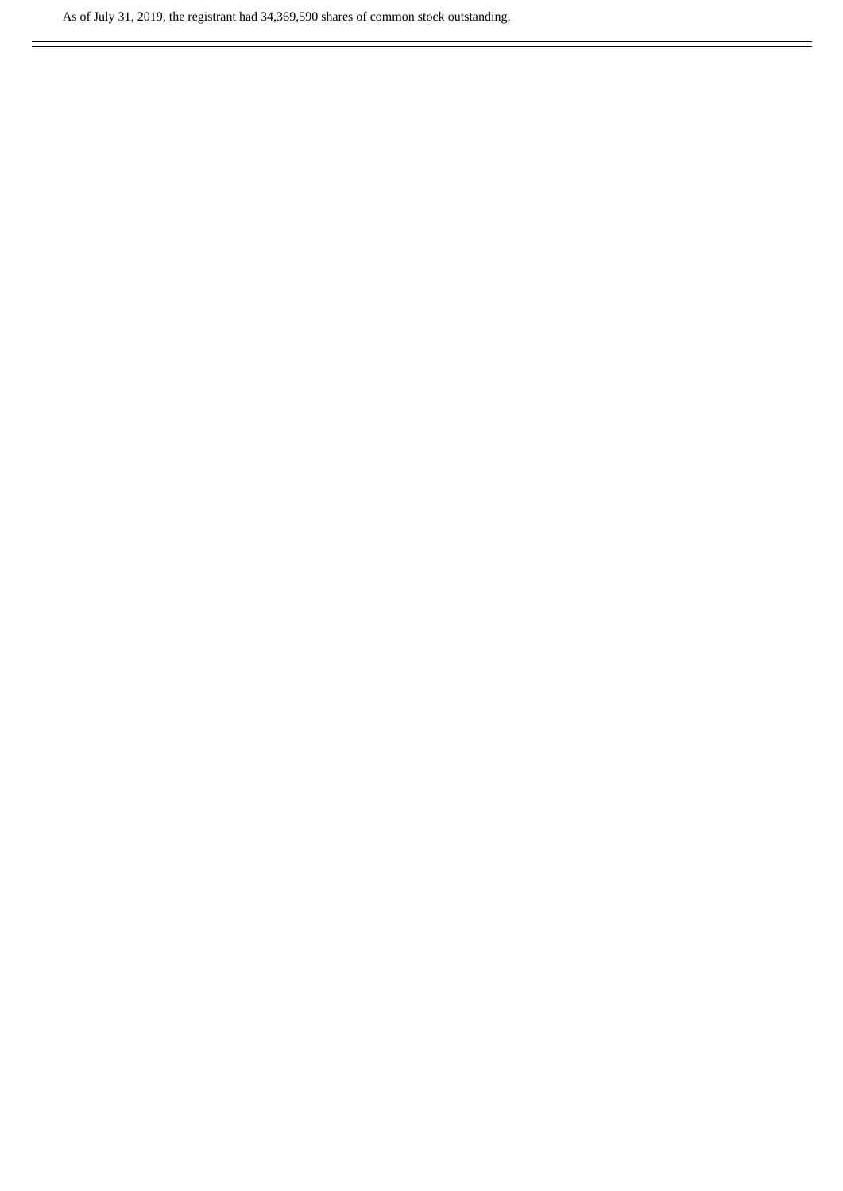As of July 31, 2019, the registrant had 34,369,590 shares of common stock outstanding.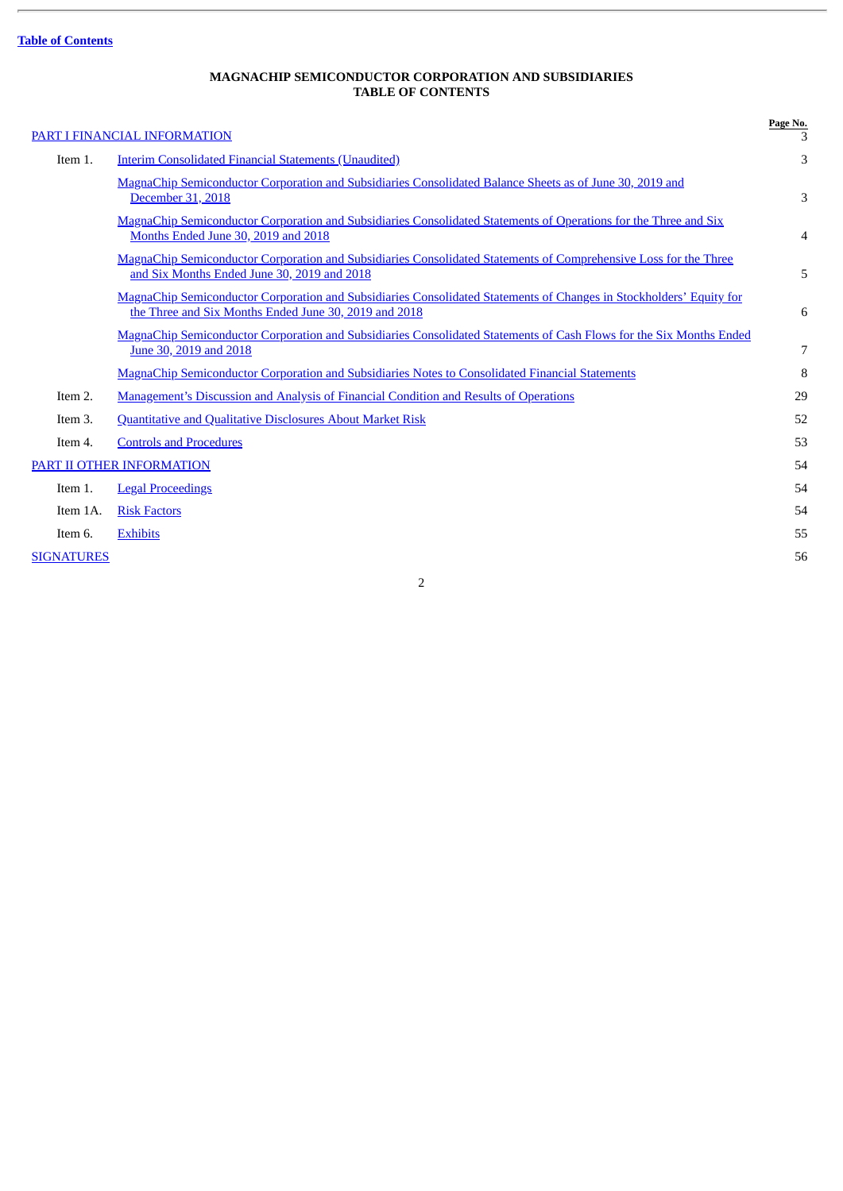### **Table of [Contents](#page-2-0)**

Ē.

#### **MAGNACHIP SEMICONDUCTOR CORPORATION AND SUBSIDIARIES TABLE OF CONTENTS**

<span id="page-2-0"></span>

|                   |                                                                                                                                                                              | Page No. |
|-------------------|------------------------------------------------------------------------------------------------------------------------------------------------------------------------------|----------|
|                   | <b>PART I FINANCIAL INFORMATION</b>                                                                                                                                          | 3        |
| Item 1.           | <b>Interim Consolidated Financial Statements (Unaudited)</b>                                                                                                                 | 3        |
|                   | MagnaChip Semiconductor Corporation and Subsidiaries Consolidated Balance Sheets as of June 30, 2019 and<br>December 31, 2018                                                | 3        |
|                   | MagnaChip Semiconductor Corporation and Subsidiaries Consolidated Statements of Operations for the Three and Six<br>Months Ended June 30, 2019 and 2018                      | 4        |
|                   | MagnaChip Semiconductor Corporation and Subsidiaries Consolidated Statements of Comprehensive Loss for the Three<br>and Six Months Ended June 30, 2019 and 2018              | 5        |
|                   | MagnaChip Semiconductor Corporation and Subsidiaries Consolidated Statements of Changes in Stockholders' Equity for<br>the Three and Six Months Ended June 30, 2019 and 2018 | 6        |
|                   | MagnaChip Semiconductor Corporation and Subsidiaries Consolidated Statements of Cash Flows for the Six Months Ended<br>June 30, 2019 and 2018                                | 7        |
|                   | <b>MagnaChip Semiconductor Corporation and Subsidiaries Notes to Consolidated Financial Statements</b>                                                                       | 8        |
| Item 2.           | <b>Management's Discussion and Analysis of Financial Condition and Results of Operations</b>                                                                                 | 29       |
| Item 3.           | <b>Quantitative and Qualitative Disclosures About Market Risk</b>                                                                                                            | 52       |
| Item 4.           | <b>Controls and Procedures</b>                                                                                                                                               | 53       |
|                   | PART II OTHER INFORMATION                                                                                                                                                    | 54       |
| Item 1.           | <b>Legal Proceedings</b>                                                                                                                                                     | 54       |
| Item 1A.          | <b>Risk Factors</b>                                                                                                                                                          | 54       |
| Item 6.           | <b>Exhibits</b>                                                                                                                                                              | 55       |
| <b>SIGNATURES</b> |                                                                                                                                                                              | 56       |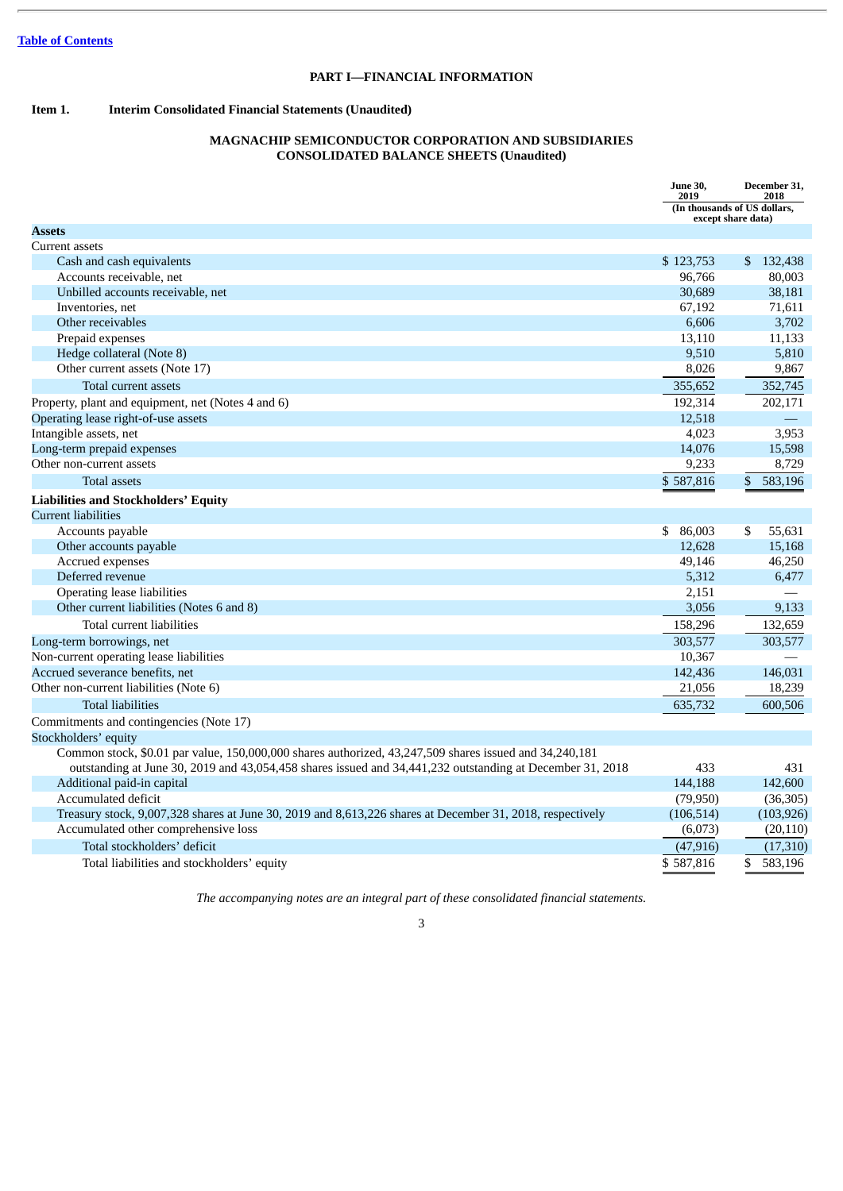### **PART I—FINANCIAL INFORMATION**

### <span id="page-3-2"></span><span id="page-3-1"></span><span id="page-3-0"></span>**Item 1. Interim Consolidated Financial Statements (Unaudited)**

### **MAGNACHIP SEMICONDUCTOR CORPORATION AND SUBSIDIARIES CONSOLIDATED BALANCE SHEETS (Unaudited)**

|                                                                                                           | <b>June 30,</b><br>2019 | December 31,<br>2018<br>(In thousands of US dollars, |
|-----------------------------------------------------------------------------------------------------------|-------------------------|------------------------------------------------------|
|                                                                                                           |                         | except share data)                                   |
| <b>Assets</b>                                                                                             |                         |                                                      |
| Current assets                                                                                            |                         |                                                      |
| Cash and cash equivalents<br>Accounts receivable, net                                                     | \$123,753<br>96.766     | \$132,438<br>80.003                                  |
| Unbilled accounts receivable, net                                                                         | 30,689                  | 38,181                                               |
| Inventories, net                                                                                          | 67,192                  | 71,611                                               |
| Other receivables                                                                                         | 6,606                   | 3,702                                                |
| Prepaid expenses                                                                                          | 13,110                  | 11,133                                               |
| Hedge collateral (Note 8)                                                                                 | 9,510                   | 5,810                                                |
| Other current assets (Note 17)                                                                            | 8,026                   | 9,867                                                |
| Total current assets                                                                                      | 355,652                 | 352,745                                              |
|                                                                                                           | 192,314                 | 202,171                                              |
| Property, plant and equipment, net (Notes 4 and 6)<br>Operating lease right-of-use assets                 | 12,518                  |                                                      |
| Intangible assets, net                                                                                    | 4,023                   | 3,953                                                |
|                                                                                                           | 14,076                  | 15,598                                               |
| Long-term prepaid expenses<br>Other non-current assets                                                    | 9,233                   | 8,729                                                |
|                                                                                                           | \$587,816               | 583,196                                              |
| <b>Total assets</b>                                                                                       |                         | $\mathbb{S}$                                         |
| <b>Liabilities and Stockholders' Equity</b>                                                               |                         |                                                      |
| <b>Current liabilities</b>                                                                                |                         |                                                      |
| Accounts payable                                                                                          | \$86,003                | \$<br>55.631                                         |
| Other accounts payable                                                                                    | 12,628                  | 15,168                                               |
| Accrued expenses                                                                                          | 49,146                  | 46,250                                               |
| Deferred revenue                                                                                          | 5,312                   | 6,477                                                |
| Operating lease liabilities                                                                               | 2,151                   |                                                      |
| Other current liabilities (Notes 6 and 8)                                                                 | 3,056                   | 9,133                                                |
| Total current liabilities                                                                                 | 158,296                 | 132,659                                              |
| Long-term borrowings, net                                                                                 | 303,577                 | 303,577                                              |
| Non-current operating lease liabilities                                                                   | 10,367                  |                                                      |
| Accrued severance benefits, net                                                                           | 142,436                 | 146,031                                              |
| Other non-current liabilities (Note 6)                                                                    | 21,056                  | 18,239                                               |
| <b>Total liabilities</b>                                                                                  | 635,732                 | 600,506                                              |
| Commitments and contingencies (Note 17)                                                                   |                         |                                                      |
| Stockholders' equity                                                                                      |                         |                                                      |
| Common stock, \$0.01 par value, 150,000,000 shares authorized, 43,247,509 shares issued and 34,240,181    |                         |                                                      |
| outstanding at June 30, 2019 and 43,054,458 shares issued and 34,441,232 outstanding at December 31, 2018 | 433                     | 431                                                  |
| Additional paid-in capital                                                                                | 144,188                 | 142,600                                              |
| Accumulated deficit                                                                                       | (79,950)                | (36, 305)                                            |
| Treasury stock, 9,007,328 shares at June 30, 2019 and 8,613,226 shares at December 31, 2018, respectively | (106, 514)              | (103, 926)                                           |
| Accumulated other comprehensive loss                                                                      | (6,073)                 | (20, 110)                                            |
| Total stockholders' deficit                                                                               | (47, 916)               | (17, 310)                                            |
| Total liabilities and stockholders' equity                                                                | \$587,816               | \$<br>583,196                                        |

*The accompanying notes are an integral part of these consolidated financial statements.*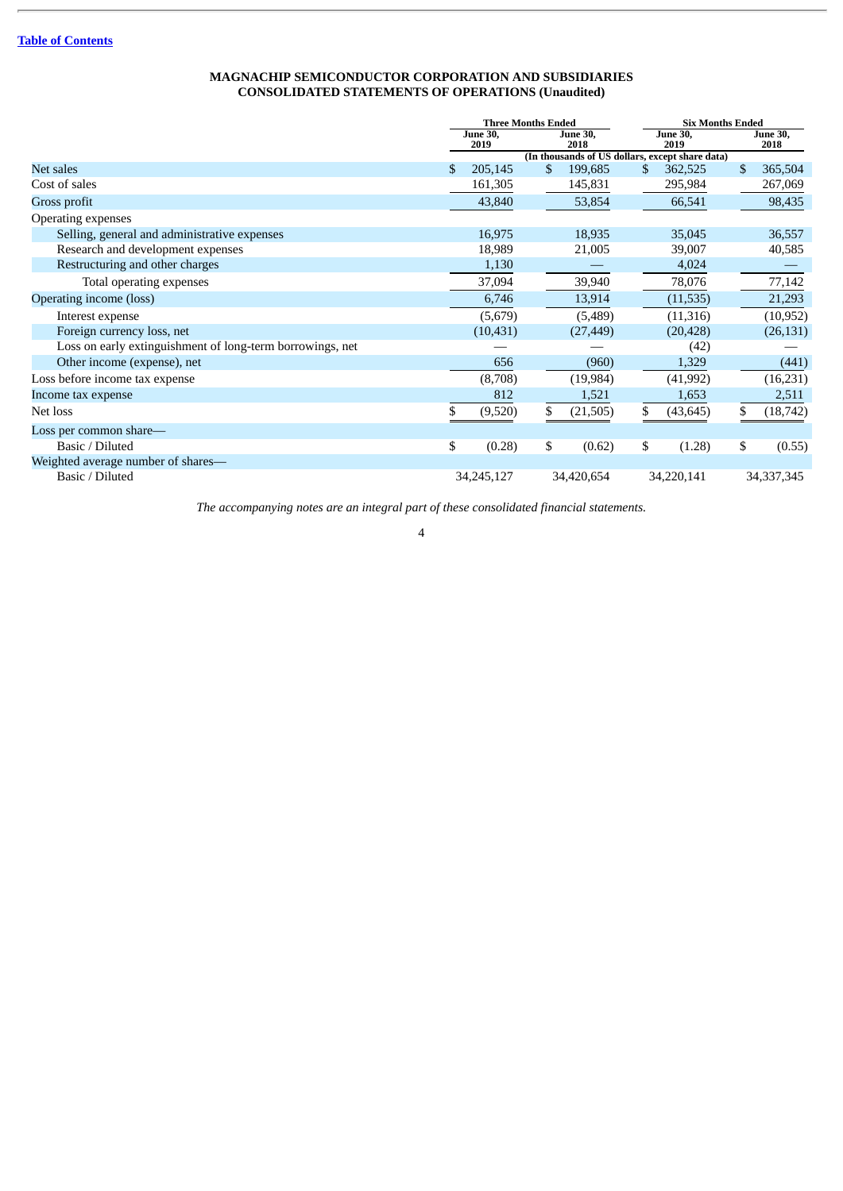### **MAGNACHIP SEMICONDUCTOR CORPORATION AND SUBSIDIARIES CONSOLIDATED STATEMENTS OF OPERATIONS (Unaudited)**

<span id="page-4-0"></span>

|                                                           |     | <b>Three Months Ended</b>                          |     |                                                 | <b>Six Months Ended</b> |            |                         |              |
|-----------------------------------------------------------|-----|----------------------------------------------------|-----|-------------------------------------------------|-------------------------|------------|-------------------------|--------------|
|                                                           |     | <b>June 30,</b><br><b>June 30,</b><br>2019<br>2018 |     | <b>June 30,</b><br>2019                         |                         |            | <b>June 30,</b><br>2018 |              |
|                                                           |     |                                                    |     | (In thousands of US dollars, except share data) |                         |            |                         |              |
| Net sales                                                 | \$. | 205,145                                            | \$. | 199,685                                         | \$                      | 362,525    | \$                      | 365,504      |
| Cost of sales                                             |     | 161,305                                            |     | 145,831                                         |                         | 295,984    |                         | 267,069      |
| Gross profit                                              |     | 43,840                                             |     | 53,854                                          |                         | 66,541     |                         | 98,435       |
| <b>Operating expenses</b>                                 |     |                                                    |     |                                                 |                         |            |                         |              |
| Selling, general and administrative expenses              |     | 16,975                                             |     | 18,935                                          |                         | 35,045     |                         | 36,557       |
| Research and development expenses                         |     | 18,989                                             |     | 21,005                                          |                         | 39,007     |                         | 40,585       |
| Restructuring and other charges                           |     | 1,130                                              |     |                                                 |                         | 4,024      |                         |              |
| Total operating expenses                                  |     | 37,094                                             |     | 39,940                                          |                         | 78,076     |                         | 77,142       |
| Operating income (loss)                                   |     | 6,746                                              |     | 13,914                                          |                         | (11, 535)  |                         | 21,293       |
| Interest expense                                          |     | (5,679)                                            |     | (5,489)                                         |                         | (11, 316)  |                         | (10, 952)    |
| Foreign currency loss, net                                |     | (10, 431)                                          |     | (27, 449)                                       |                         | (20, 428)  |                         | (26, 131)    |
| Loss on early extinguishment of long-term borrowings, net |     |                                                    |     |                                                 |                         | (42)       |                         |              |
| Other income (expense), net                               |     | 656                                                |     | (960)                                           |                         | 1,329      |                         | (441)        |
| Loss before income tax expense                            |     | (8,708)                                            |     | (19, 984)                                       |                         | (41, 992)  |                         | (16, 231)    |
| Income tax expense                                        |     | 812                                                |     | 1,521                                           |                         | 1,653      |                         | 2,511        |
| Net loss                                                  | \$  | (9,520)                                            | \$. | (21, 505)                                       | \$                      | (43, 645)  | \$                      | (18, 742)    |
| Loss per common share-                                    |     |                                                    |     |                                                 |                         |            |                         |              |
| Basic / Diluted                                           | \$  | (0.28)                                             | \$  | (0.62)                                          | \$                      | (1.28)     | \$                      | (0.55)       |
| Weighted average number of shares-                        |     |                                                    |     |                                                 |                         |            |                         |              |
| Basic / Diluted                                           |     | 34,245,127                                         |     | 34,420,654                                      |                         | 34,220,141 |                         | 34, 337, 345 |

*The accompanying notes are an integral part of these consolidated financial statements.*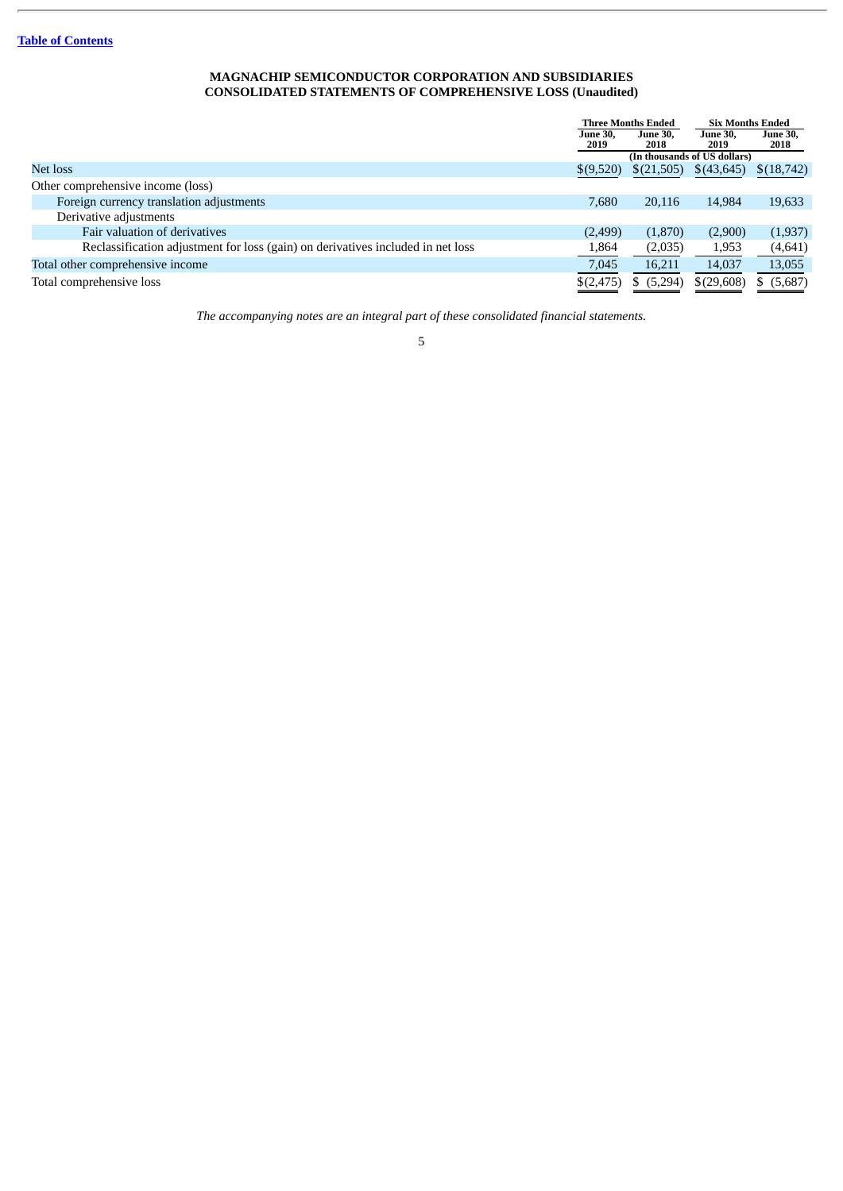#### **MAGNACHIP SEMICONDUCTOR CORPORATION AND SUBSIDIARIES CONSOLIDATED STATEMENTS OF COMPREHENSIVE LOSS (Unaudited)**

<span id="page-5-0"></span>

|                                                                                 | <b>Three Months Ended</b> |                         | <b>Six Months Ended</b>      |                         |
|---------------------------------------------------------------------------------|---------------------------|-------------------------|------------------------------|-------------------------|
|                                                                                 | <b>June 30.</b><br>2019   | <b>June 30.</b><br>2018 | <b>June 30.</b><br>2019      | <b>June 30,</b><br>2018 |
|                                                                                 |                           |                         | (In thousands of US dollars) |                         |
| Net loss                                                                        | \$(9,520)                 | \$(21,505)              | \$(43,645)                   | \$(18,742)              |
| Other comprehensive income (loss)                                               |                           |                         |                              |                         |
| Foreign currency translation adjustments                                        | 7,680                     | 20,116                  | 14,984                       | 19,633                  |
| Derivative adjustments                                                          |                           |                         |                              |                         |
| Fair valuation of derivatives                                                   | (2, 499)                  | (1,870)                 | (2,900)                      | (1,937)                 |
| Reclassification adjustment for loss (gain) on derivatives included in net loss | 1,864                     | (2,035)                 | 1,953                        | (4,641)                 |
| Total other comprehensive income                                                | 7,045                     | 16,211                  | 14,037                       | 13,055                  |
| Total comprehensive loss                                                        | \$(2,475)                 | \$ (5,294)              | \$(29,608)                   | \$ (5,687)              |

*The accompanying notes are an integral part of these consolidated financial statements.*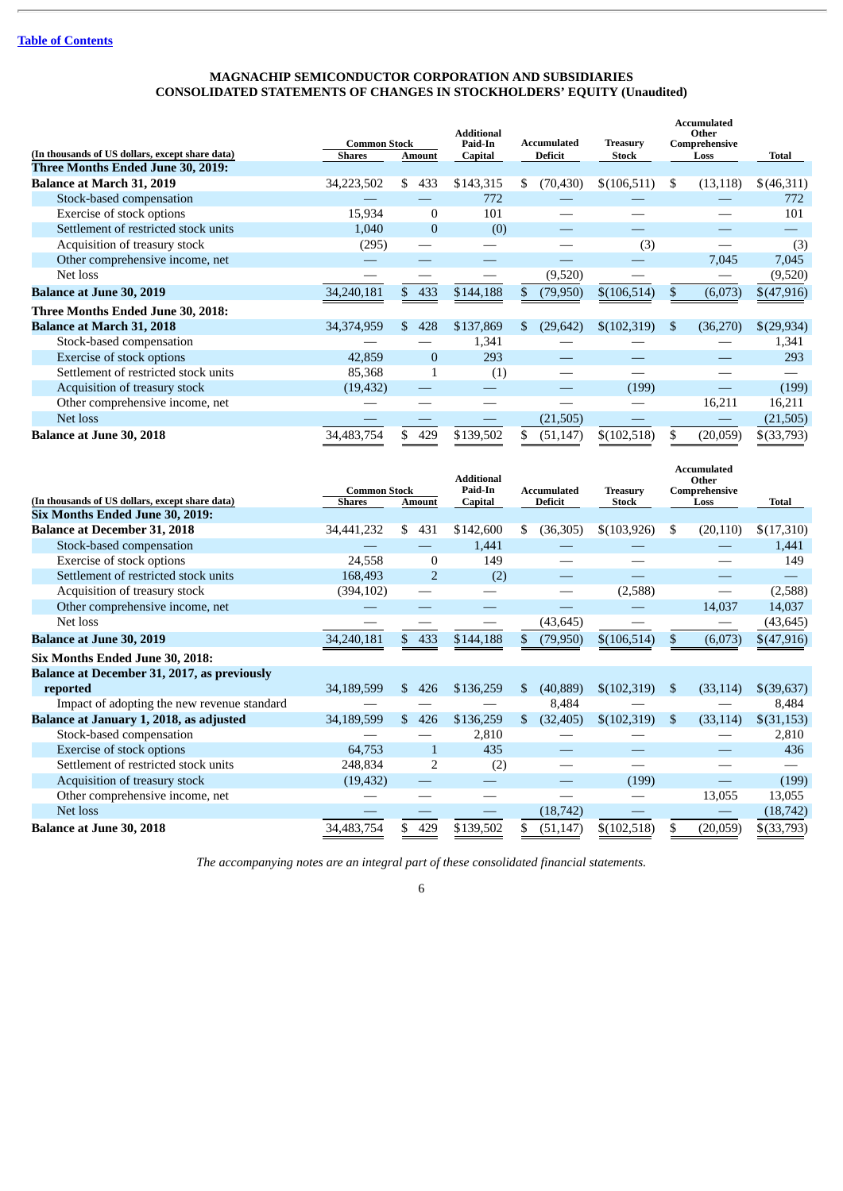### **MAGNACHIP SEMICONDUCTOR CORPORATION AND SUBSIDIARIES CONSOLIDATED STATEMENTS OF CHANGES IN STOCKHOLDERS' EQUITY (Unaudited)**

<span id="page-6-0"></span>

|                                                 | <b>Common Stock</b> |              | <b>Additional</b><br>Paid-In | Accumulated      | <b>Treasury</b> | <b>Accumulated</b><br>Other<br>Comprehensive |            |
|-------------------------------------------------|---------------------|--------------|------------------------------|------------------|-----------------|----------------------------------------------|------------|
| (In thousands of US dollars, except share data) | <b>Shares</b>       | Amount       | Capital                      | <b>Deficit</b>   | <b>Stock</b>    | Loss                                         | Total      |
| Three Months Ended June 30, 2019:               |                     |              |                              |                  |                 |                                              |            |
| Balance at March 31, 2019                       | 34,223,502          | 433<br>\$.   | \$143,315                    | (70, 430)<br>\$  | \$(106,511)     | (13, 118)<br>\$.                             | \$(46,311) |
| Stock-based compensation                        |                     |              | 772                          |                  |                 |                                              | 772        |
| Exercise of stock options                       | 15,934              | $\mathbf{0}$ | 101                          |                  |                 |                                              | 101        |
| Settlement of restricted stock units            | 1,040               | $\mathbf{0}$ | (0)                          |                  |                 |                                              |            |
| Acquisition of treasury stock                   | (295)               |              |                              |                  | (3)             |                                              | (3)        |
| Other comprehensive income, net                 |                     |              |                              |                  |                 | 7,045                                        | 7,045      |
| Net loss                                        |                     |              |                              | (9,520)          |                 | —                                            | (9,520)    |
| <b>Balance at June 30, 2019</b>                 | 34,240,181          | 433<br>\$    | \$144,188                    | (79,950)<br>S.   | \$(106,514)     | (6,073)<br>\$.                               | \$(47,916) |
| Three Months Ended June 30, 2018:               |                     |              |                              |                  |                 |                                              |            |
| <b>Balance at March 31, 2018</b>                | 34,374,959          | 428<br>\$.   | \$137,869                    | \$.<br>(29, 642) | \$(102,319)     | (36,270)<br><sup>\$</sup>                    | \$(29,934) |
| Stock-based compensation                        |                     |              | 1,341                        |                  |                 |                                              | 1,341      |
| Exercise of stock options                       | 42,859              | $\theta$     | 293                          |                  |                 |                                              | 293        |
| Settlement of restricted stock units            | 85,368              | 1            | (1)                          |                  |                 |                                              |            |
| Acquisition of treasury stock                   | (19, 432)           |              |                              |                  | (199)           |                                              | (199)      |
| Other comprehensive income, net                 |                     |              |                              |                  |                 | 16,211                                       | 16,211     |
| Net loss                                        |                     |              |                              | (21,505)         |                 |                                              | (21,505)   |
| <b>Balance at June 30, 2018</b>                 | 34,483,754          | 429          | \$139,502                    | (51, 147)        | \$(102,518)     | (20, 059)                                    | \$(33,793) |

|                                                    | <b>Common Stock</b> |        |                | <b>Additional</b><br>Paid-In |     | <b>Accumulated</b> | <b>Treasury</b> |               | Accumulated<br>Other<br>Comprehensive |              |
|----------------------------------------------------|---------------------|--------|----------------|------------------------------|-----|--------------------|-----------------|---------------|---------------------------------------|--------------|
| (In thousands of US dollars, except share data)    | <b>Shares</b>       | Amount |                | Capital                      |     | <b>Deficit</b>     | <b>Stock</b>    |               | Loss                                  | <b>Total</b> |
| Six Months Ended June 30, 2019:                    |                     |        |                |                              |     |                    |                 |               |                                       |              |
| <b>Balance at December 31, 2018</b>                | 34,441,232          | \$.    | 431            | \$142,600                    | \$  | (36,305)           | \$(103,926)     | S.            | (20, 110)                             | \$(17,310)   |
| Stock-based compensation                           |                     |        |                | 1,441                        |     |                    |                 |               |                                       | 1,441        |
| Exercise of stock options                          | 24,558              |        | $\Omega$       | 149                          |     |                    |                 |               |                                       | 149          |
| Settlement of restricted stock units               | 168,493             |        | $\overline{2}$ | (2)                          |     |                    |                 |               |                                       |              |
| Acquisition of treasury stock                      | (394, 102)          |        |                |                              |     |                    | (2,588)         |               |                                       | (2,588)      |
| Other comprehensive income, net                    |                     |        |                |                              |     |                    |                 |               | 14,037                                | 14,037       |
| Net loss                                           |                     |        |                |                              |     | (43, 645)          |                 |               |                                       | (43, 645)    |
| <b>Balance at June 30, 2019</b>                    | 34,240,181          |        | \$433          | \$144,188                    |     | (79,950)           | \$(106,514)     |               | (6,073)                               | \$(47,916)   |
| Six Months Ended June 30, 2018:                    |                     |        |                |                              |     |                    |                 |               |                                       |              |
| <b>Balance at December 31, 2017, as previously</b> |                     |        |                |                              |     |                    |                 |               |                                       |              |
| reported                                           | 34,189,599          | \$.    | 426            | \$136,259                    | \$. | (40, 889)          | \$(102,319)     | <sup>\$</sup> | (33, 114)                             | \$(39,637)   |
| Impact of adopting the new revenue standard        |                     |        |                |                              |     | 8,484              |                 |               |                                       | 8,484        |
| Balance at January 1, 2018, as adjusted            | 34,189,599          | \$     | 426            | \$136,259                    | \$. | (32, 405)          | \$(102,319)     | <sup>\$</sup> | (33, 114)                             | $$$ (31,153) |
| Stock-based compensation                           |                     |        |                | 2,810                        |     |                    |                 |               |                                       | 2,810        |
| Exercise of stock options                          | 64,753              |        |                | 435                          |     |                    |                 |               |                                       | 436          |
| Settlement of restricted stock units               | 248,834             |        | 2              | (2)                          |     |                    |                 |               |                                       |              |
| Acquisition of treasury stock                      | (19, 432)           |        |                |                              |     |                    | (199)           |               |                                       | (199)        |
| Other comprehensive income, net                    |                     |        |                |                              |     |                    |                 |               | 13,055                                | 13,055       |
| Net loss                                           |                     |        |                |                              |     | (18, 742)          |                 |               | $\overline{\phantom{0}}$              | (18, 742)    |
| <b>Balance at June 30, 2018</b>                    | 34,483,754          | \$     | 429            | \$139,502                    | \$  | (51, 147)          | \$(102,518)     | \$            | (20, 059)                             | $$$ (33,793) |

*The accompanying notes are an integral part of these consolidated financial statements.*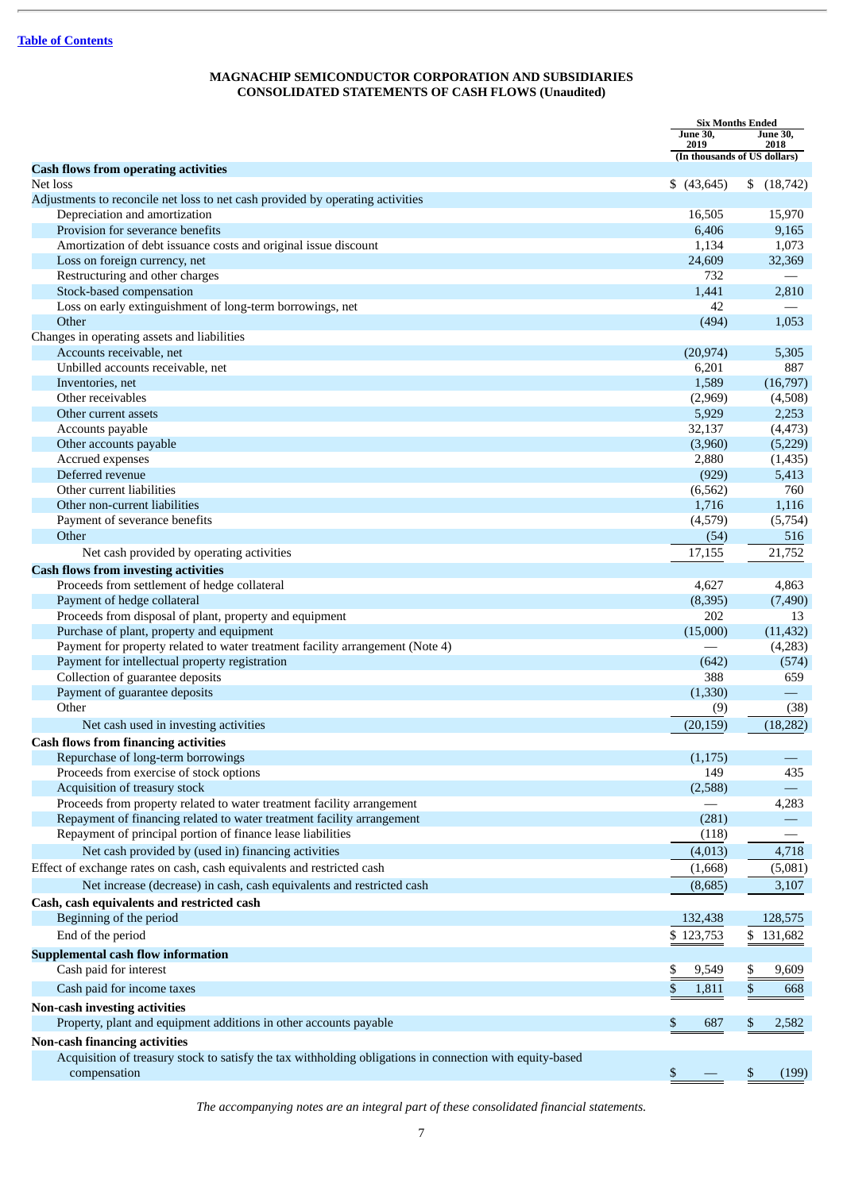### **MAGNACHIP SEMICONDUCTOR CORPORATION AND SUBSIDIARIES CONSOLIDATED STATEMENTS OF CASH FLOWS (Unaudited)**

<span id="page-7-0"></span>

|                                                                                                          | <b>Six Months Ended</b>      |                          |
|----------------------------------------------------------------------------------------------------------|------------------------------|--------------------------|
|                                                                                                          | <b>June 30,</b><br>2019      | <b>June 30,</b><br>2018  |
|                                                                                                          | (In thousands of US dollars) |                          |
| <b>Cash flows from operating activities</b>                                                              |                              |                          |
| Net loss                                                                                                 | \$ (43, 645)                 | \$(18,742)               |
| Adjustments to reconcile net loss to net cash provided by operating activities                           |                              |                          |
| Depreciation and amortization                                                                            | 16,505                       | 15,970                   |
| Provision for severance benefits<br>Amortization of debt issuance costs and original issue discount      | 6,406<br>1,134               | 9,165<br>1,073           |
| Loss on foreign currency, net                                                                            | 24,609                       | 32,369                   |
| Restructuring and other charges                                                                          | 732                          |                          |
| Stock-based compensation                                                                                 | 1,441                        | 2,810                    |
| Loss on early extinguishment of long-term borrowings, net                                                | 42                           |                          |
| Other                                                                                                    | (494)                        | 1,053                    |
| Changes in operating assets and liabilities                                                              |                              |                          |
| Accounts receivable, net                                                                                 | (20, 974)                    | 5,305                    |
| Unbilled accounts receivable, net                                                                        | 6,201                        | 887                      |
| Inventories, net                                                                                         | 1,589                        | (16,797)                 |
| Other receivables                                                                                        | (2,969)                      | (4,508)                  |
| Other current assets                                                                                     | 5,929                        | 2,253                    |
| Accounts payable                                                                                         | 32,137                       | (4, 473)                 |
| Other accounts payable                                                                                   | (3,960)                      | (5,229)                  |
| Accrued expenses                                                                                         | 2,880                        | (1, 435)                 |
| Deferred revenue                                                                                         | (929)                        | 5,413                    |
| Other current liabilities                                                                                | (6, 562)                     | 760                      |
| Other non-current liabilities                                                                            | 1,716                        | 1,116                    |
| Payment of severance benefits                                                                            | (4,579)                      | (5,754)                  |
| Other                                                                                                    | (54)                         | 516                      |
| Net cash provided by operating activities                                                                | 17,155                       | 21,752                   |
| <b>Cash flows from investing activities</b>                                                              |                              |                          |
| Proceeds from settlement of hedge collateral                                                             | 4,627                        | 4,863                    |
| Payment of hedge collateral                                                                              | (8, 395)                     | (7,490)                  |
| Proceeds from disposal of plant, property and equipment                                                  | 202                          | 13                       |
| Purchase of plant, property and equipment                                                                | (15,000)                     | (11, 432)                |
| Payment for property related to water treatment facility arrangement (Note 4)                            |                              | (4,283)                  |
| Payment for intellectual property registration                                                           | (642)                        | (574)                    |
| Collection of guarantee deposits                                                                         | 388                          | 659                      |
| Payment of guarantee deposits                                                                            | (1, 330)                     |                          |
| Other                                                                                                    | (9)                          | (38)                     |
| Net cash used in investing activities                                                                    | (20, 159)                    | (18, 282)                |
| <b>Cash flows from financing activities</b>                                                              |                              |                          |
| Repurchase of long-term borrowings                                                                       | (1, 175)                     |                          |
| Proceeds from exercise of stock options                                                                  | 149                          | 435                      |
| Acquisition of treasury stock                                                                            | (2,588)                      |                          |
| Proceeds from property related to water treatment facility arrangement                                   |                              | 4,283                    |
| Repayment of financing related to water treatment facility arrangement                                   | (281)                        |                          |
| Repayment of principal portion of finance lease liabilities                                              | (118)                        | $\overline{\phantom{0}}$ |
| Net cash provided by (used in) financing activities                                                      | (4,013)                      | 4,718                    |
| Effect of exchange rates on cash, cash equivalents and restricted cash                                   | (1,668)                      | (5,081)                  |
| Net increase (decrease) in cash, cash equivalents and restricted cash                                    | (8,685)                      | 3,107                    |
| Cash, cash equivalents and restricted cash                                                               |                              |                          |
| Beginning of the period                                                                                  | 132,438                      | 128,575                  |
| End of the period                                                                                        | \$123,753                    | \$131,682                |
| <b>Supplemental cash flow information</b>                                                                |                              |                          |
| Cash paid for interest                                                                                   | 9,549<br>\$                  | \$<br>9,609              |
|                                                                                                          |                              |                          |
| Cash paid for income taxes                                                                               | 1,811<br>\$                  | \$<br>668                |
| <b>Non-cash investing activities</b>                                                                     |                              |                          |
| Property, plant and equipment additions in other accounts payable                                        | \$<br>687                    | \$<br>2,582              |
| <b>Non-cash financing activities</b>                                                                     |                              |                          |
| Acquisition of treasury stock to satisfy the tax withholding obligations in connection with equity-based |                              |                          |
| compensation                                                                                             | \$                           | \$<br>(199)              |
|                                                                                                          |                              |                          |

*The accompanying notes are an integral part of these consolidated financial statements.*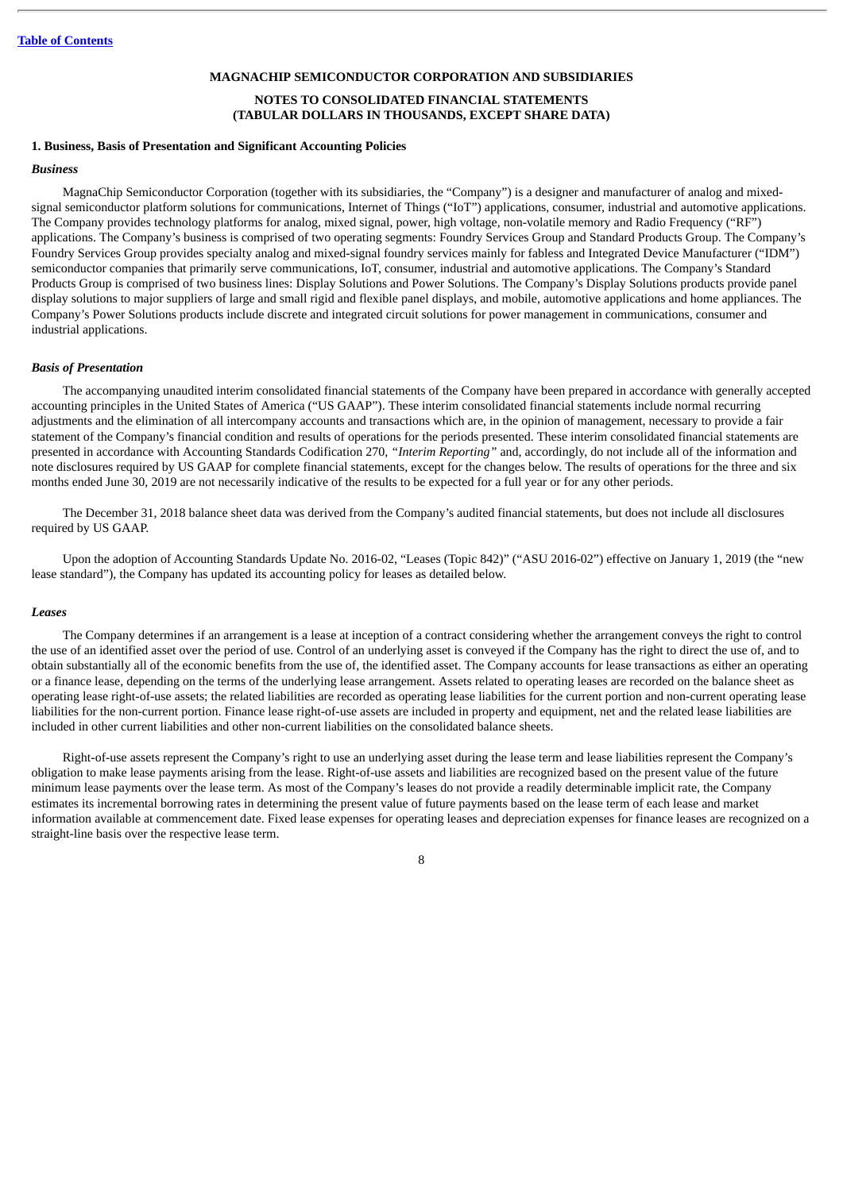### **MAGNACHIP SEMICONDUCTOR CORPORATION AND SUBSIDIARIES NOTES TO CONSOLIDATED FINANCIAL STATEMENTS (TABULAR DOLLARS IN THOUSANDS, EXCEPT SHARE DATA)**

### <span id="page-8-0"></span>**1. Business, Basis of Presentation and Significant Accounting Policies**

#### *Business*

MagnaChip Semiconductor Corporation (together with its subsidiaries, the "Company") is a designer and manufacturer of analog and mixedsignal semiconductor platform solutions for communications, Internet of Things ("IoT") applications, consumer, industrial and automotive applications. The Company provides technology platforms for analog, mixed signal, power, high voltage, non-volatile memory and Radio Frequency ("RF") applications. The Company's business is comprised of two operating segments: Foundry Services Group and Standard Products Group. The Company's Foundry Services Group provides specialty analog and mixed-signal foundry services mainly for fabless and Integrated Device Manufacturer ("IDM") semiconductor companies that primarily serve communications, IoT, consumer, industrial and automotive applications. The Company's Standard Products Group is comprised of two business lines: Display Solutions and Power Solutions. The Company's Display Solutions products provide panel display solutions to major suppliers of large and small rigid and flexible panel displays, and mobile, automotive applications and home appliances. The Company's Power Solutions products include discrete and integrated circuit solutions for power management in communications, consumer and industrial applications.

#### *Basis of Presentation*

The accompanying unaudited interim consolidated financial statements of the Company have been prepared in accordance with generally accepted accounting principles in the United States of America ("US GAAP"). These interim consolidated financial statements include normal recurring adjustments and the elimination of all intercompany accounts and transactions which are, in the opinion of management, necessary to provide a fair statement of the Company's financial condition and results of operations for the periods presented. These interim consolidated financial statements are presented in accordance with Accounting Standards Codification 270, *"Interim Reporting"* and, accordingly, do not include all of the information and note disclosures required by US GAAP for complete financial statements, except for the changes below. The results of operations for the three and six months ended June 30, 2019 are not necessarily indicative of the results to be expected for a full year or for any other periods.

The December 31, 2018 balance sheet data was derived from the Company's audited financial statements, but does not include all disclosures required by US GAAP.

Upon the adoption of Accounting Standards Update No. 2016-02, "Leases (Topic 842)" ("ASU 2016-02") effective on January 1, 2019 (the "new lease standard"), the Company has updated its accounting policy for leases as detailed below.

#### *Leases*

The Company determines if an arrangement is a lease at inception of a contract considering whether the arrangement conveys the right to control the use of an identified asset over the period of use. Control of an underlying asset is conveyed if the Company has the right to direct the use of, and to obtain substantially all of the economic benefits from the use of, the identified asset. The Company accounts for lease transactions as either an operating or a finance lease, depending on the terms of the underlying lease arrangement. Assets related to operating leases are recorded on the balance sheet as operating lease right-of-use assets; the related liabilities are recorded as operating lease liabilities for the current portion and non-current operating lease liabilities for the non-current portion. Finance lease right-of-use assets are included in property and equipment, net and the related lease liabilities are included in other current liabilities and other non-current liabilities on the consolidated balance sheets.

Right-of-use assets represent the Company's right to use an underlying asset during the lease term and lease liabilities represent the Company's obligation to make lease payments arising from the lease. Right-of-use assets and liabilities are recognized based on the present value of the future minimum lease payments over the lease term. As most of the Company's leases do not provide a readily determinable implicit rate, the Company estimates its incremental borrowing rates in determining the present value of future payments based on the lease term of each lease and market information available at commencement date. Fixed lease expenses for operating leases and depreciation expenses for finance leases are recognized on a straight-line basis over the respective lease term.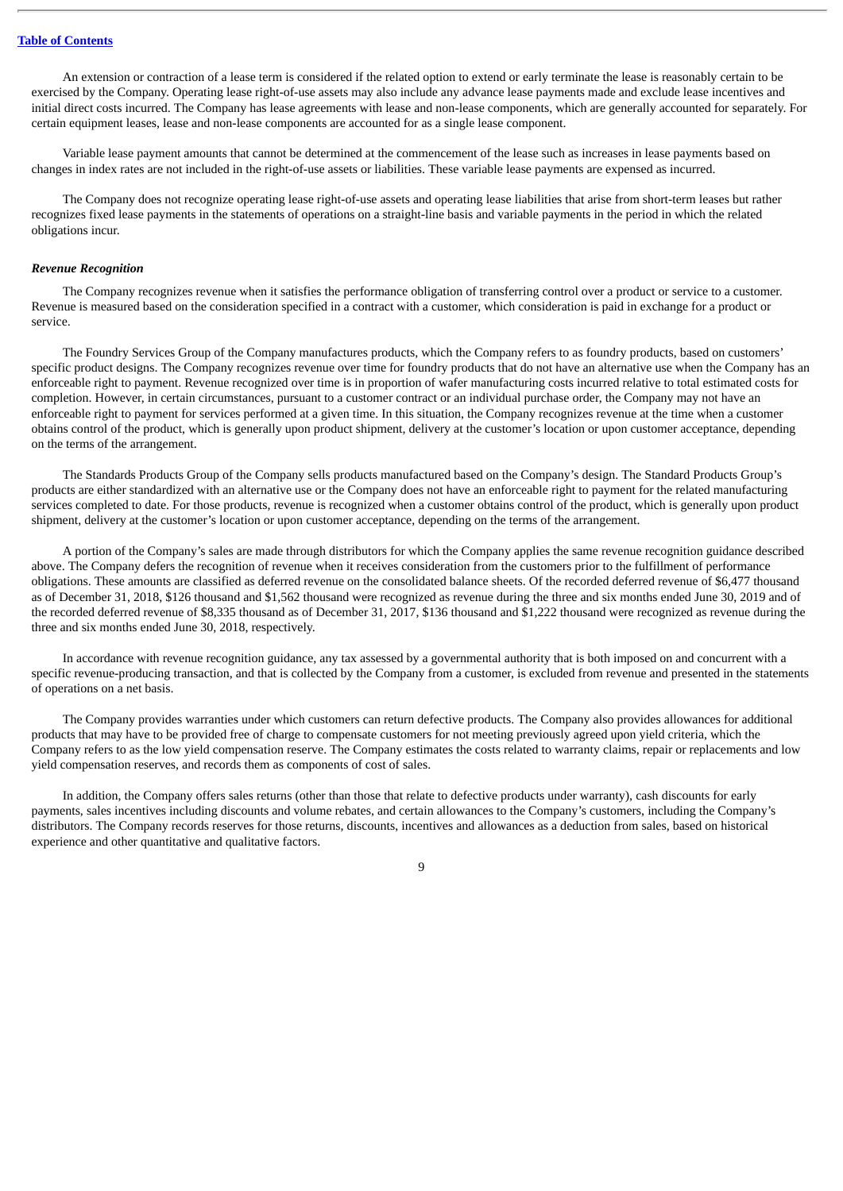An extension or contraction of a lease term is considered if the related option to extend or early terminate the lease is reasonably certain to be exercised by the Company. Operating lease right-of-use assets may also include any advance lease payments made and exclude lease incentives and initial direct costs incurred. The Company has lease agreements with lease and non-lease components, which are generally accounted for separately. For certain equipment leases, lease and non-lease components are accounted for as a single lease component.

Variable lease payment amounts that cannot be determined at the commencement of the lease such as increases in lease payments based on changes in index rates are not included in the right-of-use assets or liabilities. These variable lease payments are expensed as incurred.

The Company does not recognize operating lease right-of-use assets and operating lease liabilities that arise from short-term leases but rather recognizes fixed lease payments in the statements of operations on a straight-line basis and variable payments in the period in which the related obligations incur.

#### *Revenue Recognition*

The Company recognizes revenue when it satisfies the performance obligation of transferring control over a product or service to a customer. Revenue is measured based on the consideration specified in a contract with a customer, which consideration is paid in exchange for a product or service.

The Foundry Services Group of the Company manufactures products, which the Company refers to as foundry products, based on customers' specific product designs. The Company recognizes revenue over time for foundry products that do not have an alternative use when the Company has an enforceable right to payment. Revenue recognized over time is in proportion of wafer manufacturing costs incurred relative to total estimated costs for completion. However, in certain circumstances, pursuant to a customer contract or an individual purchase order, the Company may not have an enforceable right to payment for services performed at a given time. In this situation, the Company recognizes revenue at the time when a customer obtains control of the product, which is generally upon product shipment, delivery at the customer's location or upon customer acceptance, depending on the terms of the arrangement.

The Standards Products Group of the Company sells products manufactured based on the Company's design. The Standard Products Group's products are either standardized with an alternative use or the Company does not have an enforceable right to payment for the related manufacturing services completed to date. For those products, revenue is recognized when a customer obtains control of the product, which is generally upon product shipment, delivery at the customer's location or upon customer acceptance, depending on the terms of the arrangement.

A portion of the Company's sales are made through distributors for which the Company applies the same revenue recognition guidance described above. The Company defers the recognition of revenue when it receives consideration from the customers prior to the fulfillment of performance obligations. These amounts are classified as deferred revenue on the consolidated balance sheets. Of the recorded deferred revenue of \$6,477 thousand as of December 31, 2018, \$126 thousand and \$1,562 thousand were recognized as revenue during the three and six months ended June 30, 2019 and of the recorded deferred revenue of \$8,335 thousand as of December 31, 2017, \$136 thousand and \$1,222 thousand were recognized as revenue during the three and six months ended June 30, 2018, respectively.

In accordance with revenue recognition guidance, any tax assessed by a governmental authority that is both imposed on and concurrent with a specific revenue-producing transaction, and that is collected by the Company from a customer, is excluded from revenue and presented in the statements of operations on a net basis.

The Company provides warranties under which customers can return defective products. The Company also provides allowances for additional products that may have to be provided free of charge to compensate customers for not meeting previously agreed upon yield criteria, which the Company refers to as the low yield compensation reserve. The Company estimates the costs related to warranty claims, repair or replacements and low yield compensation reserves, and records them as components of cost of sales.

In addition, the Company offers sales returns (other than those that relate to defective products under warranty), cash discounts for early payments, sales incentives including discounts and volume rebates, and certain allowances to the Company's customers, including the Company's distributors. The Company records reserves for those returns, discounts, incentives and allowances as a deduction from sales, based on historical experience and other quantitative and qualitative factors.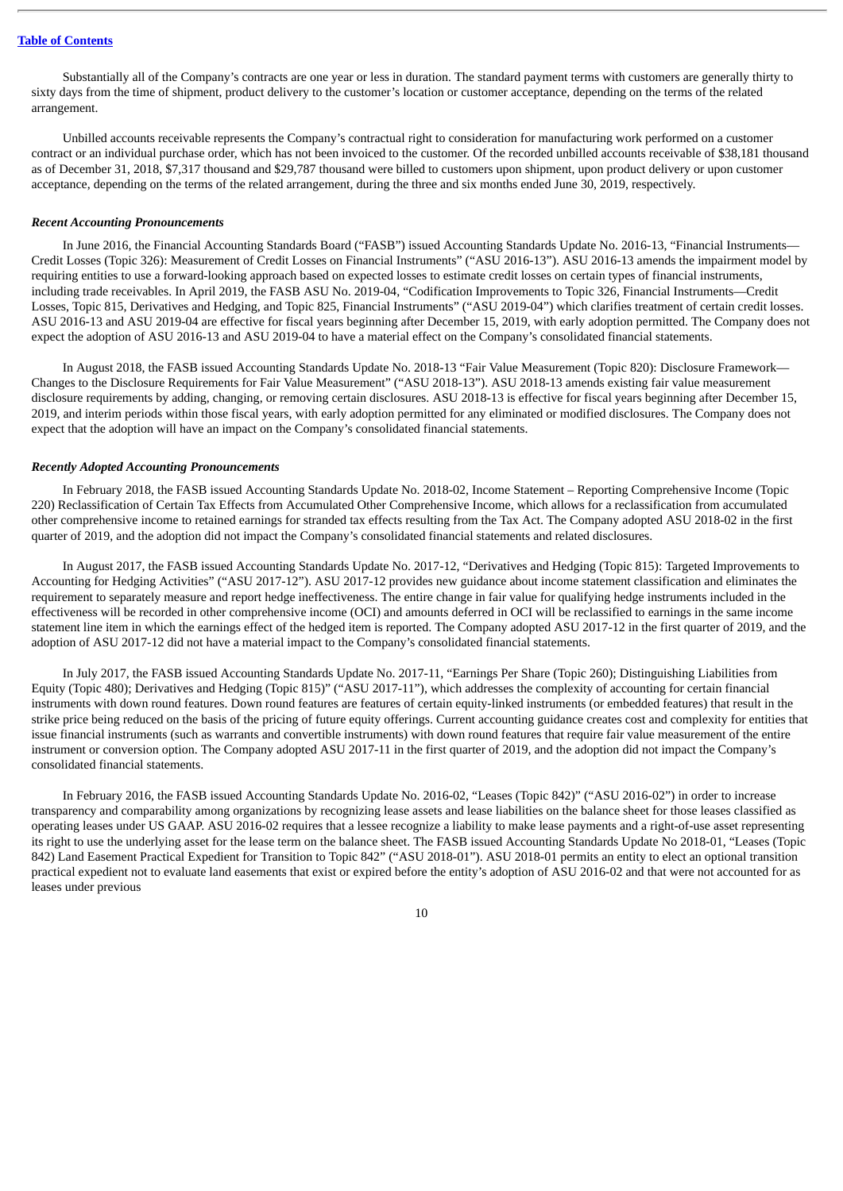Substantially all of the Company's contracts are one year or less in duration. The standard payment terms with customers are generally thirty to sixty days from the time of shipment, product delivery to the customer's location or customer acceptance, depending on the terms of the related arrangement.

Unbilled accounts receivable represents the Company's contractual right to consideration for manufacturing work performed on a customer contract or an individual purchase order, which has not been invoiced to the customer. Of the recorded unbilled accounts receivable of \$38,181 thousand as of December 31, 2018, \$7,317 thousand and \$29,787 thousand were billed to customers upon shipment, upon product delivery or upon customer acceptance, depending on the terms of the related arrangement, during the three and six months ended June 30, 2019, respectively.

#### *Recent Accounting Pronouncements*

In June 2016, the Financial Accounting Standards Board ("FASB") issued Accounting Standards Update No. 2016-13, "Financial Instruments— Credit Losses (Topic 326): Measurement of Credit Losses on Financial Instruments" ("ASU 2016-13"). ASU 2016-13 amends the impairment model by requiring entities to use a forward-looking approach based on expected losses to estimate credit losses on certain types of financial instruments, including trade receivables. In April 2019, the FASB ASU No. 2019-04, "Codification Improvements to Topic 326, Financial Instruments—Credit Losses, Topic 815, Derivatives and Hedging, and Topic 825, Financial Instruments" ("ASU 2019-04") which clarifies treatment of certain credit losses. ASU 2016-13 and ASU 2019-04 are effective for fiscal years beginning after December 15, 2019, with early adoption permitted. The Company does not expect the adoption of ASU 2016-13 and ASU 2019-04 to have a material effect on the Company's consolidated financial statements.

In August 2018, the FASB issued Accounting Standards Update No. 2018-13 "Fair Value Measurement (Topic 820): Disclosure Framework— Changes to the Disclosure Requirements for Fair Value Measurement" ("ASU 2018-13"). ASU 2018-13 amends existing fair value measurement disclosure requirements by adding, changing, or removing certain disclosures. ASU 2018-13 is effective for fiscal years beginning after December 15, 2019, and interim periods within those fiscal years, with early adoption permitted for any eliminated or modified disclosures. The Company does not expect that the adoption will have an impact on the Company's consolidated financial statements.

#### *Recently Adopted Accounting Pronouncements*

In February 2018, the FASB issued Accounting Standards Update No. 2018-02, Income Statement – Reporting Comprehensive Income (Topic 220) Reclassification of Certain Tax Effects from Accumulated Other Comprehensive Income, which allows for a reclassification from accumulated other comprehensive income to retained earnings for stranded tax effects resulting from the Tax Act. The Company adopted ASU 2018-02 in the first quarter of 2019, and the adoption did not impact the Company's consolidated financial statements and related disclosures.

In August 2017, the FASB issued Accounting Standards Update No. 2017-12, "Derivatives and Hedging (Topic 815): Targeted Improvements to Accounting for Hedging Activities" ("ASU 2017-12"). ASU 2017-12 provides new guidance about income statement classification and eliminates the requirement to separately measure and report hedge ineffectiveness. The entire change in fair value for qualifying hedge instruments included in the effectiveness will be recorded in other comprehensive income (OCI) and amounts deferred in OCI will be reclassified to earnings in the same income statement line item in which the earnings effect of the hedged item is reported. The Company adopted ASU 2017-12 in the first quarter of 2019, and the adoption of ASU 2017-12 did not have a material impact to the Company's consolidated financial statements.

In July 2017, the FASB issued Accounting Standards Update No. 2017-11, "Earnings Per Share (Topic 260); Distinguishing Liabilities from Equity (Topic 480); Derivatives and Hedging (Topic 815)" ("ASU 2017-11"), which addresses the complexity of accounting for certain financial instruments with down round features. Down round features are features of certain equity-linked instruments (or embedded features) that result in the strike price being reduced on the basis of the pricing of future equity offerings. Current accounting guidance creates cost and complexity for entities that issue financial instruments (such as warrants and convertible instruments) with down round features that require fair value measurement of the entire instrument or conversion option. The Company adopted ASU 2017-11 in the first quarter of 2019, and the adoption did not impact the Company's consolidated financial statements.

In February 2016, the FASB issued Accounting Standards Update No. 2016-02, "Leases (Topic 842)" ("ASU 2016-02") in order to increase transparency and comparability among organizations by recognizing lease assets and lease liabilities on the balance sheet for those leases classified as operating leases under US GAAP. ASU 2016-02 requires that a lessee recognize a liability to make lease payments and a right-of-use asset representing its right to use the underlying asset for the lease term on the balance sheet. The FASB issued Accounting Standards Update No 2018-01, "Leases (Topic 842) Land Easement Practical Expedient for Transition to Topic 842" ("ASU 2018-01"). ASU 2018-01 permits an entity to elect an optional transition practical expedient not to evaluate land easements that exist or expired before the entity's adoption of ASU 2016-02 and that were not accounted for as leases under previous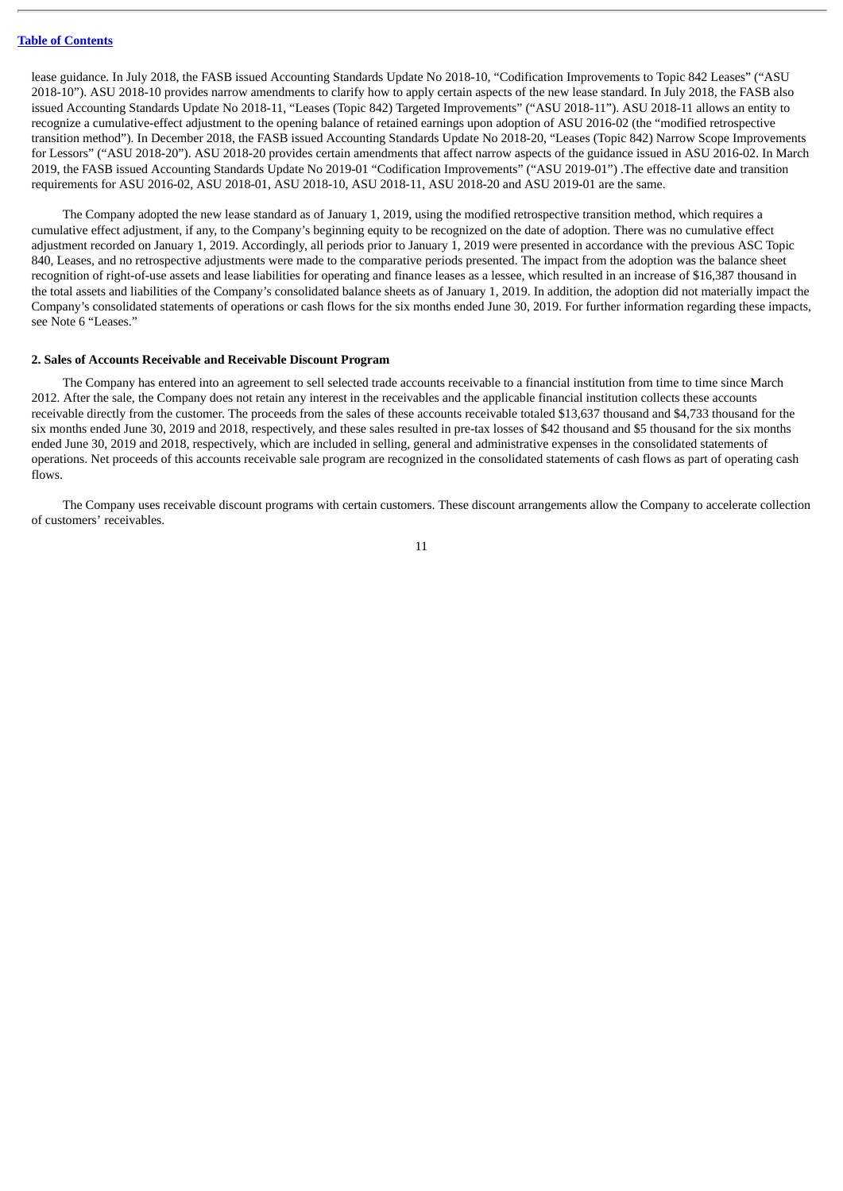lease guidance. In July 2018, the FASB issued Accounting Standards Update No 2018-10, "Codification Improvements to Topic 842 Leases" ("ASU 2018-10"). ASU 2018-10 provides narrow amendments to clarify how to apply certain aspects of the new lease standard. In July 2018, the FASB also issued Accounting Standards Update No 2018-11, "Leases (Topic 842) Targeted Improvements" ("ASU 2018-11"). ASU 2018-11 allows an entity to recognize a cumulative-effect adjustment to the opening balance of retained earnings upon adoption of ASU 2016-02 (the "modified retrospective transition method"). In December 2018, the FASB issued Accounting Standards Update No 2018-20, "Leases (Topic 842) Narrow Scope Improvements for Lessors" ("ASU 2018-20"). ASU 2018-20 provides certain amendments that affect narrow aspects of the guidance issued in ASU 2016-02. In March 2019, the FASB issued Accounting Standards Update No 2019-01 "Codification Improvements" ("ASU 2019-01") .The effective date and transition requirements for ASU 2016-02, ASU 2018-01, ASU 2018-10, ASU 2018-11, ASU 2018-20 and ASU 2019-01 are the same.

The Company adopted the new lease standard as of January 1, 2019, using the modified retrospective transition method, which requires a cumulative effect adjustment, if any, to the Company's beginning equity to be recognized on the date of adoption. There was no cumulative effect adjustment recorded on January 1, 2019. Accordingly, all periods prior to January 1, 2019 were presented in accordance with the previous ASC Topic 840, Leases, and no retrospective adjustments were made to the comparative periods presented. The impact from the adoption was the balance sheet recognition of right-of-use assets and lease liabilities for operating and finance leases as a lessee, which resulted in an increase of \$16,387 thousand in the total assets and liabilities of the Company's consolidated balance sheets as of January 1, 2019. In addition, the adoption did not materially impact the Company's consolidated statements of operations or cash flows for the six months ended June 30, 2019. For further information regarding these impacts, see Note 6 "Leases."

#### **2. Sales of Accounts Receivable and Receivable Discount Program**

The Company has entered into an agreement to sell selected trade accounts receivable to a financial institution from time to time since March 2012. After the sale, the Company does not retain any interest in the receivables and the applicable financial institution collects these accounts receivable directly from the customer. The proceeds from the sales of these accounts receivable totaled \$13,637 thousand and \$4,733 thousand for the six months ended June 30, 2019 and 2018, respectively, and these sales resulted in pre-tax losses of \$42 thousand and \$5 thousand for the six months ended June 30, 2019 and 2018, respectively, which are included in selling, general and administrative expenses in the consolidated statements of operations. Net proceeds of this accounts receivable sale program are recognized in the consolidated statements of cash flows as part of operating cash flows.

The Company uses receivable discount programs with certain customers. These discount arrangements allow the Company to accelerate collection of customers' receivables.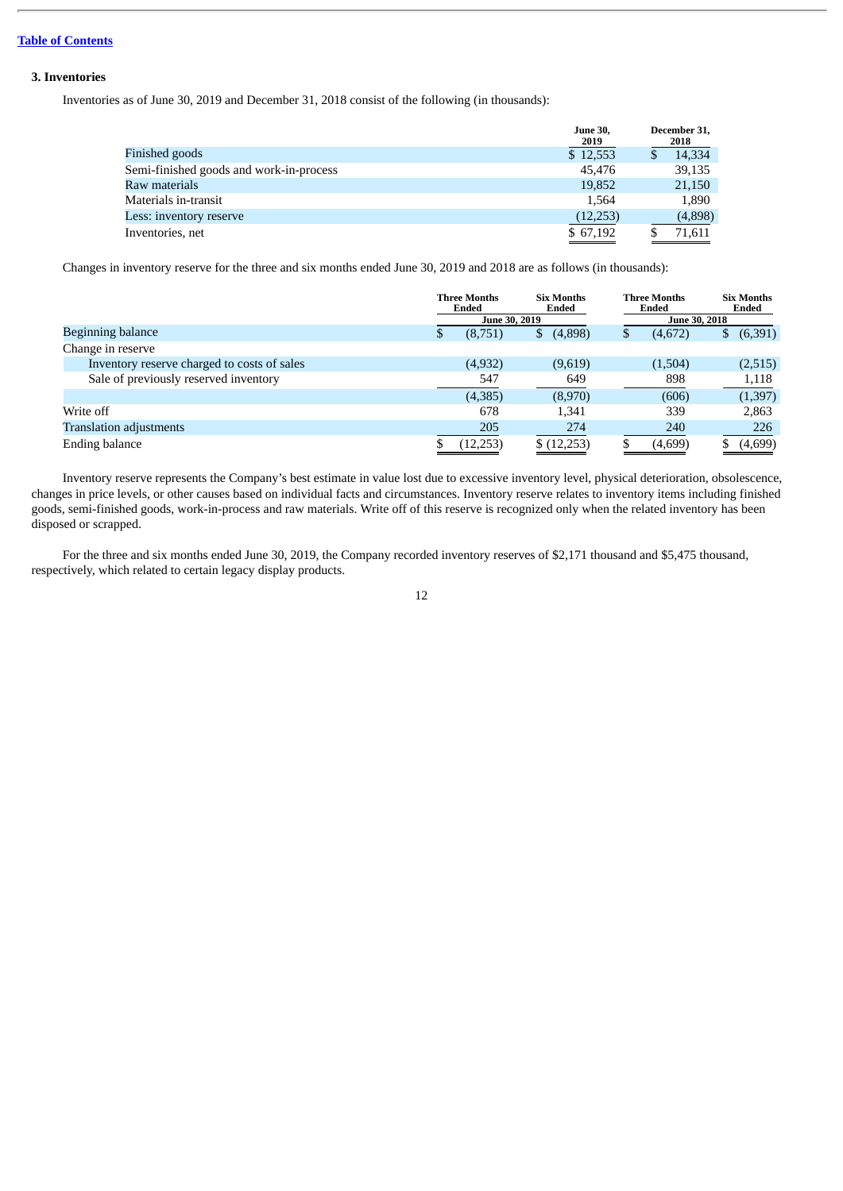### **Table of [Contents](#page-2-0)**

### **3. Inventories**

Inventories as of June 30, 2019 and December 31, 2018 consist of the following (in thousands):

|                                         | <b>June 30,</b><br>2019 | December 31,<br>2018 |
|-----------------------------------------|-------------------------|----------------------|
| Finished goods                          | \$12,553                | 14,334               |
| Semi-finished goods and work-in-process | 45.476                  | 39,135               |
| Raw materials                           | 19,852                  | 21,150               |
| Materials in-transit                    | 1.564                   | 1,890                |
| Less: inventory reserve                 | (12,253)                | (4,898)              |
| Inventories, net                        | \$67,192                | 71,611               |

Changes in inventory reserve for the three and six months ended June 30, 2019 and 2018 are as follows (in thousands):

|                                             |   | <b>Three Months</b><br><b>Ended</b> | <b>Six Months</b><br>Ended |               | <b>Three Months</b><br>Ended |    | <b>Six Months</b><br>Ended |  |
|---------------------------------------------|---|-------------------------------------|----------------------------|---------------|------------------------------|----|----------------------------|--|
|                                             |   | June 30, 2019                       |                            | June 30, 2018 |                              |    |                            |  |
| Beginning balance                           | J | (8,751)                             | (4,898)<br>\$              |               | (4,672)                      | \$ | (6,391)                    |  |
| Change in reserve                           |   |                                     |                            |               |                              |    |                            |  |
| Inventory reserve charged to costs of sales |   | (4, 932)                            | (9,619)                    |               | (1,504)                      |    | (2,515)                    |  |
| Sale of previously reserved inventory       |   | 547                                 | 649                        |               | 898                          |    | 1,118                      |  |
|                                             |   | (4,385)                             | (8,970)                    |               | (606)                        |    | (1, 397)                   |  |
| Write off                                   |   | 678                                 | 1,341                      |               | 339                          |    | 2,863                      |  |
| <b>Translation adjustments</b>              |   | 205                                 | 274                        |               | 240                          |    | 226                        |  |
| Ending balance                              |   | (12, 253)                           | \$(12,253)                 |               | (4,699)                      |    | (4,699)                    |  |

Inventory reserve represents the Company's best estimate in value lost due to excessive inventory level, physical deterioration, obsolescence, changes in price levels, or other causes based on individual facts and circumstances. Inventory reserve relates to inventory items including finished goods, semi-finished goods, work-in-process and raw materials. Write off of this reserve is recognized only when the related inventory has been disposed or scrapped.

For the three and six months ended June 30, 2019, the Company recorded inventory reserves of \$2,171 thousand and \$5,475 thousand, respectively, which related to certain legacy display products.

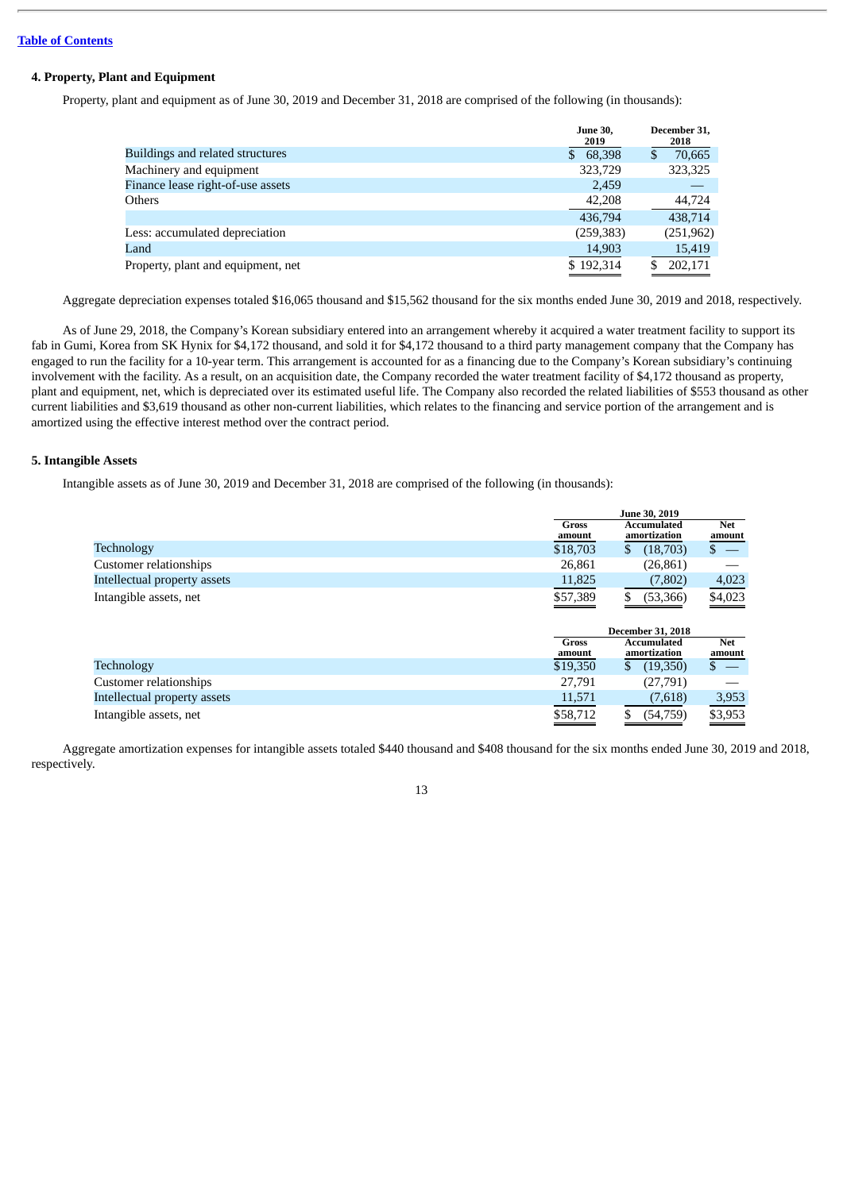### **4. Property, Plant and Equipment**

Property, plant and equipment as of June 30, 2019 and December 31, 2018 are comprised of the following (in thousands):

|                                    | <b>June 30.</b><br>2019 | December 31,<br>2018 |
|------------------------------------|-------------------------|----------------------|
| Buildings and related structures   | 68,398<br>\$            | 70,665<br>S          |
| Machinery and equipment            | 323,729                 | 323,325              |
| Finance lease right-of-use assets  | 2,459                   |                      |
| Others                             | 42,208                  | 44,724               |
|                                    | 436,794                 | 438,714              |
| Less: accumulated depreciation     | (259, 383)              | (251,962)            |
| Land                               | 14,903                  | 15,419               |
| Property, plant and equipment, net | \$192,314               | 202,171              |

Aggregate depreciation expenses totaled \$16,065 thousand and \$15,562 thousand for the six months ended June 30, 2019 and 2018, respectively.

As of June 29, 2018, the Company's Korean subsidiary entered into an arrangement whereby it acquired a water treatment facility to support its fab in Gumi, Korea from SK Hynix for \$4,172 thousand, and sold it for \$4,172 thousand to a third party management company that the Company has engaged to run the facility for a 10-year term. This arrangement is accounted for as a financing due to the Company's Korean subsidiary's continuing involvement with the facility. As a result, on an acquisition date, the Company recorded the water treatment facility of \$4,172 thousand as property, plant and equipment, net, which is depreciated over its estimated useful life. The Company also recorded the related liabilities of \$553 thousand as other current liabilities and \$3,619 thousand as other non-current liabilities, which relates to the financing and service portion of the arrangement and is amortized using the effective interest method over the contract period.

### **5. Intangible Assets**

Intangible assets as of June 30, 2019 and December 31, 2018 are comprised of the following (in thousands):

|                              |                        | <b>June 30, 2019</b>        |                      |  |  |
|------------------------------|------------------------|-----------------------------|----------------------|--|--|
|                              | <b>Gross</b><br>amount | Accumulated<br>amortization | <b>Net</b><br>amount |  |  |
| Technology                   | \$18,703               | (18,703)<br>S               |                      |  |  |
| Customer relationships       | 26,861                 | (26, 861)                   |                      |  |  |
| Intellectual property assets | 11,825                 | (7,802)                     | 4,023                |  |  |
| Intangible assets, net       | \$57,389               | (53,366)<br>\$.             | \$4,023              |  |  |
|                              |                        | <b>December 31, 2018</b>    |                      |  |  |
|                              | <b>Gross</b><br>amount | Accumulated<br>amortization | Net<br>amount        |  |  |
| Technology                   | \$19,350               | \$<br>(19,350)              |                      |  |  |
| Customer relationships       | 27,791                 | (27,791)                    |                      |  |  |
| Intellectual property assets | 11,571                 | (7,618)                     | 3,953                |  |  |
| Intangible assets, net       | \$58,712               | \$.<br>(54,759)             | \$3,953              |  |  |

Aggregate amortization expenses for intangible assets totaled \$440 thousand and \$408 thousand for the six months ended June 30, 2019 and 2018, respectively.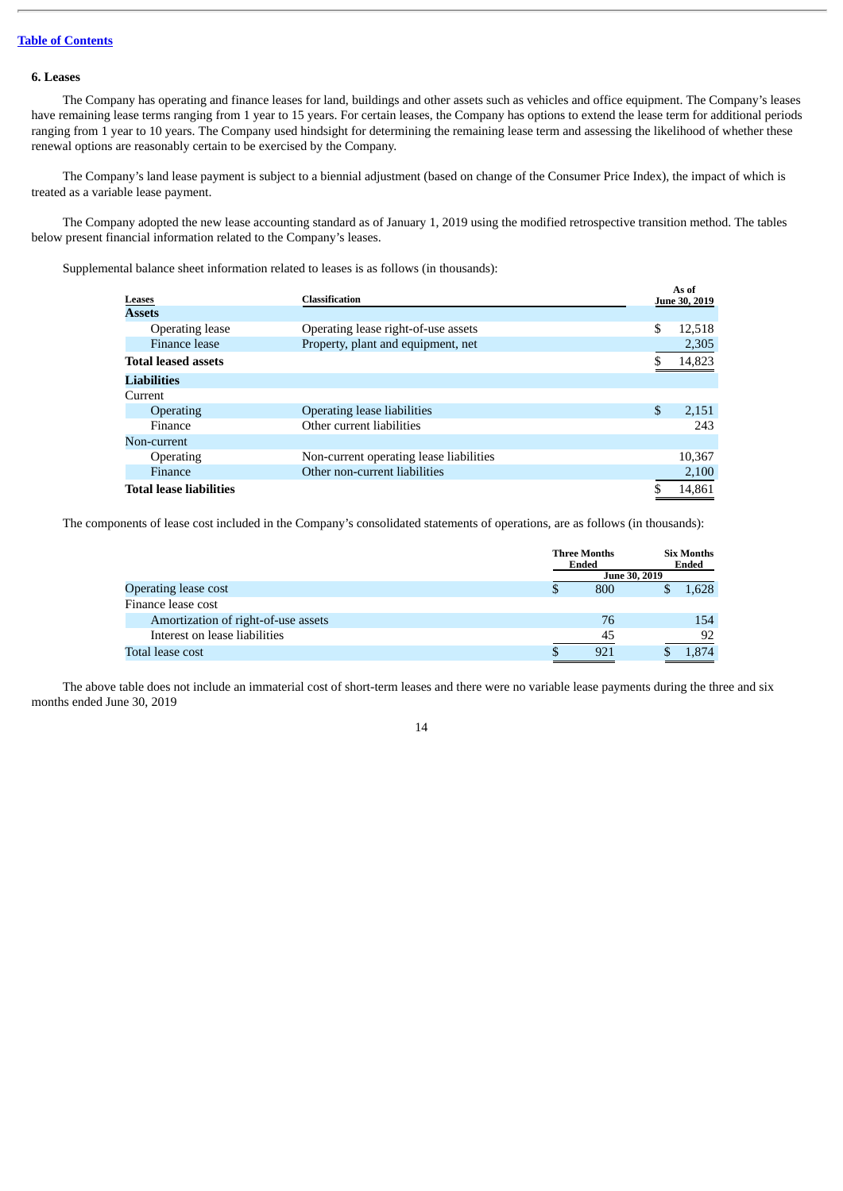#### **6. Leases**

The Company has operating and finance leases for land, buildings and other assets such as vehicles and office equipment. The Company's leases have remaining lease terms ranging from 1 year to 15 years. For certain leases, the Company has options to extend the lease term for additional periods ranging from 1 year to 10 years. The Company used hindsight for determining the remaining lease term and assessing the likelihood of whether these renewal options are reasonably certain to be exercised by the Company.

The Company's land lease payment is subject to a biennial adjustment (based on change of the Consumer Price Index), the impact of which is treated as a variable lease payment.

The Company adopted the new lease accounting standard as of January 1, 2019 using the modified retrospective transition method. The tables below present financial information related to the Company's leases.

Supplemental balance sheet information related to leases is as follows (in thousands):

| <b>Classification</b><br>Leases |                                         |    |        |
|---------------------------------|-----------------------------------------|----|--------|
| <b>Assets</b>                   |                                         |    |        |
| Operating lease                 | Operating lease right-of-use assets     | \$ | 12.518 |
| Finance lease                   | Property, plant and equipment, net      |    | 2,305  |
| <b>Total leased assets</b>      |                                         |    | 14,823 |
| <b>Liabilities</b>              |                                         |    |        |
| Current                         |                                         |    |        |
| Operating                       | Operating lease liabilities             | \$ | 2,151  |
| Finance                         | Other current liabilities               |    | 243    |
| Non-current                     |                                         |    |        |
| Operating                       | Non-current operating lease liabilities |    | 10,367 |
| Finance                         | Other non-current liabilities           |    | 2,100  |
| <b>Total lease liabilities</b>  |                                         |    | 14,861 |

The components of lease cost included in the Company's consolidated statements of operations, are as follows (in thousands):

|                                     |    | <b>Three Months</b><br><b>Ended</b> |   | <b>Six Months</b><br><b>Ended</b> |
|-------------------------------------|----|-------------------------------------|---|-----------------------------------|
|                                     |    | June 30, 2019                       |   |                                   |
| <b>Operating lease cost</b>         | \$ | 800                                 | Φ | 1,628                             |
| Finance lease cost                  |    |                                     |   |                                   |
| Amortization of right-of-use assets |    | 76                                  |   | 154                               |
| Interest on lease liabilities       |    | 45                                  |   | 92                                |
| Total lease cost                    | S  | 921                                 |   | .874                              |

The above table does not include an immaterial cost of short-term leases and there were no variable lease payments during the three and six months ended June 30, 2019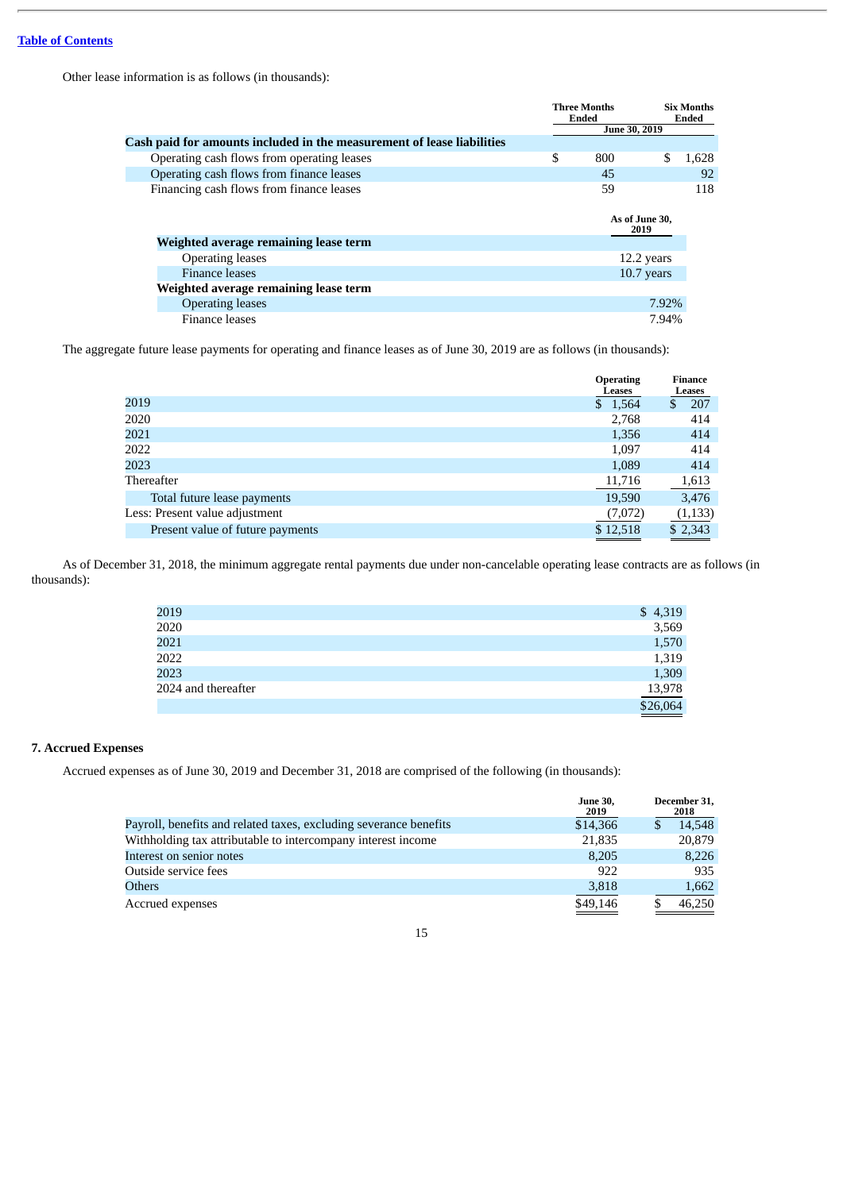Other lease information is as follows (in thousands):

|                                                                        | Three Months<br><b>Ended</b> |               |                        | <b>Six Months</b><br>Ended |
|------------------------------------------------------------------------|------------------------------|---------------|------------------------|----------------------------|
|                                                                        |                              | June 30, 2019 |                        |                            |
| Cash paid for amounts included in the measurement of lease liabilities |                              |               |                        |                            |
| Operating cash flows from operating leases                             | \$                           | 800           | \$.                    | 1.628                      |
| Operating cash flows from finance leases                               |                              | 45            |                        | 92                         |
| Financing cash flows from finance leases                               |                              | 59            |                        | 118                        |
|                                                                        |                              |               |                        |                            |
|                                                                        |                              |               | As of June 30,<br>2019 |                            |
| Weighted average remaining lease term                                  |                              |               |                        |                            |
| <b>Operating leases</b>                                                |                              |               | 12.2 years             |                            |
| <b>Finance leases</b>                                                  |                              |               | $10.7$ years           |                            |
| Weighted average remaining lease term                                  |                              |               |                        |                            |
| <b>Operating leases</b>                                                |                              |               | 7.92%                  |                            |
| Finance leases                                                         |                              |               | 7.94%                  |                            |

The aggregate future lease payments for operating and finance leases as of June 30, 2019 are as follows (in thousands):

|                                  | <b>Operating</b><br>Leases | Finance<br>Leases |
|----------------------------------|----------------------------|-------------------|
| 2019                             | \$1,564                    | 207<br>æ.         |
| 2020                             | 2,768                      | 414               |
| 2021                             | 1,356                      | 414               |
| 2022                             | 1,097                      | 414               |
| 2023                             | 1,089                      | 414               |
| Thereafter                       | 11,716                     | 1,613             |
| Total future lease payments      | 19,590                     | 3,476             |
| Less: Present value adjustment   | (7,072)                    | (1, 133)          |
| Present value of future payments | \$12,518                   | \$2,343           |

As of December 31, 2018, the minimum aggregate rental payments due under non-cancelable operating lease contracts are as follows (in thousands):

| \$4,319  |
|----------|
| 3,569    |
| 1,570    |
| 1,319    |
| 1,309    |
| 13,978   |
| \$26,064 |
|          |

### **7. Accrued Expenses**

Accrued expenses as of June 30, 2019 and December 31, 2018 are comprised of the following (in thousands):

|                                                                   | <b>June 30.</b><br>2019 | December 31,<br>2018 |
|-------------------------------------------------------------------|-------------------------|----------------------|
| Payroll, benefits and related taxes, excluding severance benefits | \$14,366                | 14.548               |
| Withholding tax attributable to intercompany interest income      | 21,835                  | 20,879               |
| Interest on senior notes                                          | 8,205                   | 8,226                |
| Outside service fees                                              | 922                     | 935                  |
| <b>Others</b>                                                     | 3,818                   | 1,662                |
| Accrued expenses                                                  | \$49,146                | 46,250               |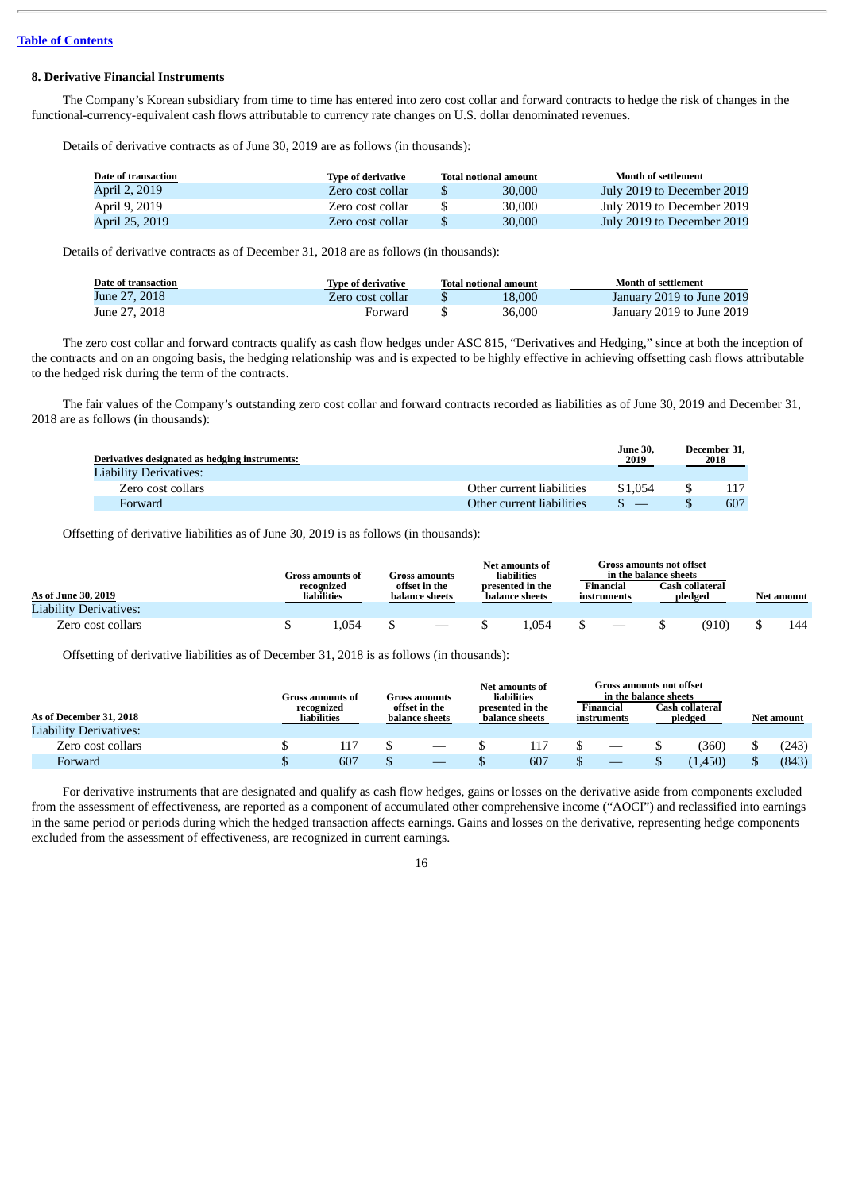### **8. Derivative Financial Instruments**

The Company's Korean subsidiary from time to time has entered into zero cost collar and forward contracts to hedge the risk of changes in the functional-currency-equivalent cash flows attributable to currency rate changes on U.S. dollar denominated revenues.

Details of derivative contracts as of June 30, 2019 are as follows (in thousands):

| Date of transaction | <b>Type of derivative</b> | <b>Total notional amount</b> | Month of settlement        |
|---------------------|---------------------------|------------------------------|----------------------------|
| April 2, 2019       | Zero cost collar          | 30,000                       | July 2019 to December 2019 |
| April 9, 2019       | Zero cost collar          | 30.000                       | July 2019 to December 2019 |
| April 25, 2019      | Zero cost collar          | 30.000                       | July 2019 to December 2019 |

Details of derivative contracts as of December 31, 2018 are as follows (in thousands):

| Date of transaction | <b>Type of derivative</b> | Total notional amount |        | Month of settlement       |
|---------------------|---------------------------|-----------------------|--------|---------------------------|
| June 27, 2018       | Zero cost collar          |                       | 18.000 | January 2019 to June 2019 |
| June 27, 2018       | Forward                   |                       | 36.000 | January 2019 to June 2019 |

The zero cost collar and forward contracts qualify as cash flow hedges under ASC 815, "Derivatives and Hedging," since at both the inception of the contracts and on an ongoing basis, the hedging relationship was and is expected to be highly effective in achieving offsetting cash flows attributable to the hedged risk during the term of the contracts.

The fair values of the Company's outstanding zero cost collar and forward contracts recorded as liabilities as of June 30, 2019 and December 31, 2018 are as follows (in thousands):

| Derivatives designated as hedging instruments:<br>Liability Derivatives: | <b>June 30.</b><br>2019              | December 31,<br>2018 |
|--------------------------------------------------------------------------|--------------------------------------|----------------------|
| Zero cost collars                                                        | Other current liabilities<br>\$1.054 |                      |
| Forward                                                                  | Other current liabilities            | 607                  |

Offsetting of derivative liabilities as of June 30, 2019 is as follows (in thousands):

|                                               |                           | Gross amounts of<br>Gross amounts |                                 |  | Net amounts of<br>liabilities |                                    | Gross amounts not offset<br>in the balance sheets |                          |         |                 |  |            |  |
|-----------------------------------------------|---------------------------|-----------------------------------|---------------------------------|--|-------------------------------|------------------------------------|---------------------------------------------------|--------------------------|---------|-----------------|--|------------|--|
| As of June 30, 2019<br>Liability Derivatives: | recognized<br>liabilities |                                   | offset in the<br>balance sheets |  |                               | presented in the<br>balance sheets |                                                   | Financial<br>instruments | pledged | Cash collateral |  | Net amount |  |
| Zero cost collars                             |                           | .054                              |                                 |  |                               | 0.054                              |                                                   | $\hspace{0.05cm}$        |         | (910)           |  | 144        |  |

Offsetting of derivative liabilities as of December 31, 2018 is as follows (in thousands):

|                               |  | Gross amounts of<br>Gross amounts |  |                                 |  | Net amounts of<br>liabilities      |  | Gross amounts not offset<br>in the balance sheets |  |                            |  |                   |
|-------------------------------|--|-----------------------------------|--|---------------------------------|--|------------------------------------|--|---------------------------------------------------|--|----------------------------|--|-------------------|
| As of December 31, 2018       |  | recognized<br>liabilities         |  | offset in the<br>balance sheets |  | presented in the<br>balance sheets |  | Financial<br>instruments                          |  | Cash collateral<br>pledged |  | <b>Net amount</b> |
| <b>Liability Derivatives:</b> |  |                                   |  |                                 |  |                                    |  |                                                   |  |                            |  |                   |
| Zero cost collars             |  | 11 <sup>7</sup>                   |  |                                 |  | 117                                |  | $\hspace{0.1mm}-\hspace{0.1mm}$                   |  | (360)                      |  | (243)             |
| Forward                       |  | 607                               |  |                                 |  | 607                                |  |                                                   |  | (1,450)                    |  | (843)             |

For derivative instruments that are designated and qualify as cash flow hedges, gains or losses on the derivative aside from components excluded from the assessment of effectiveness, are reported as a component of accumulated other comprehensive income ("AOCI") and reclassified into earnings in the same period or periods during which the hedged transaction affects earnings. Gains and losses on the derivative, representing hedge components excluded from the assessment of effectiveness, are recognized in current earnings.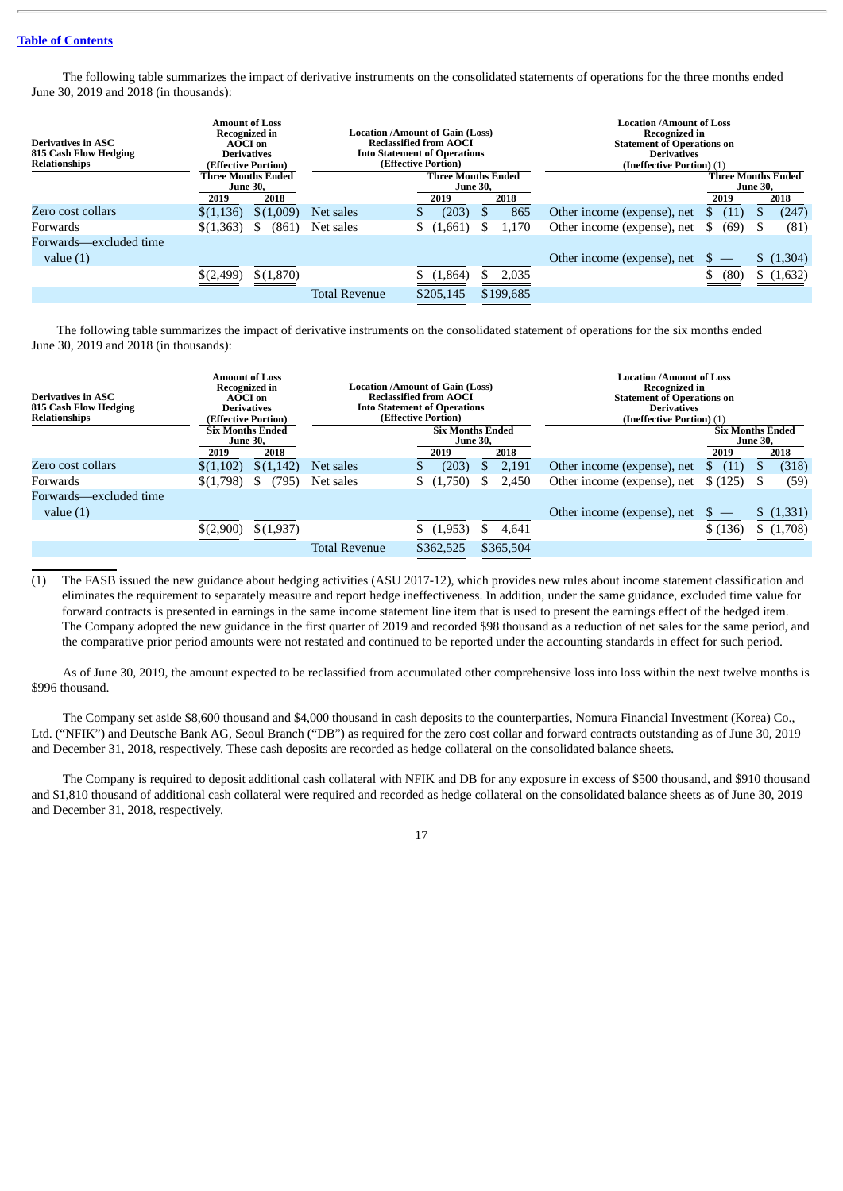The following table summarizes the impact of derivative instruments on the consolidated statements of operations for the three months ended June 30, 2019 and 2018 (in thousands):

| Derivatives in ASC<br>815 Cash Flow Hedging<br><b>Relationships</b> | <b>Amount of Loss</b><br><b>Recognized in</b> | AOCI on<br><b>Derivatives</b><br>(Effective Portion) | <b>Location /Amount of Gain (Loss)</b>                       |  | <b>Reclassified from AOCI</b><br><b>Into Statement of Operations</b><br>(Effective Portion) |  |           | Location /Amount of Loss<br><b>Recognized in</b><br><b>Statement of Operations on</b><br><b>Derivatives</b><br>(Ineffective Portion) (1) |   |                                                      |  |           |
|---------------------------------------------------------------------|-----------------------------------------------|------------------------------------------------------|--------------------------------------------------------------|--|---------------------------------------------------------------------------------------------|--|-----------|------------------------------------------------------------------------------------------------------------------------------------------|---|------------------------------------------------------|--|-----------|
|                                                                     | 2019                                          | <b>Three Months Ended</b><br><b>June 30,</b><br>2018 | <b>Three Months Ended</b><br><b>June 30,</b><br>2018<br>2019 |  |                                                                                             |  | 2019      |                                                                                                                                          |   | <b>Three Months Ended</b><br><b>June 30,</b><br>2018 |  |           |
| Zero cost collars                                                   | \$(1,136)                                     | \$(1,009)                                            | Net sales                                                    |  | (203)                                                                                       |  | 865       | Other income (expense), net                                                                                                              |   |                                                      |  | (247)     |
| Forwards                                                            | \$(1,363)                                     | (861)                                                | Net sales                                                    |  | (1,661)                                                                                     |  | 1,170     | Other income (expense), net                                                                                                              | S | (69)                                                 |  | (81)      |
| Forwards—excluded time<br>value $(1)$                               |                                               |                                                      |                                                              |  |                                                                                             |  |           | Other income (expense), net                                                                                                              |   |                                                      |  | (1,304)   |
|                                                                     | \$(2,499)                                     | \$(1,870)                                            |                                                              |  | (1,864)                                                                                     |  | 2,035     |                                                                                                                                          | S | (80)                                                 |  | \$(1,632) |
|                                                                     |                                               |                                                      | <b>Total Revenue</b>                                         |  | \$205,145                                                                                   |  | \$199,685 |                                                                                                                                          |   |                                                      |  |           |

The following table summarizes the impact of derivative instruments on the consolidated statement of operations for the six months ended June 30, 2019 and 2018 (in thousands):

| <b>Derivatives in ASC</b><br>815 Cash Flow Hedging<br><b>Relationships</b> | <b>Amount of Loss</b><br><b>Recognized in</b><br>AOCI on<br><b>Derivatives</b> | (Effective Portion) |                                                            |  | <b>Location /Amount of Gain (Loss)</b><br><b>Reclassified from AOCI</b><br><b>Into Statement of Operations</b><br>(Effective Portion) |           | <b>Location /Amount of Loss</b><br><b>Recognized in</b><br><b>Statement of Operations on</b><br><b>Derivatives</b><br>(Ineffective Portion) (1) |                                                    |  |          |
|----------------------------------------------------------------------------|--------------------------------------------------------------------------------|---------------------|------------------------------------------------------------|--|---------------------------------------------------------------------------------------------------------------------------------------|-----------|-------------------------------------------------------------------------------------------------------------------------------------------------|----------------------------------------------------|--|----------|
|                                                                            | <b>Six Months Ended</b><br><b>June 30,</b><br>2019                             | 2018                | <b>Six Months Ended</b><br><b>June 30,</b><br>2018<br>2019 |  |                                                                                                                                       |           | 2019                                                                                                                                            | <b>Six Months Ended</b><br><b>June 30,</b><br>2018 |  |          |
| Zero cost collars                                                          | \$(1,102)                                                                      | \$(1,142)           | Net sales                                                  |  | (203)                                                                                                                                 | 2,191     | Other income (expense), net                                                                                                                     |                                                    |  | (318)    |
| Forwards                                                                   | \$(1,798)                                                                      | (795)               | Net sales                                                  |  | \$(1,750)                                                                                                                             | 2,450     | Other income (expense), net                                                                                                                     | \$(125)                                            |  | (59)     |
| Forwards—excluded time<br>value $(1)$                                      |                                                                                |                     |                                                            |  |                                                                                                                                       |           | Other income (expense), net                                                                                                                     |                                                    |  | (1, 331) |
|                                                                            | \$(2,900)                                                                      | \$(1,937)           |                                                            |  | (1, 953)                                                                                                                              | 4,641     |                                                                                                                                                 | \$(136)                                            |  | (1,708)  |
|                                                                            |                                                                                |                     | <b>Total Revenue</b>                                       |  | \$362,525                                                                                                                             | \$365,504 |                                                                                                                                                 |                                                    |  |          |

(1) The FASB issued the new guidance about hedging activities (ASU 2017-12), which provides new rules about income statement classification and eliminates the requirement to separately measure and report hedge ineffectiveness. In addition, under the same guidance, excluded time value for forward contracts is presented in earnings in the same income statement line item that is used to present the earnings effect of the hedged item. The Company adopted the new guidance in the first quarter of 2019 and recorded \$98 thousand as a reduction of net sales for the same period, and the comparative prior period amounts were not restated and continued to be reported under the accounting standards in effect for such period.

As of June 30, 2019, the amount expected to be reclassified from accumulated other comprehensive loss into loss within the next twelve months is \$996 thousand.

The Company set aside \$8,600 thousand and \$4,000 thousand in cash deposits to the counterparties, Nomura Financial Investment (Korea) Co., Ltd. ("NFIK") and Deutsche Bank AG, Seoul Branch ("DB") as required for the zero cost collar and forward contracts outstanding as of June 30, 2019 and December 31, 2018, respectively. These cash deposits are recorded as hedge collateral on the consolidated balance sheets.

The Company is required to deposit additional cash collateral with NFIK and DB for any exposure in excess of \$500 thousand, and \$910 thousand and \$1,810 thousand of additional cash collateral were required and recorded as hedge collateral on the consolidated balance sheets as of June 30, 2019 and December 31, 2018, respectively.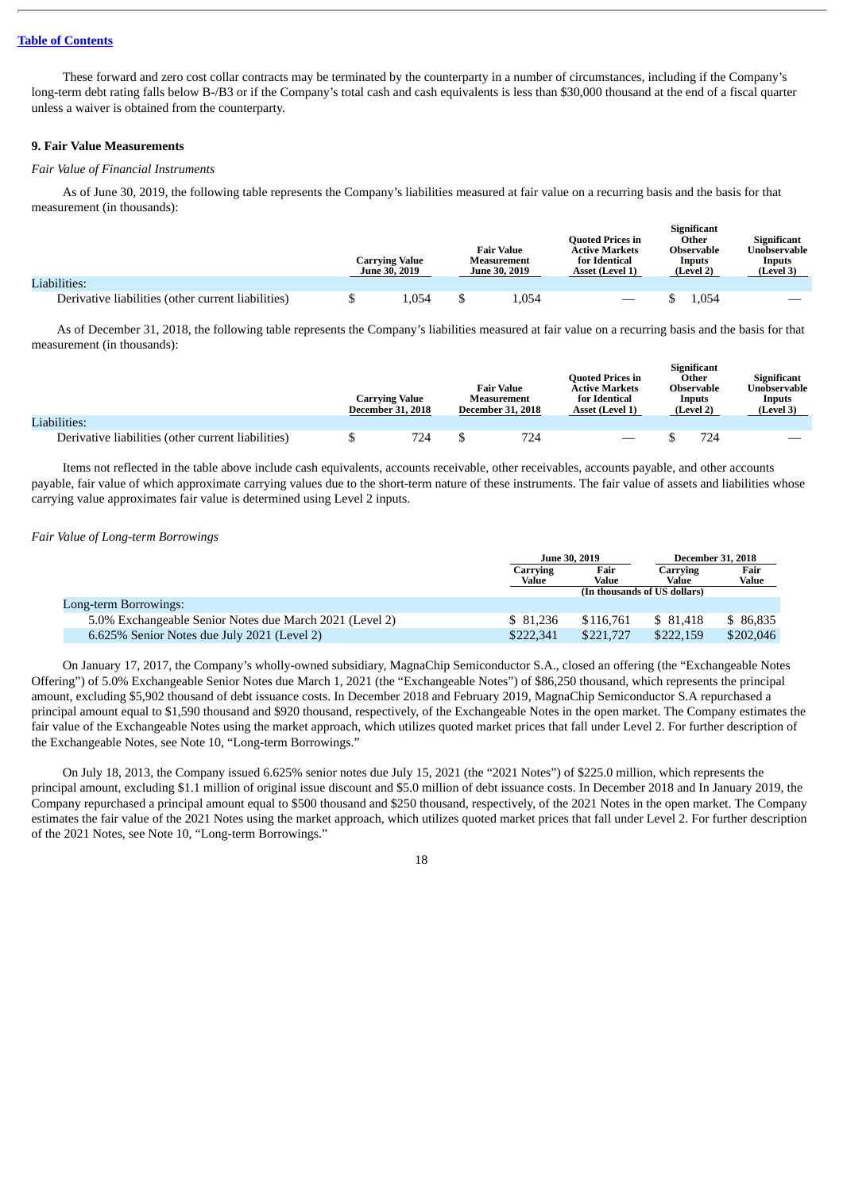These forward and zero cost collar contracts may be terminated by the counterparty in a number of circumstances, including if the Company's long-term debt rating falls below B-/B3 or if the Company's total cash and cash equivalents is less than \$30,000 thousand at the end of a fiscal quarter unless a waiver is obtained from the counterparty.

### **9. Fair Value Measurements**

#### *Fair Value of Financial Instruments*

As of June 30, 2019, the following table represents the Company's liabilities measured at fair value on a recurring basis and the basis for that measurement (in thousands):

| Liabilities:                                       | Carrving Value<br><b>June 30, 2019</b> | <b>Fair Value</b><br>Measurement<br><b>June 30, 2019</b> | <b>Quoted Prices in</b><br><b>Active Markets</b><br>for Identical<br><b>Asset (Level 1)</b> | <b>Significant</b><br>Other<br><b>Observable</b><br>Inputs<br>(Level 2) | <b>Significant</b><br>Unobservable<br>Inputs<br>(Level 3) |
|----------------------------------------------------|----------------------------------------|----------------------------------------------------------|---------------------------------------------------------------------------------------------|-------------------------------------------------------------------------|-----------------------------------------------------------|
| Derivative liabilities (other current liabilities) | .054                                   | .054                                                     | $\hspace{0.05cm}$                                                                           | 1,054                                                                   | __                                                        |

As of December 31, 2018, the following table represents the Company's liabilities measured at fair value on a recurring basis and the basis for that measurement (in thousands):

**Significant**

| Liabilities:                                       | Carrying Value<br><b>December 31, 2018</b> |     | <b>Fair Value</b><br>Measurement<br><b>December 31, 2018</b> | <b>Ouoted Prices in</b><br><b>Active Markets</b><br>for Identical<br><b>Asset (Level 1)</b> | Significant<br>Other<br><b>Observable</b><br>Inputs<br>(Level 2) | Significant<br>Unobservable<br>Inputs<br>(Level 3) |
|----------------------------------------------------|--------------------------------------------|-----|--------------------------------------------------------------|---------------------------------------------------------------------------------------------|------------------------------------------------------------------|----------------------------------------------------|
|                                                    |                                            |     |                                                              |                                                                                             |                                                                  |                                                    |
| Derivative liabilities (other current liabilities) |                                            | 724 | 724                                                          | —                                                                                           | 724                                                              |                                                    |

Items not reflected in the table above include cash equivalents, accounts receivable, other receivables, accounts payable, and other accounts payable, fair value of which approximate carrying values due to the short-term nature of these instruments. The fair value of assets and liabilities whose carrying value approximates fair value is determined using Level 2 inputs.

#### *Fair Value of Long-term Borrowings*

|                                                         | <b>June 30, 2019</b>         |               | <b>December 31, 2018</b> |               |  |
|---------------------------------------------------------|------------------------------|---------------|--------------------------|---------------|--|
|                                                         | Carrying<br>Value            | Fair<br>Value | Carrving<br>Value        | Fair<br>Value |  |
|                                                         | (In thousands of US dollars) |               |                          |               |  |
| Long-term Borrowings:                                   |                              |               |                          |               |  |
| 5.0% Exchangeable Senior Notes due March 2021 (Level 2) | \$81.236                     | \$116.761     | \$ 81.418                | \$86.835      |  |
| 6.625% Senior Notes due July 2021 (Level 2)             | \$222,341                    | \$221,727     | \$222,159                | \$202,046     |  |

On January 17, 2017, the Company's wholly-owned subsidiary, MagnaChip Semiconductor S.A., closed an offering (the "Exchangeable Notes Offering") of 5.0% Exchangeable Senior Notes due March 1, 2021 (the "Exchangeable Notes") of \$86,250 thousand, which represents the principal amount, excluding \$5,902 thousand of debt issuance costs. In December 2018 and February 2019, MagnaChip Semiconductor S.A repurchased a principal amount equal to \$1,590 thousand and \$920 thousand, respectively, of the Exchangeable Notes in the open market. The Company estimates the fair value of the Exchangeable Notes using the market approach, which utilizes quoted market prices that fall under Level 2. For further description of the Exchangeable Notes, see Note 10, "Long-term Borrowings."

On July 18, 2013, the Company issued 6.625% senior notes due July 15, 2021 (the "2021 Notes") of \$225.0 million, which represents the principal amount, excluding \$1.1 million of original issue discount and \$5.0 million of debt issuance costs. In December 2018 and In January 2019, the Company repurchased a principal amount equal to \$500 thousand and \$250 thousand, respectively, of the 2021 Notes in the open market. The Company estimates the fair value of the 2021 Notes using the market approach, which utilizes quoted market prices that fall under Level 2. For further description of the 2021 Notes, see Note 10, "Long-term Borrowings."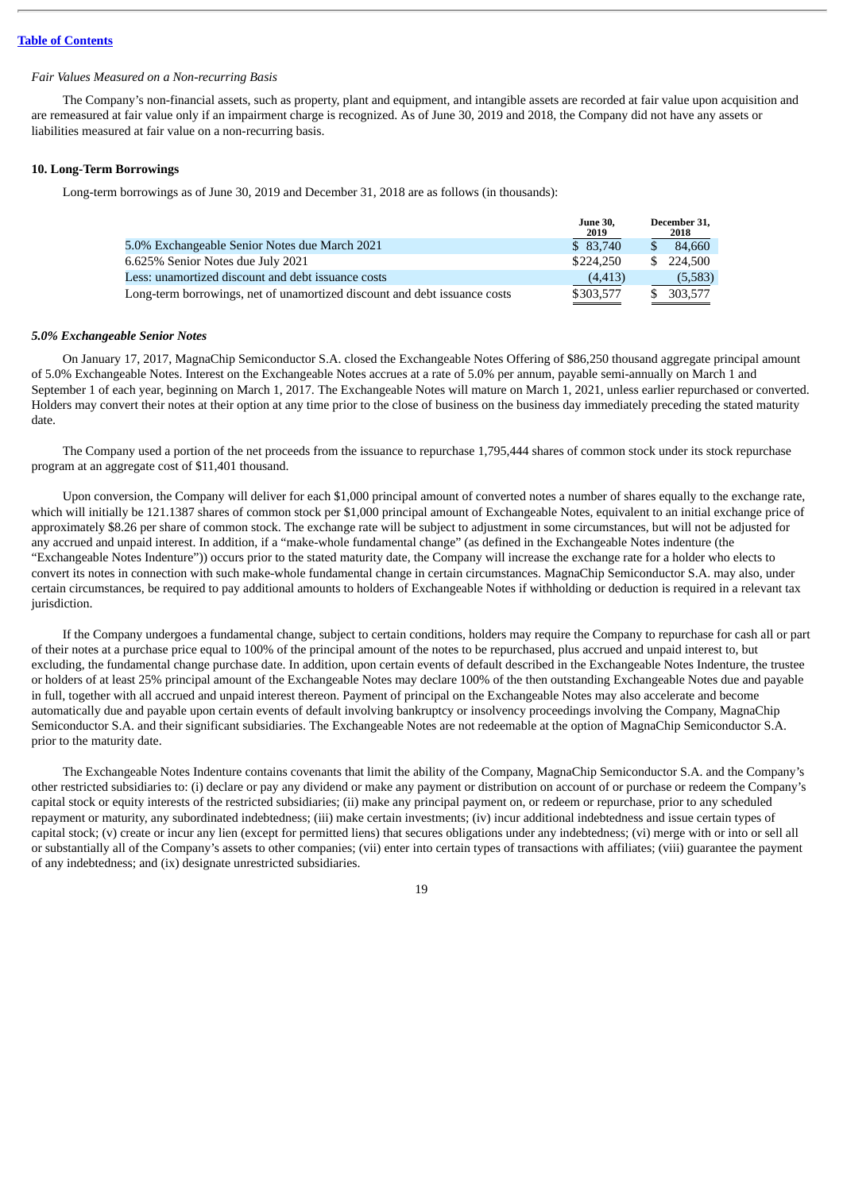#### *Fair Values Measured on a Non-recurring Basis*

The Company's non-financial assets, such as property, plant and equipment, and intangible assets are recorded at fair value upon acquisition and are remeasured at fair value only if an impairment charge is recognized. As of June 30, 2019 and 2018, the Company did not have any assets or liabilities measured at fair value on a non-recurring basis.

#### **10. Long-Term Borrowings**

Long-term borrowings as of June 30, 2019 and December 31, 2018 are as follows (in thousands):

|                                                                           | <b>June 30.</b><br>2019 | December 31,<br>2018 |
|---------------------------------------------------------------------------|-------------------------|----------------------|
| 5.0% Exchangeable Senior Notes due March 2021                             | \$83.740                | 84,660               |
| 6.625% Senior Notes due July 2021                                         | \$224,250               | 224.500              |
| Less: unamortized discount and debt issuance costs                        | (4, 413)                | (5,583)              |
| Long-term borrowings, net of unamortized discount and debt issuance costs | \$303,577               | 303.577              |

#### *5.0% Exchangeable Senior Notes*

On January 17, 2017, MagnaChip Semiconductor S.A. closed the Exchangeable Notes Offering of \$86,250 thousand aggregate principal amount of 5.0% Exchangeable Notes. Interest on the Exchangeable Notes accrues at a rate of 5.0% per annum, payable semi-annually on March 1 and September 1 of each year, beginning on March 1, 2017. The Exchangeable Notes will mature on March 1, 2021, unless earlier repurchased or converted. Holders may convert their notes at their option at any time prior to the close of business on the business day immediately preceding the stated maturity date.

The Company used a portion of the net proceeds from the issuance to repurchase 1,795,444 shares of common stock under its stock repurchase program at an aggregate cost of \$11,401 thousand.

Upon conversion, the Company will deliver for each \$1,000 principal amount of converted notes a number of shares equally to the exchange rate, which will initially be 121.1387 shares of common stock per \$1,000 principal amount of Exchangeable Notes, equivalent to an initial exchange price of approximately \$8.26 per share of common stock. The exchange rate will be subject to adjustment in some circumstances, but will not be adjusted for any accrued and unpaid interest. In addition, if a "make-whole fundamental change" (as defined in the Exchangeable Notes indenture (the "Exchangeable Notes Indenture")) occurs prior to the stated maturity date, the Company will increase the exchange rate for a holder who elects to convert its notes in connection with such make-whole fundamental change in certain circumstances. MagnaChip Semiconductor S.A. may also, under certain circumstances, be required to pay additional amounts to holders of Exchangeable Notes if withholding or deduction is required in a relevant tax jurisdiction.

If the Company undergoes a fundamental change, subject to certain conditions, holders may require the Company to repurchase for cash all or part of their notes at a purchase price equal to 100% of the principal amount of the notes to be repurchased, plus accrued and unpaid interest to, but excluding, the fundamental change purchase date. In addition, upon certain events of default described in the Exchangeable Notes Indenture, the trustee or holders of at least 25% principal amount of the Exchangeable Notes may declare 100% of the then outstanding Exchangeable Notes due and payable in full, together with all accrued and unpaid interest thereon. Payment of principal on the Exchangeable Notes may also accelerate and become automatically due and payable upon certain events of default involving bankruptcy or insolvency proceedings involving the Company, MagnaChip Semiconductor S.A. and their significant subsidiaries. The Exchangeable Notes are not redeemable at the option of MagnaChip Semiconductor S.A. prior to the maturity date.

The Exchangeable Notes Indenture contains covenants that limit the ability of the Company, MagnaChip Semiconductor S.A. and the Company's other restricted subsidiaries to: (i) declare or pay any dividend or make any payment or distribution on account of or purchase or redeem the Company's capital stock or equity interests of the restricted subsidiaries; (ii) make any principal payment on, or redeem or repurchase, prior to any scheduled repayment or maturity, any subordinated indebtedness; (iii) make certain investments; (iv) incur additional indebtedness and issue certain types of capital stock; (v) create or incur any lien (except for permitted liens) that secures obligations under any indebtedness; (vi) merge with or into or sell all or substantially all of the Company's assets to other companies; (vii) enter into certain types of transactions with affiliates; (viii) guarantee the payment of any indebtedness; and (ix) designate unrestricted subsidiaries.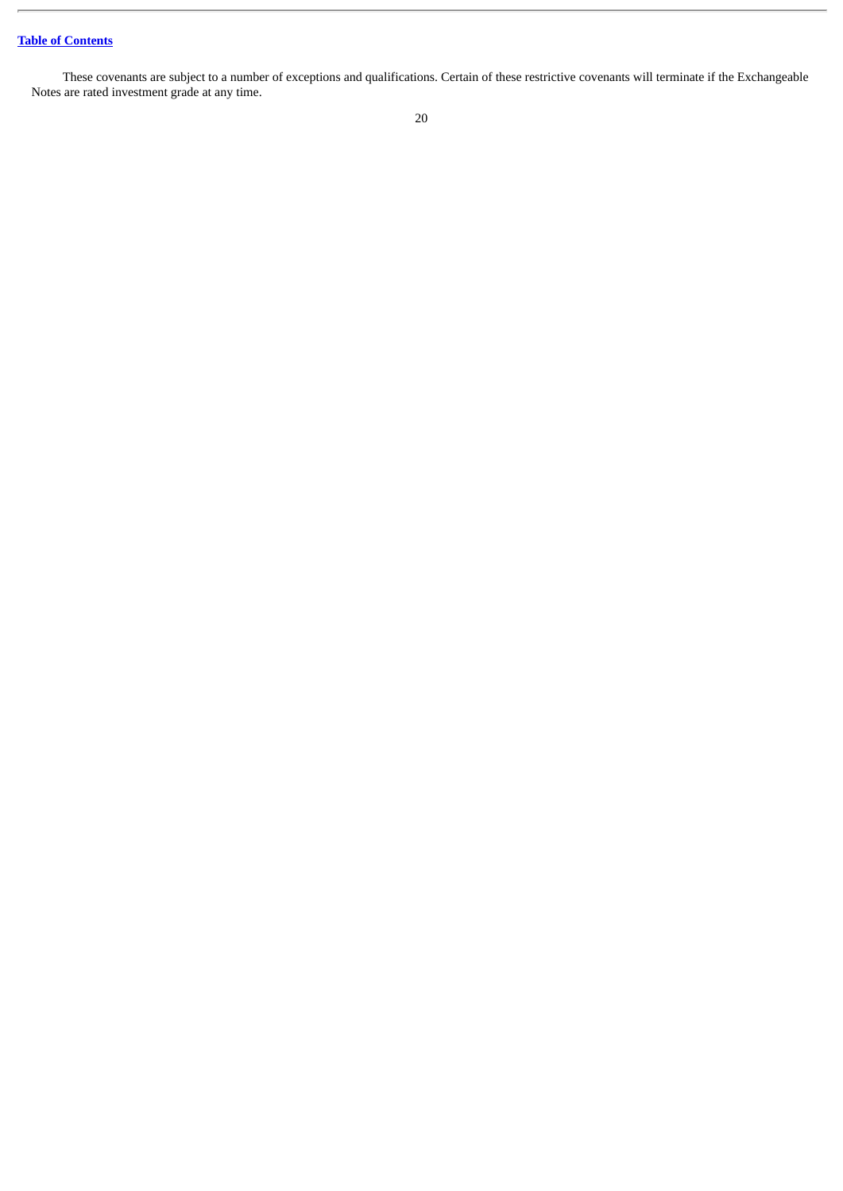### **Table of [Contents](#page-2-0)**

These covenants are subject to a number of exceptions and qualifications. Certain of these restrictive covenants will terminate if the Exchangeable Notes are rated investment grade at any time.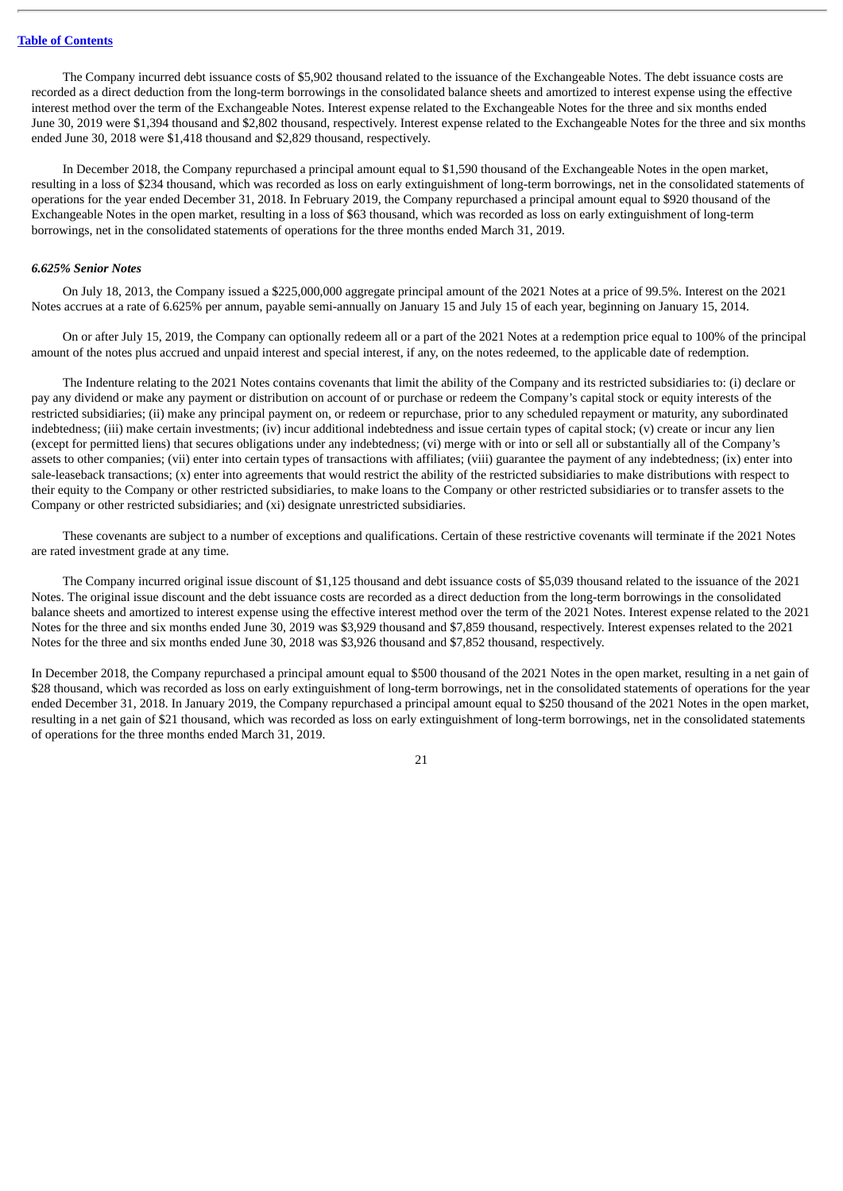The Company incurred debt issuance costs of \$5,902 thousand related to the issuance of the Exchangeable Notes. The debt issuance costs are recorded as a direct deduction from the long-term borrowings in the consolidated balance sheets and amortized to interest expense using the effective interest method over the term of the Exchangeable Notes. Interest expense related to the Exchangeable Notes for the three and six months ended June 30, 2019 were \$1,394 thousand and \$2,802 thousand, respectively. Interest expense related to the Exchangeable Notes for the three and six months ended June 30, 2018 were \$1,418 thousand and \$2,829 thousand, respectively.

In December 2018, the Company repurchased a principal amount equal to \$1,590 thousand of the Exchangeable Notes in the open market, resulting in a loss of \$234 thousand, which was recorded as loss on early extinguishment of long-term borrowings, net in the consolidated statements of operations for the year ended December 31, 2018. In February 2019, the Company repurchased a principal amount equal to \$920 thousand of the Exchangeable Notes in the open market, resulting in a loss of \$63 thousand, which was recorded as loss on early extinguishment of long-term borrowings, net in the consolidated statements of operations for the three months ended March 31, 2019.

#### *6.625% Senior Notes*

On July 18, 2013, the Company issued a \$225,000,000 aggregate principal amount of the 2021 Notes at a price of 99.5%. Interest on the 2021 Notes accrues at a rate of 6.625% per annum, payable semi-annually on January 15 and July 15 of each year, beginning on January 15, 2014.

On or after July 15, 2019, the Company can optionally redeem all or a part of the 2021 Notes at a redemption price equal to 100% of the principal amount of the notes plus accrued and unpaid interest and special interest, if any, on the notes redeemed, to the applicable date of redemption.

The Indenture relating to the 2021 Notes contains covenants that limit the ability of the Company and its restricted subsidiaries to: (i) declare or pay any dividend or make any payment or distribution on account of or purchase or redeem the Company's capital stock or equity interests of the restricted subsidiaries; (ii) make any principal payment on, or redeem or repurchase, prior to any scheduled repayment or maturity, any subordinated indebtedness; (iii) make certain investments; (iv) incur additional indebtedness and issue certain types of capital stock; (v) create or incur any lien (except for permitted liens) that secures obligations under any indebtedness; (vi) merge with or into or sell all or substantially all of the Company's assets to other companies; (vii) enter into certain types of transactions with affiliates; (viii) guarantee the payment of any indebtedness; (ix) enter into sale-leaseback transactions; (x) enter into agreements that would restrict the ability of the restricted subsidiaries to make distributions with respect to their equity to the Company or other restricted subsidiaries, to make loans to the Company or other restricted subsidiaries or to transfer assets to the Company or other restricted subsidiaries; and (xi) designate unrestricted subsidiaries.

These covenants are subject to a number of exceptions and qualifications. Certain of these restrictive covenants will terminate if the 2021 Notes are rated investment grade at any time.

The Company incurred original issue discount of \$1,125 thousand and debt issuance costs of \$5,039 thousand related to the issuance of the 2021 Notes. The original issue discount and the debt issuance costs are recorded as a direct deduction from the long-term borrowings in the consolidated balance sheets and amortized to interest expense using the effective interest method over the term of the 2021 Notes. Interest expense related to the 2021 Notes for the three and six months ended June 30, 2019 was \$3,929 thousand and \$7,859 thousand, respectively. Interest expenses related to the 2021 Notes for the three and six months ended June 30, 2018 was \$3,926 thousand and \$7,852 thousand, respectively.

In December 2018, the Company repurchased a principal amount equal to \$500 thousand of the 2021 Notes in the open market, resulting in a net gain of \$28 thousand, which was recorded as loss on early extinguishment of long-term borrowings, net in the consolidated statements of operations for the year ended December 31, 2018. In January 2019, the Company repurchased a principal amount equal to \$250 thousand of the 2021 Notes in the open market, resulting in a net gain of \$21 thousand, which was recorded as loss on early extinguishment of long-term borrowings, net in the consolidated statements of operations for the three months ended March 31, 2019.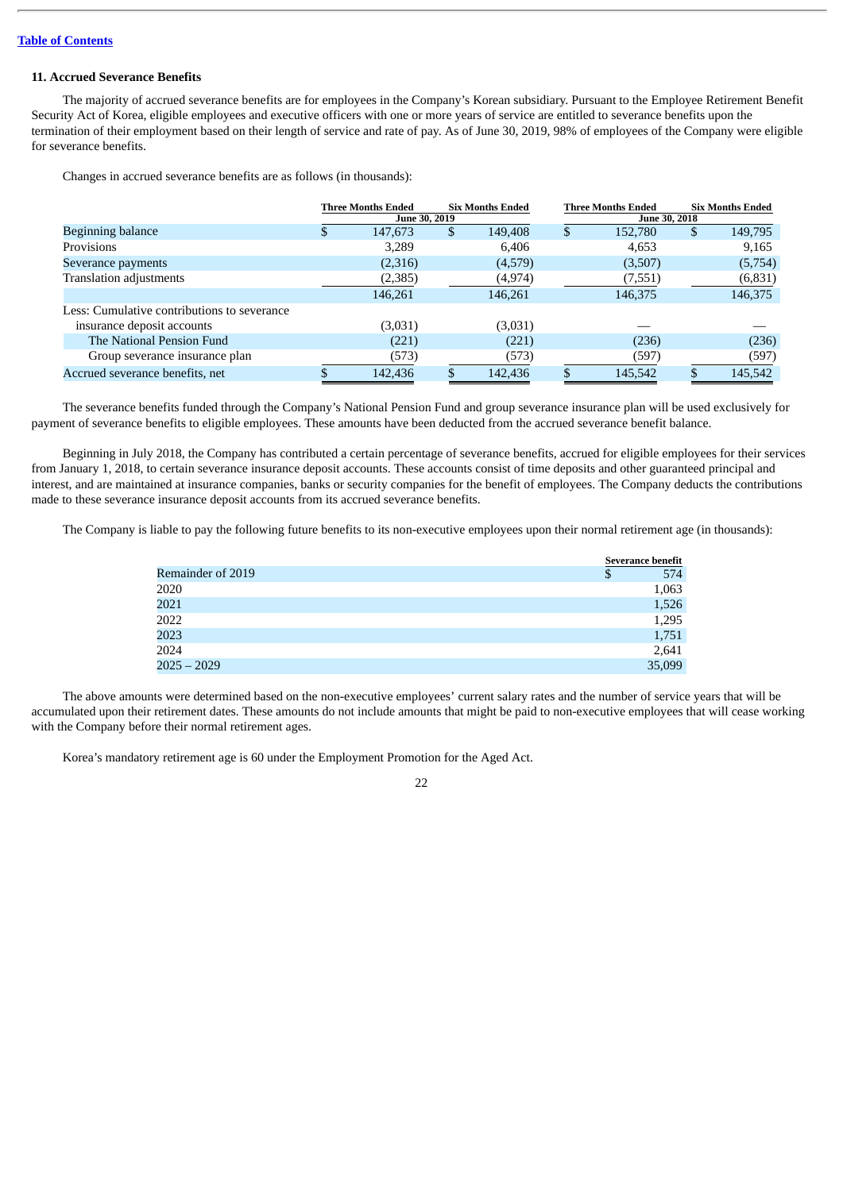### **11. Accrued Severance Benefits**

The majority of accrued severance benefits are for employees in the Company's Korean subsidiary. Pursuant to the Employee Retirement Benefit Security Act of Korea, eligible employees and executive officers with one or more years of service are entitled to severance benefits upon the termination of their employment based on their length of service and rate of pay. As of June 30, 2019, 98% of employees of the Company were eligible for severance benefits.

Changes in accrued severance benefits are as follows (in thousands):

|                                             | <b>Three Months Ended</b> |               | <b>Six Months Ended</b> |          | <b>Three Months Ended</b> |               | <b>Six Months Ended</b> |         |  |
|---------------------------------------------|---------------------------|---------------|-------------------------|----------|---------------------------|---------------|-------------------------|---------|--|
|                                             |                           | June 30, 2019 |                         |          |                           | June 30, 2018 |                         |         |  |
| Beginning balance                           |                           | 147,673       | \$                      | 149,408  | S                         | 152,780       | \$                      | 149,795 |  |
| Provisions                                  |                           | 3.289         |                         | 6,406    |                           | 4,653         |                         | 9.165   |  |
| Severance payments                          |                           | (2,316)       |                         | (4,579)  |                           | (3,507)       |                         | (5,754) |  |
| <b>Translation adjustments</b>              |                           | (2,385)       |                         | (4, 974) |                           | (7,551)       |                         | (6,831) |  |
|                                             |                           | 146,261       |                         | 146,261  |                           | 146,375       |                         | 146,375 |  |
| Less: Cumulative contributions to severance |                           |               |                         |          |                           |               |                         |         |  |
| insurance deposit accounts                  |                           | (3,031)       |                         | (3,031)  |                           |               |                         |         |  |
| The National Pension Fund                   |                           | (221)         |                         | (221)    |                           | (236)         |                         | (236)   |  |
| Group severance insurance plan              |                           | (573)         |                         | (573)    |                           | (597)         |                         | (597)   |  |
| Accrued severance benefits, net             |                           | 142,436       | ß.                      | 142,436  | ¢                         | 145,542       |                         | 145,542 |  |

The severance benefits funded through the Company's National Pension Fund and group severance insurance plan will be used exclusively for payment of severance benefits to eligible employees. These amounts have been deducted from the accrued severance benefit balance.

Beginning in July 2018, the Company has contributed a certain percentage of severance benefits, accrued for eligible employees for their services from January 1, 2018, to certain severance insurance deposit accounts. These accounts consist of time deposits and other guaranteed principal and interest, and are maintained at insurance companies, banks or security companies for the benefit of employees. The Company deducts the contributions made to these severance insurance deposit accounts from its accrued severance benefits.

The Company is liable to pay the following future benefits to its non-executive employees upon their normal retirement age (in thousands):

| <b>Severance benefit</b> |  |
|--------------------------|--|
| \$<br>574                |  |
| 1,063                    |  |
| 1,526                    |  |
| 1,295                    |  |
| 1,751                    |  |
| 2,641                    |  |
| 35,099                   |  |
|                          |  |

The above amounts were determined based on the non-executive employees' current salary rates and the number of service years that will be accumulated upon their retirement dates. These amounts do not include amounts that might be paid to non-executive employees that will cease working with the Company before their normal retirement ages.

Korea's mandatory retirement age is 60 under the Employment Promotion for the Aged Act.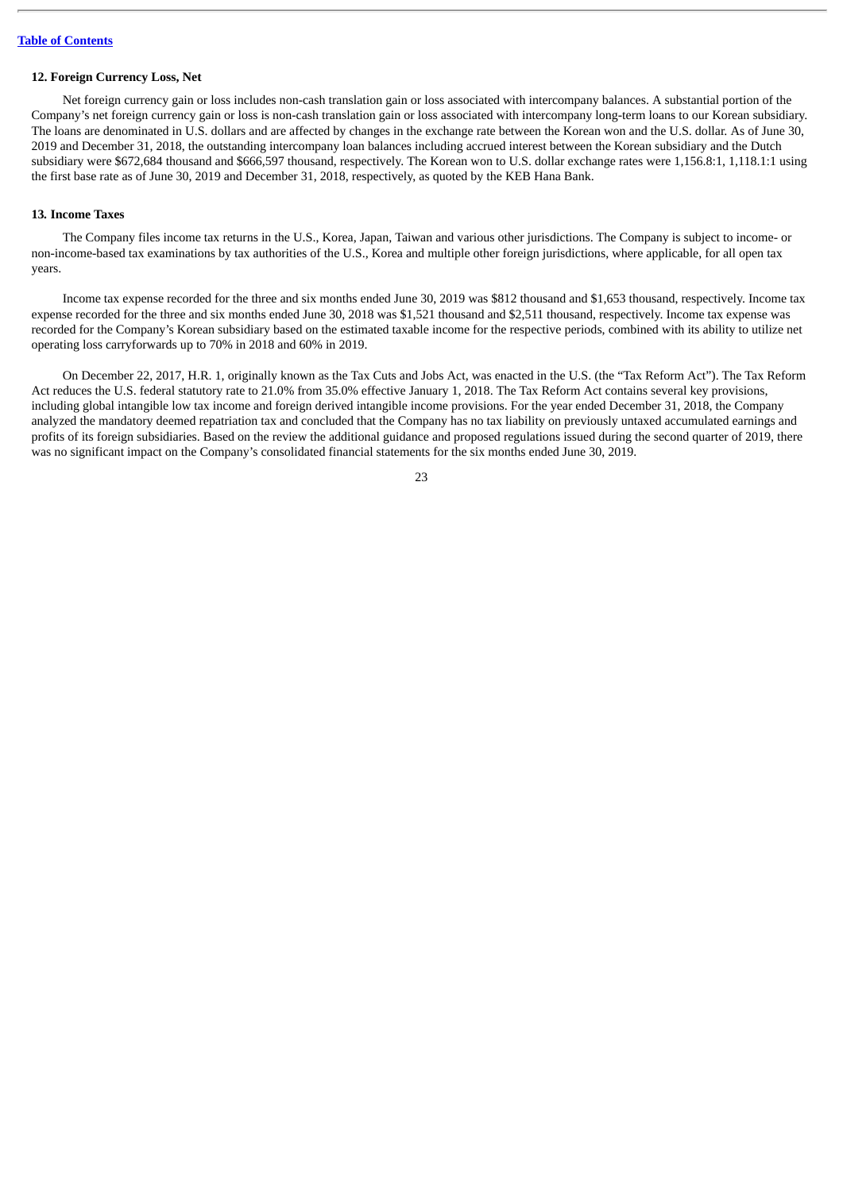### **12. Foreign Currency Loss, Net**

Net foreign currency gain or loss includes non-cash translation gain or loss associated with intercompany balances. A substantial portion of the Company's net foreign currency gain or loss is non-cash translation gain or loss associated with intercompany long-term loans to our Korean subsidiary. The loans are denominated in U.S. dollars and are affected by changes in the exchange rate between the Korean won and the U.S. dollar. As of June 30, 2019 and December 31, 2018, the outstanding intercompany loan balances including accrued interest between the Korean subsidiary and the Dutch subsidiary were \$672,684 thousand and \$666,597 thousand, respectively. The Korean won to U.S. dollar exchange rates were 1,156.8:1, 1,118.1:1 using the first base rate as of June 30, 2019 and December 31, 2018, respectively, as quoted by the KEB Hana Bank.

#### **13***.* **Income Taxes**

The Company files income tax returns in the U.S., Korea, Japan, Taiwan and various other jurisdictions. The Company is subject to income- or non-income-based tax examinations by tax authorities of the U.S., Korea and multiple other foreign jurisdictions, where applicable, for all open tax years.

Income tax expense recorded for the three and six months ended June 30, 2019 was \$812 thousand and \$1,653 thousand, respectively. Income tax expense recorded for the three and six months ended June 30, 2018 was \$1,521 thousand and \$2,511 thousand, respectively. Income tax expense was recorded for the Company's Korean subsidiary based on the estimated taxable income for the respective periods, combined with its ability to utilize net operating loss carryforwards up to 70% in 2018 and 60% in 2019.

On December 22, 2017, H.R. 1, originally known as the Tax Cuts and Jobs Act, was enacted in the U.S. (the "Tax Reform Act"). The Tax Reform Act reduces the U.S. federal statutory rate to 21.0% from 35.0% effective January 1, 2018. The Tax Reform Act contains several key provisions, including global intangible low tax income and foreign derived intangible income provisions. For the year ended December 31, 2018, the Company analyzed the mandatory deemed repatriation tax and concluded that the Company has no tax liability on previously untaxed accumulated earnings and profits of its foreign subsidiaries. Based on the review the additional guidance and proposed regulations issued during the second quarter of 2019, there was no significant impact on the Company's consolidated financial statements for the six months ended June 30, 2019.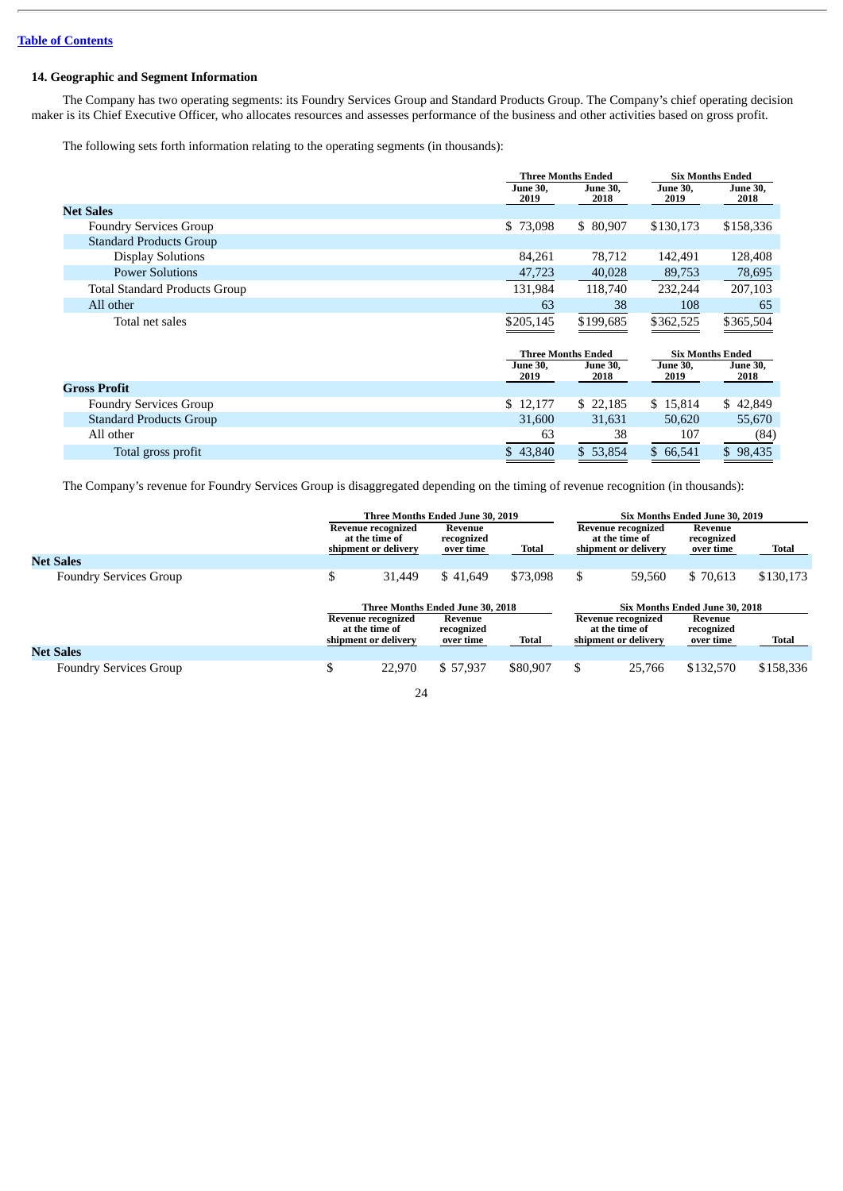### **14. Geographic and Segment Information**

The Company has two operating segments: its Foundry Services Group and Standard Products Group. The Company's chief operating decision maker is its Chief Executive Officer, who allocates resources and assesses performance of the business and other activities based on gross profit.

The following sets forth information relating to the operating segments (in thousands):

|                                      |                         | <b>Three Months Ended</b>                    |                         | <b>Six Months Ended</b>                    |
|--------------------------------------|-------------------------|----------------------------------------------|-------------------------|--------------------------------------------|
|                                      | <b>June 30,</b><br>2019 | <b>June 30,</b><br>2018                      | <b>June 30,</b><br>2019 | June 30,<br>2018                           |
| <b>Net Sales</b>                     |                         |                                              |                         |                                            |
| <b>Foundry Services Group</b>        | \$73,098                | \$ 80,907                                    | \$130,173               | \$158,336                                  |
| <b>Standard Products Group</b>       |                         |                                              |                         |                                            |
| <b>Display Solutions</b>             | 84,261                  | 78,712                                       | 142,491                 | 128,408                                    |
| <b>Power Solutions</b>               | 47,723                  | 40,028                                       | 89,753                  | 78,695                                     |
| <b>Total Standard Products Group</b> | 131,984                 | 118,740                                      | 232,244                 | 207,103                                    |
| All other                            | 63                      | 38                                           | 108                     | 65                                         |
| Total net sales                      | \$205,145               | \$199,685                                    | \$362,525               | \$365,504                                  |
|                                      | <b>June 30,</b>         | <b>Three Months Ended</b><br><b>June 30,</b> | <b>June 30,</b>         | <b>Six Months Ended</b><br><b>June 30,</b> |
|                                      | 2019                    | 2018                                         | 2019                    | 2018                                       |
| <b>Gross Profit</b>                  |                         |                                              |                         |                                            |
| <b>Foundry Services Group</b>        | \$12,177                | \$22,185                                     | \$15,814                | \$42,849                                   |
| <b>Standard Products Group</b>       | 31,600                  | 31,631                                       | 50,620                  | 55,670                                     |
| All other                            | 63                      | 38                                           | 107                     | (84)                                       |
| Total gross profit                   | \$43,840                | \$53,854                                     | \$66,541                | \$98,435                                   |

The Company's revenue for Foundry Services Group is disaggregated depending on the timing of revenue recognition (in thousands):

|                               | Three Months Ended June 30, 2019                                    |                                           |          |    | Six Months Ended June 30, 2019                                      |                                    |              |  |
|-------------------------------|---------------------------------------------------------------------|-------------------------------------------|----------|----|---------------------------------------------------------------------|------------------------------------|--------------|--|
|                               | <b>Revenue recognized</b><br>at the time of<br>shipment or delivery | Revenue<br>recognized<br>over time        | Total    |    | <b>Revenue recognized</b><br>at the time of<br>shipment or delivery | Revenue<br>recognized<br>over time | Total        |  |
| <b>Net Sales</b>              |                                                                     |                                           |          |    |                                                                     |                                    |              |  |
| <b>Foundry Services Group</b> | \$<br>31,449                                                        | \$41,649                                  | \$73,098 | \$ | 59,560                                                              | \$70,613                           | \$130,173    |  |
|                               |                                                                     | Three Months Ended June 30, 2018          |          |    |                                                                     | Six Months Ended June 30, 2018     |              |  |
|                               | Revenue recognized<br>at the time of<br>shipment or delivery        | <b>Revenue</b><br>recognized<br>over time | Total    |    | <b>Revenue recognized</b><br>at the time of<br>shipment or delivery | Revenue<br>recognized<br>over time | <b>Total</b> |  |
| <b>Net Sales</b>              |                                                                     |                                           |          |    |                                                                     |                                    |              |  |
| <b>Foundry Services Group</b> | \$<br>22.970                                                        | \$57,937                                  | \$80,907 | \$ | 25,766                                                              | \$132,570                          | \$158,336    |  |
|                               | 24                                                                  |                                           |          |    |                                                                     |                                    |              |  |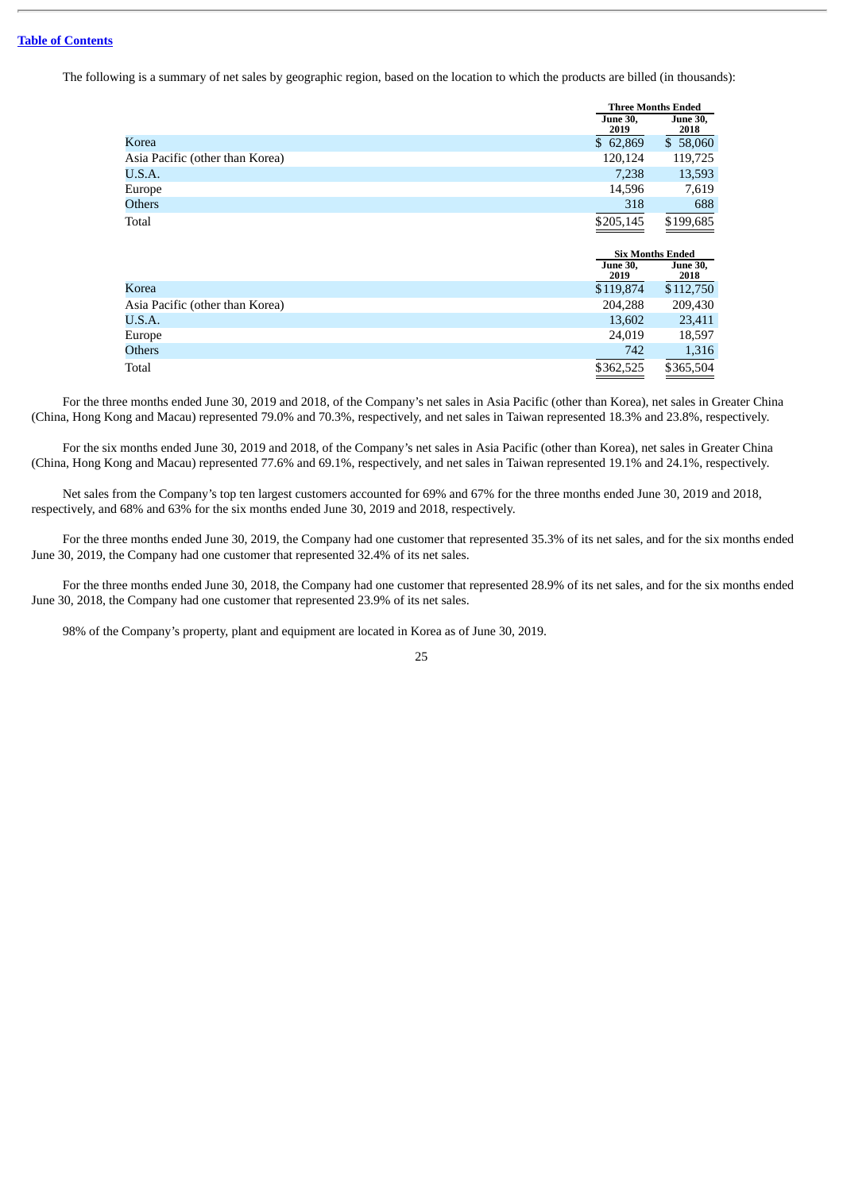#### **Table of [Contents](#page-2-0)**

The following is a summary of net sales by geographic region, based on the location to which the products are billed (in thousands):

|                                 |                         | <b>Three Months Ended</b> |
|---------------------------------|-------------------------|---------------------------|
|                                 | <b>June 30,</b><br>2019 | <b>June 30,</b><br>2018   |
| Korea                           | \$62,869                | \$58,060                  |
| Asia Pacific (other than Korea) | 120,124                 | 119,725                   |
| U.S.A.                          | 7,238                   | 13,593                    |
| Europe                          | 14,596                  | 7,619                     |
| <b>Others</b>                   | 318                     | 688                       |
| Total                           | \$205,145               | \$199,685                 |
|                                 |                         |                           |
|                                 |                         | <b>Six Months Ended</b>   |
|                                 | <b>June 30,</b><br>2019 | <b>June 30,</b><br>2018   |
| Korea                           | \$119,874               | \$112,750                 |
| Asia Pacific (other than Korea) | 204,288                 | 209,430                   |
| U.S.A.                          | 13,602                  | 23,411                    |
| Europe                          | 24,019                  | 18,597                    |
| <b>Others</b>                   | 742                     | 1,316                     |
| Total                           | \$362,525               | \$365,504                 |

For the three months ended June 30, 2019 and 2018, of the Company's net sales in Asia Pacific (other than Korea), net sales in Greater China (China, Hong Kong and Macau) represented 79.0% and 70.3%, respectively, and net sales in Taiwan represented 18.3% and 23.8%, respectively.

For the six months ended June 30, 2019 and 2018, of the Company's net sales in Asia Pacific (other than Korea), net sales in Greater China (China, Hong Kong and Macau) represented 77.6% and 69.1%, respectively, and net sales in Taiwan represented 19.1% and 24.1%, respectively.

Net sales from the Company's top ten largest customers accounted for 69% and 67% for the three months ended June 30, 2019 and 2018, respectively, and 68% and 63% for the six months ended June 30, 2019 and 2018, respectively.

For the three months ended June 30, 2019, the Company had one customer that represented 35.3% of its net sales, and for the six months ended June 30, 2019, the Company had one customer that represented 32.4% of its net sales.

For the three months ended June 30, 2018, the Company had one customer that represented 28.9% of its net sales, and for the six months ended June 30, 2018, the Company had one customer that represented 23.9% of its net sales.

98% of the Company's property, plant and equipment are located in Korea as of June 30, 2019.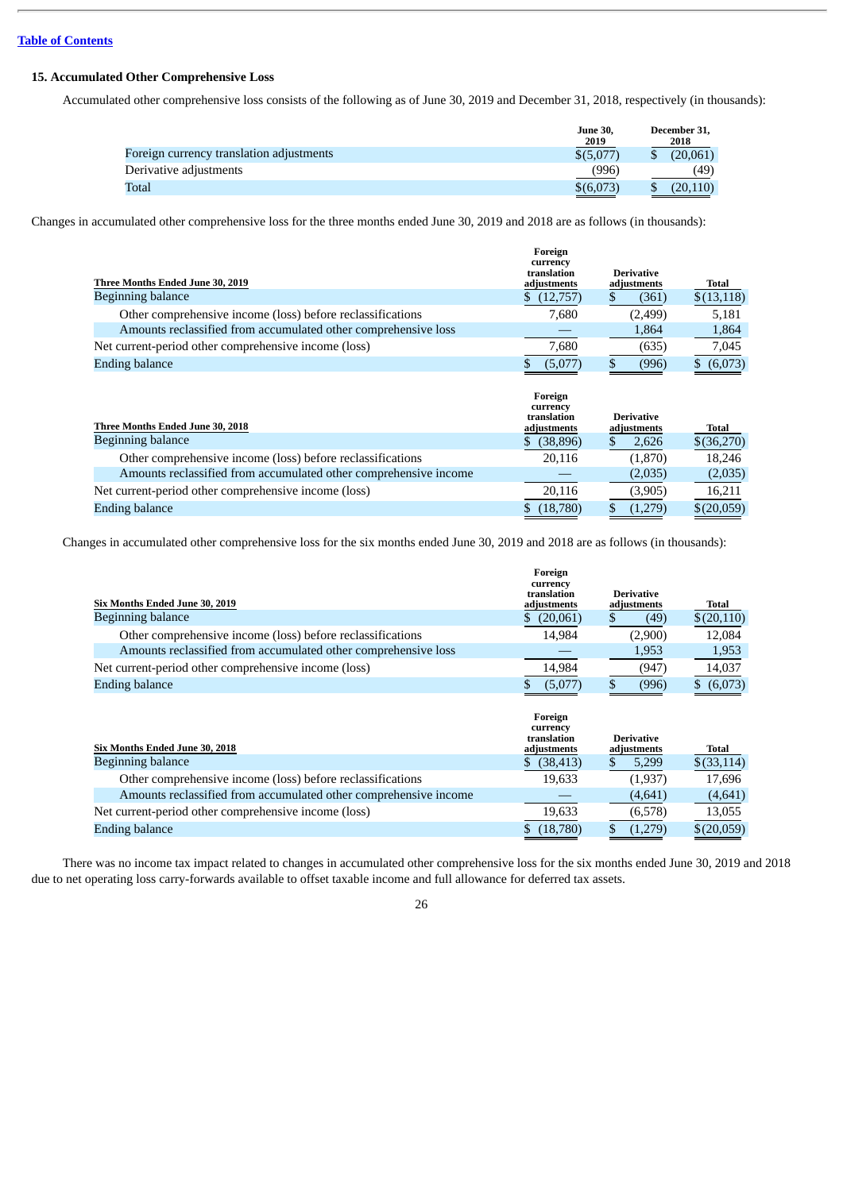### **15. Accumulated Other Comprehensive Loss**

Accumulated other comprehensive loss consists of the following as of June 30, 2019 and December 31, 2018, respectively (in thousands):

|                                          | <b>June 30.</b><br>2019 | December 31.<br>2018 |
|------------------------------------------|-------------------------|----------------------|
| Foreign currency translation adjustments | \$ (5,077)              | (20,061)             |
| Derivative adjustments                   | (996)                   | (49)                 |
| Total                                    | \$(6,073)               | (20.110)             |

Changes in accumulated other comprehensive loss for the three months ended June 30, 2019 and 2018 are as follows (in thousands):

| Three Months Ended June 30, 2019                                 | Foreign<br>currency<br>translation<br>adjustments | <b>Derivative</b><br>adjustments | Total         |
|------------------------------------------------------------------|---------------------------------------------------|----------------------------------|---------------|
| Beginning balance                                                | \$(12,757)                                        | \$<br>(361)                      | \$(13,118)    |
| Other comprehensive income (loss) before reclassifications       | 7,680                                             | (2,499)                          | 5,181         |
| Amounts reclassified from accumulated other comprehensive loss   |                                                   | 1,864                            | 1,864         |
| Net current-period other comprehensive income (loss)             | 7,680                                             | (635)                            | 7,045         |
| <b>Ending balance</b>                                            | (5,077)                                           | \$<br>(996)                      | (6,073)<br>\$ |
|                                                                  | Foreign<br>currency                               |                                  |               |
| Three Months Ended June 30, 2018                                 | translation<br>adjustments                        | <b>Derivative</b><br>adjustments | Total         |
| <b>Beginning balance</b>                                         | (38, 896)                                         | 2,626                            | \$(36,270)    |
| Other comprehensive income (loss) before reclassifications       | 20,116                                            | (1,870)                          | 18,246        |
| Amounts reclassified from accumulated other comprehensive income |                                                   | (2,035)                          | (2,035)       |
| Net current-period other comprehensive income (loss)             | 20,116                                            | (3,905)                          | 16,211        |

Changes in accumulated other comprehensive loss for the six months ended June 30, 2019 and 2018 are as follows (in thousands):

| Six Months Ended June 30, 2019                                   | Foreign<br>currency<br>translation<br>adjustments | <b>Derivative</b><br>adjustments | Total        |
|------------------------------------------------------------------|---------------------------------------------------|----------------------------------|--------------|
| <b>Beginning balance</b>                                         | (20,061)                                          | \$<br>(49)                       | \$(20,110)   |
| Other comprehensive income (loss) before reclassifications       | 14,984                                            | (2,900)                          | 12,084       |
| Amounts reclassified from accumulated other comprehensive loss   |                                                   | 1,953                            | 1,953        |
| Net current-period other comprehensive income (loss)             | 14,984                                            | (947)                            | 14,037       |
| <b>Ending balance</b>                                            | (5,077)                                           | (996)                            | (6,073)      |
|                                                                  |                                                   |                                  |              |
| Six Months Ended June 30, 2018                                   | Foreign<br>currency<br>translation<br>adjustments | <b>Derivative</b><br>adjustments | Total        |
| Beginning balance                                                | (38, 413)                                         | 5,299                            | $$$ (33,114) |
| Other comprehensive income (loss) before reclassifications       | 19,633                                            | (1,937)                          | 17,696       |
| Amounts reclassified from accumulated other comprehensive income |                                                   | (4, 641)                         | (4, 641)     |
| Net current-period other comprehensive income (loss)             | 19,633                                            | (6,578)                          | 13,055       |

There was no income tax impact related to changes in accumulated other comprehensive loss for the six months ended June 30, 2019 and 2018 due to net operating loss carry-forwards available to offset taxable income and full allowance for deferred tax assets.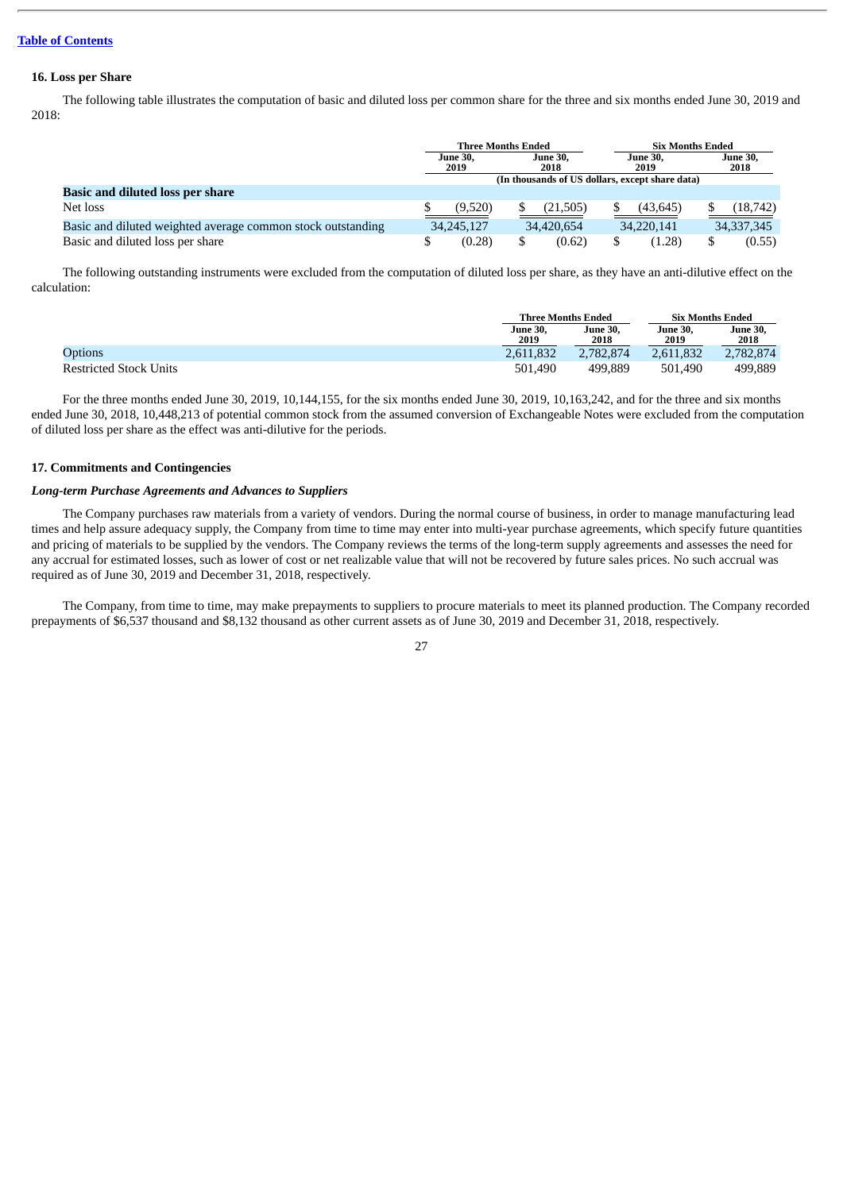#### **16. Loss per Share**

The following table illustrates the computation of basic and diluted loss per common share for the three and six months ended June 30, 2019 and 2018:

|                                                             |  | <b>Three Months Ended</b>                   |    |                         |    | <b>Six Months Ended</b>                         |                         |              |  |
|-------------------------------------------------------------|--|---------------------------------------------|----|-------------------------|----|-------------------------------------------------|-------------------------|--------------|--|
|                                                             |  | <b>June 30.</b><br>June 30,<br>2019<br>2018 |    | <b>June 30.</b><br>2019 |    |                                                 | <b>June 30.</b><br>2018 |              |  |
|                                                             |  |                                             |    |                         |    | (In thousands of US dollars, except share data) |                         |              |  |
| <b>Basic and diluted loss per share</b>                     |  |                                             |    |                         |    |                                                 |                         |              |  |
| Net loss                                                    |  | (9,520)                                     |    | (21, 505)               |    | (43, 645)                                       |                         | (18,742)     |  |
| Basic and diluted weighted average common stock outstanding |  | 34, 245, 127                                |    | 34,420,654              |    | 34,220,141                                      |                         | 34, 337, 345 |  |
| Basic and diluted loss per share                            |  | (0.28)                                      | \$ | (0.62)                  | \$ | (1.28)                                          | \$                      | (0.55)       |  |

The following outstanding instruments were excluded from the computation of diluted loss per share, as they have an anti-dilutive effect on the calculation:

|                               | <b>Three Months Ended</b> |                  | <b>Six Months Ended</b> |                         |  |
|-------------------------------|---------------------------|------------------|-------------------------|-------------------------|--|
|                               | June 30,<br>2019          | June 30,<br>2018 | June 30,<br>2019        | <b>June 30,</b><br>2018 |  |
| Options                       | 2,611,832                 | 2.782.874        | 2.611.832               | 2.782.874               |  |
| <b>Restricted Stock Units</b> | 501,490                   | 499.889          | 501.490                 | 499,889                 |  |

For the three months ended June 30, 2019, 10,144,155, for the six months ended June 30, 2019, 10,163,242, and for the three and six months ended June 30, 2018, 10,448,213 of potential common stock from the assumed conversion of Exchangeable Notes were excluded from the computation of diluted loss per share as the effect was anti-dilutive for the periods.

#### **17. Commitments and Contingencies**

#### *Long-term Purchase Agreements and Advances to Suppliers*

The Company purchases raw materials from a variety of vendors. During the normal course of business, in order to manage manufacturing lead times and help assure adequacy supply, the Company from time to time may enter into multi-year purchase agreements, which specify future quantities and pricing of materials to be supplied by the vendors. The Company reviews the terms of the long-term supply agreements and assesses the need for any accrual for estimated losses, such as lower of cost or net realizable value that will not be recovered by future sales prices. No such accrual was required as of June 30, 2019 and December 31, 2018, respectively.

The Company, from time to time, may make prepayments to suppliers to procure materials to meet its planned production. The Company recorded prepayments of \$6,537 thousand and \$8,132 thousand as other current assets as of June 30, 2019 and December 31, 2018, respectively.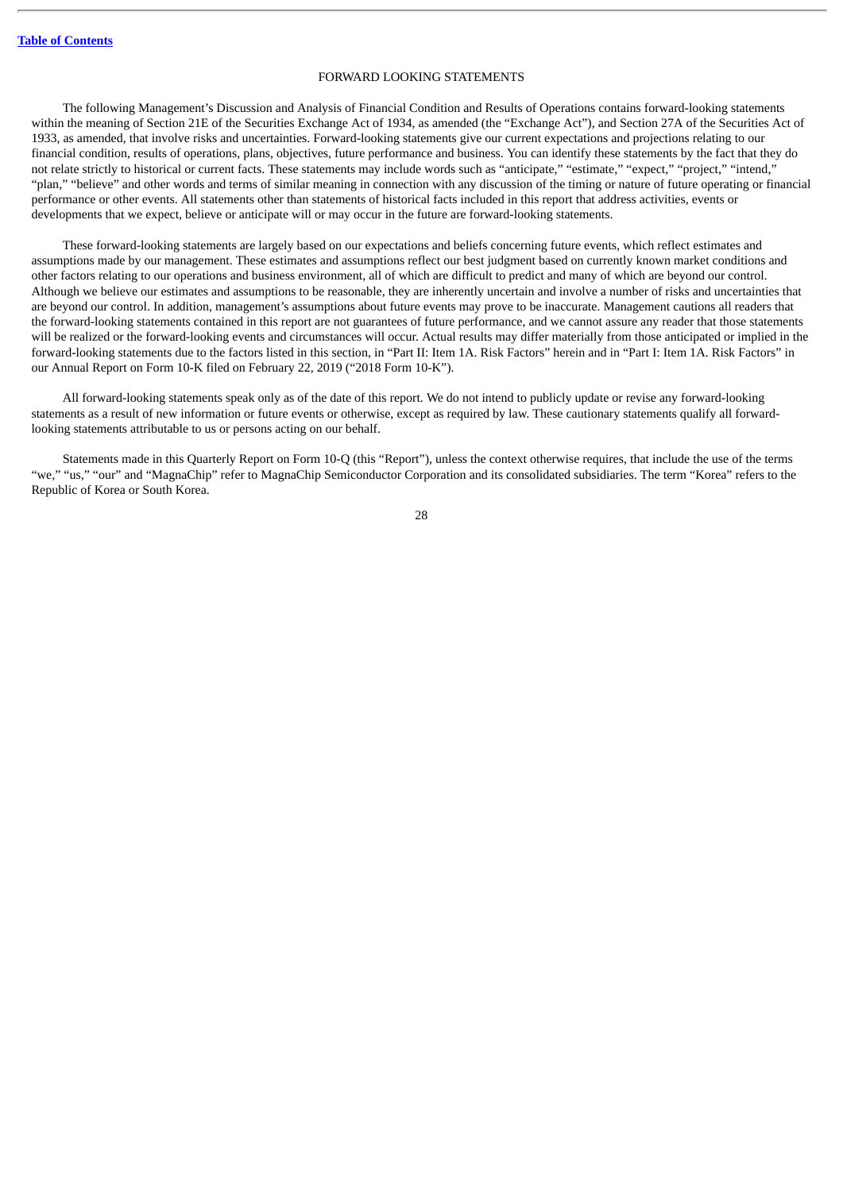#### FORWARD LOOKING STATEMENTS

The following Management's Discussion and Analysis of Financial Condition and Results of Operations contains forward-looking statements within the meaning of Section 21E of the Securities Exchange Act of 1934, as amended (the "Exchange Act"), and Section 27A of the Securities Act of 1933, as amended, that involve risks and uncertainties. Forward-looking statements give our current expectations and projections relating to our financial condition, results of operations, plans, objectives, future performance and business. You can identify these statements by the fact that they do not relate strictly to historical or current facts. These statements may include words such as "anticipate," "estimate," "expect," "project," "intend," "plan," "believe" and other words and terms of similar meaning in connection with any discussion of the timing or nature of future operating or financial performance or other events. All statements other than statements of historical facts included in this report that address activities, events or developments that we expect, believe or anticipate will or may occur in the future are forward-looking statements.

These forward-looking statements are largely based on our expectations and beliefs concerning future events, which reflect estimates and assumptions made by our management. These estimates and assumptions reflect our best judgment based on currently known market conditions and other factors relating to our operations and business environment, all of which are difficult to predict and many of which are beyond our control. Although we believe our estimates and assumptions to be reasonable, they are inherently uncertain and involve a number of risks and uncertainties that are beyond our control. In addition, management's assumptions about future events may prove to be inaccurate. Management cautions all readers that the forward-looking statements contained in this report are not guarantees of future performance, and we cannot assure any reader that those statements will be realized or the forward-looking events and circumstances will occur. Actual results may differ materially from those anticipated or implied in the forward-looking statements due to the factors listed in this section, in "Part II: Item 1A. Risk Factors" herein and in "Part I: Item 1A. Risk Factors" in our Annual Report on Form 10-K filed on February 22, 2019 ("2018 Form 10-K").

All forward-looking statements speak only as of the date of this report. We do not intend to publicly update or revise any forward-looking statements as a result of new information or future events or otherwise, except as required by law. These cautionary statements qualify all forwardlooking statements attributable to us or persons acting on our behalf.

Statements made in this Quarterly Report on Form 10-Q (this "Report"), unless the context otherwise requires, that include the use of the terms "we," "us," "our" and "MagnaChip" refer to MagnaChip Semiconductor Corporation and its consolidated subsidiaries. The term "Korea" refers to the Republic of Korea or South Korea.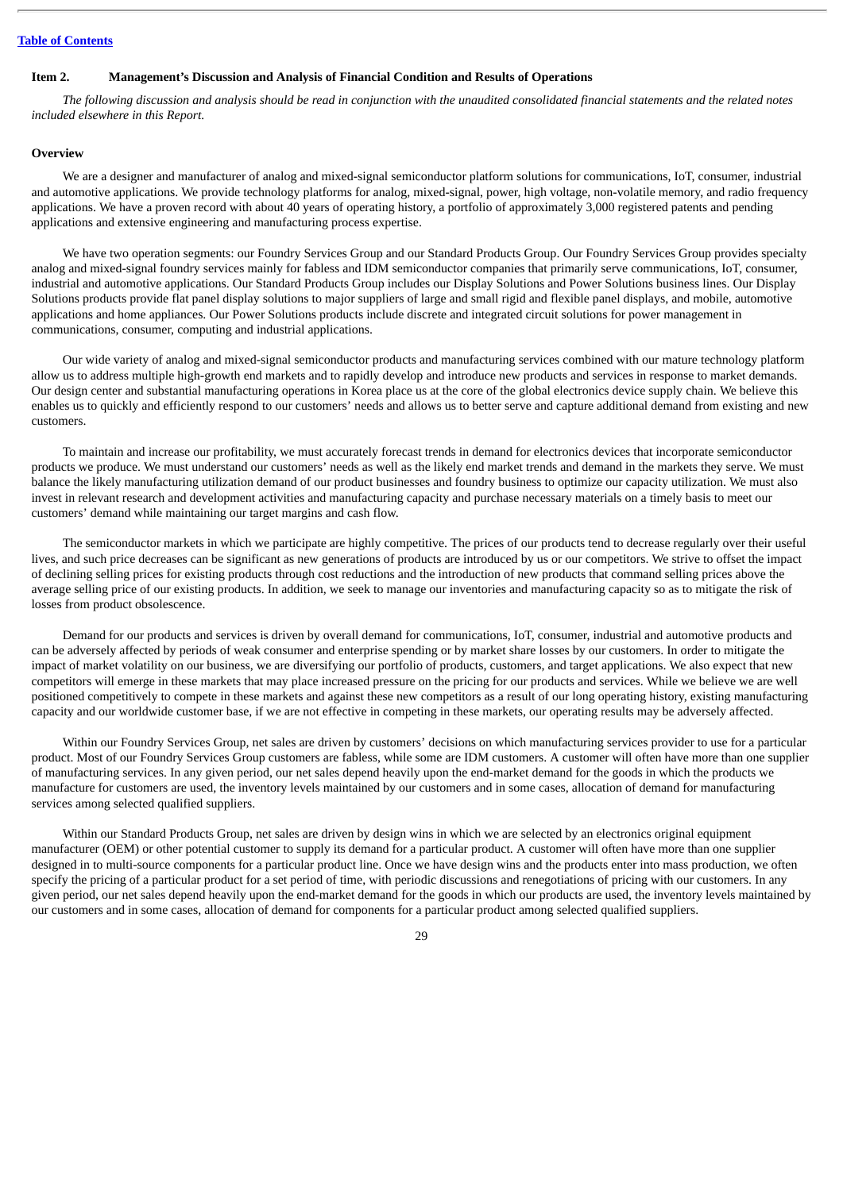#### **Table of [Contents](#page-2-0)**

#### <span id="page-29-0"></span>**Item 2. Management's Discussion and Analysis of Financial Condition and Results of Operations**

The following discussion and analysis should be read in conjunction with the unaudited consolidated financial statements and the related notes *included elsewhere in this Report.*

#### **Overview**

We are a designer and manufacturer of analog and mixed-signal semiconductor platform solutions for communications, IoT, consumer, industrial and automotive applications. We provide technology platforms for analog, mixed-signal, power, high voltage, non-volatile memory, and radio frequency applications. We have a proven record with about 40 years of operating history, a portfolio of approximately 3,000 registered patents and pending applications and extensive engineering and manufacturing process expertise.

We have two operation segments: our Foundry Services Group and our Standard Products Group. Our Foundry Services Group provides specialty analog and mixed-signal foundry services mainly for fabless and IDM semiconductor companies that primarily serve communications, IoT, consumer, industrial and automotive applications. Our Standard Products Group includes our Display Solutions and Power Solutions business lines. Our Display Solutions products provide flat panel display solutions to major suppliers of large and small rigid and flexible panel displays, and mobile, automotive applications and home appliances. Our Power Solutions products include discrete and integrated circuit solutions for power management in communications, consumer, computing and industrial applications.

Our wide variety of analog and mixed-signal semiconductor products and manufacturing services combined with our mature technology platform allow us to address multiple high-growth end markets and to rapidly develop and introduce new products and services in response to market demands. Our design center and substantial manufacturing operations in Korea place us at the core of the global electronics device supply chain. We believe this enables us to quickly and efficiently respond to our customers' needs and allows us to better serve and capture additional demand from existing and new customers.

To maintain and increase our profitability, we must accurately forecast trends in demand for electronics devices that incorporate semiconductor products we produce. We must understand our customers' needs as well as the likely end market trends and demand in the markets they serve. We must balance the likely manufacturing utilization demand of our product businesses and foundry business to optimize our capacity utilization. We must also invest in relevant research and development activities and manufacturing capacity and purchase necessary materials on a timely basis to meet our customers' demand while maintaining our target margins and cash flow.

The semiconductor markets in which we participate are highly competitive. The prices of our products tend to decrease regularly over their useful lives, and such price decreases can be significant as new generations of products are introduced by us or our competitors. We strive to offset the impact of declining selling prices for existing products through cost reductions and the introduction of new products that command selling prices above the average selling price of our existing products. In addition, we seek to manage our inventories and manufacturing capacity so as to mitigate the risk of losses from product obsolescence.

Demand for our products and services is driven by overall demand for communications, IoT, consumer, industrial and automotive products and can be adversely affected by periods of weak consumer and enterprise spending or by market share losses by our customers. In order to mitigate the impact of market volatility on our business, we are diversifying our portfolio of products, customers, and target applications. We also expect that new competitors will emerge in these markets that may place increased pressure on the pricing for our products and services. While we believe we are well positioned competitively to compete in these markets and against these new competitors as a result of our long operating history, existing manufacturing capacity and our worldwide customer base, if we are not effective in competing in these markets, our operating results may be adversely affected.

Within our Foundry Services Group, net sales are driven by customers' decisions on which manufacturing services provider to use for a particular product. Most of our Foundry Services Group customers are fabless, while some are IDM customers. A customer will often have more than one supplier of manufacturing services. In any given period, our net sales depend heavily upon the end-market demand for the goods in which the products we manufacture for customers are used, the inventory levels maintained by our customers and in some cases, allocation of demand for manufacturing services among selected qualified suppliers.

Within our Standard Products Group, net sales are driven by design wins in which we are selected by an electronics original equipment manufacturer (OEM) or other potential customer to supply its demand for a particular product. A customer will often have more than one supplier designed in to multi-source components for a particular product line. Once we have design wins and the products enter into mass production, we often specify the pricing of a particular product for a set period of time, with periodic discussions and renegotiations of pricing with our customers. In any given period, our net sales depend heavily upon the end-market demand for the goods in which our products are used, the inventory levels maintained by our customers and in some cases, allocation of demand for components for a particular product among selected qualified suppliers.

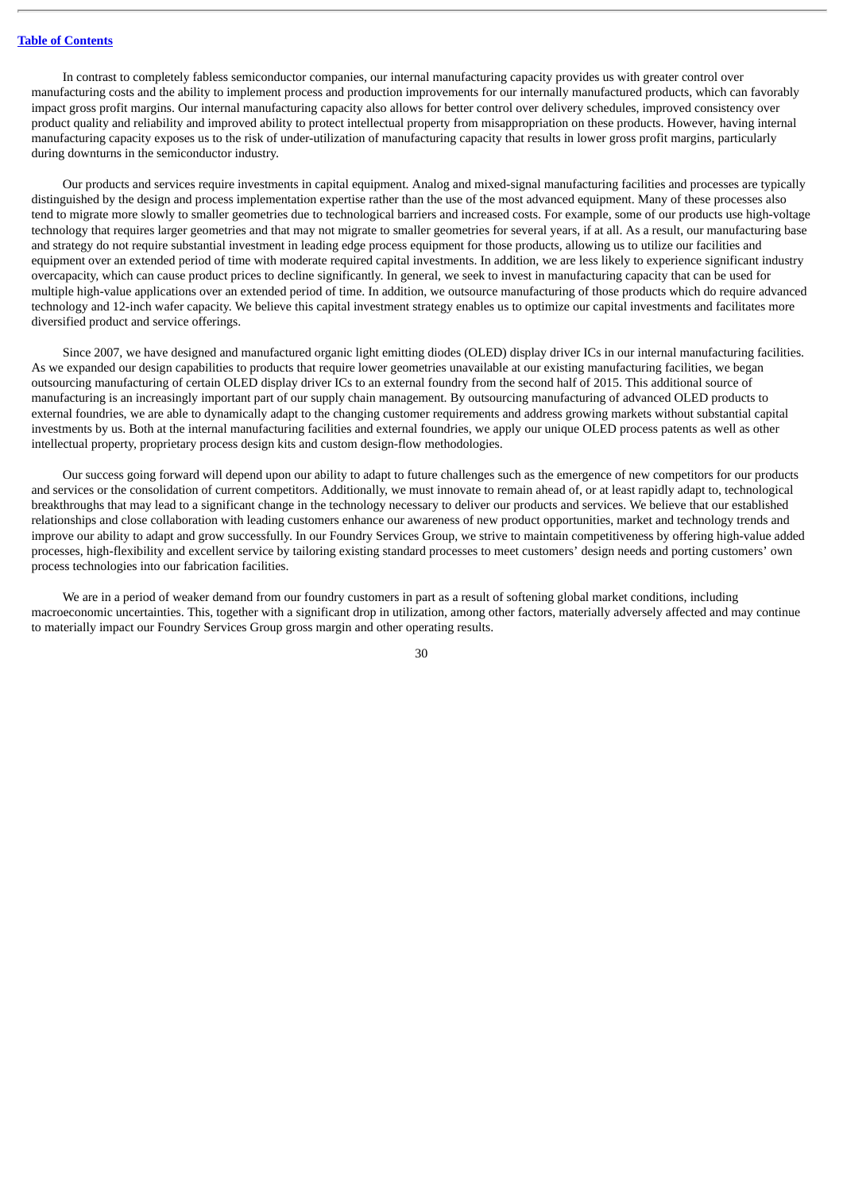#### **Table of [Contents](#page-2-0)**

In contrast to completely fabless semiconductor companies, our internal manufacturing capacity provides us with greater control over manufacturing costs and the ability to implement process and production improvements for our internally manufactured products, which can favorably impact gross profit margins. Our internal manufacturing capacity also allows for better control over delivery schedules, improved consistency over product quality and reliability and improved ability to protect intellectual property from misappropriation on these products. However, having internal manufacturing capacity exposes us to the risk of under-utilization of manufacturing capacity that results in lower gross profit margins, particularly during downturns in the semiconductor industry.

Our products and services require investments in capital equipment. Analog and mixed-signal manufacturing facilities and processes are typically distinguished by the design and process implementation expertise rather than the use of the most advanced equipment. Many of these processes also tend to migrate more slowly to smaller geometries due to technological barriers and increased costs. For example, some of our products use high-voltage technology that requires larger geometries and that may not migrate to smaller geometries for several years, if at all. As a result, our manufacturing base and strategy do not require substantial investment in leading edge process equipment for those products, allowing us to utilize our facilities and equipment over an extended period of time with moderate required capital investments. In addition, we are less likely to experience significant industry overcapacity, which can cause product prices to decline significantly. In general, we seek to invest in manufacturing capacity that can be used for multiple high-value applications over an extended period of time. In addition, we outsource manufacturing of those products which do require advanced technology and 12-inch wafer capacity. We believe this capital investment strategy enables us to optimize our capital investments and facilitates more diversified product and service offerings.

Since 2007, we have designed and manufactured organic light emitting diodes (OLED) display driver ICs in our internal manufacturing facilities. As we expanded our design capabilities to products that require lower geometries unavailable at our existing manufacturing facilities, we began outsourcing manufacturing of certain OLED display driver ICs to an external foundry from the second half of 2015. This additional source of manufacturing is an increasingly important part of our supply chain management. By outsourcing manufacturing of advanced OLED products to external foundries, we are able to dynamically adapt to the changing customer requirements and address growing markets without substantial capital investments by us. Both at the internal manufacturing facilities and external foundries, we apply our unique OLED process patents as well as other intellectual property, proprietary process design kits and custom design-flow methodologies.

Our success going forward will depend upon our ability to adapt to future challenges such as the emergence of new competitors for our products and services or the consolidation of current competitors. Additionally, we must innovate to remain ahead of, or at least rapidly adapt to, technological breakthroughs that may lead to a significant change in the technology necessary to deliver our products and services. We believe that our established relationships and close collaboration with leading customers enhance our awareness of new product opportunities, market and technology trends and improve our ability to adapt and grow successfully. In our Foundry Services Group, we strive to maintain competitiveness by offering high-value added processes, high-flexibility and excellent service by tailoring existing standard processes to meet customers' design needs and porting customers' own process technologies into our fabrication facilities.

We are in a period of weaker demand from our foundry customers in part as a result of softening global market conditions, including macroeconomic uncertainties. This, together with a significant drop in utilization, among other factors, materially adversely affected and may continue to materially impact our Foundry Services Group gross margin and other operating results.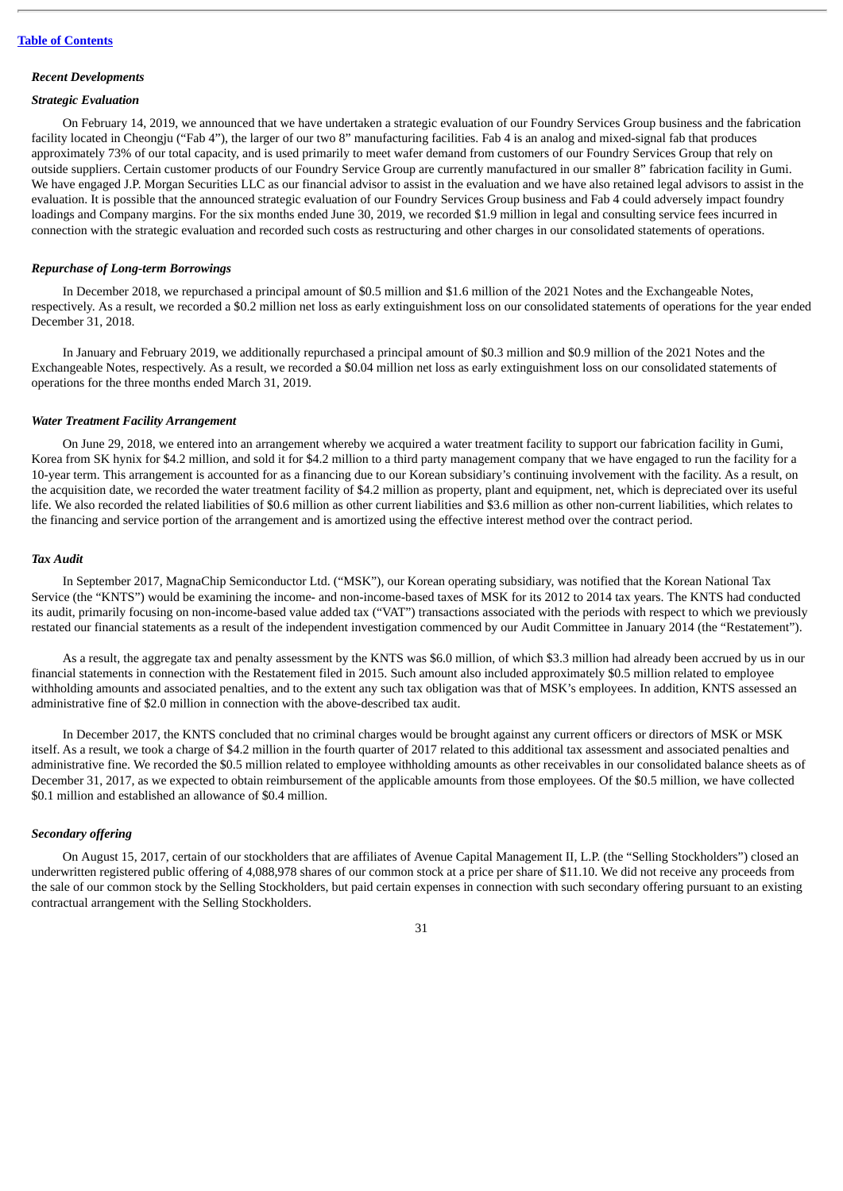#### *Recent Developments*

#### *Strategic Evaluation*

On February 14, 2019, we announced that we have undertaken a strategic evaluation of our Foundry Services Group business and the fabrication facility located in Cheongju ("Fab 4"), the larger of our two 8" manufacturing facilities. Fab 4 is an analog and mixed-signal fab that produces approximately 73% of our total capacity, and is used primarily to meet wafer demand from customers of our Foundry Services Group that rely on outside suppliers. Certain customer products of our Foundry Service Group are currently manufactured in our smaller 8" fabrication facility in Gumi. We have engaged J.P. Morgan Securities LLC as our financial advisor to assist in the evaluation and we have also retained legal advisors to assist in the evaluation. It is possible that the announced strategic evaluation of our Foundry Services Group business and Fab 4 could adversely impact foundry loadings and Company margins. For the six months ended June 30, 2019, we recorded \$1.9 million in legal and consulting service fees incurred in connection with the strategic evaluation and recorded such costs as restructuring and other charges in our consolidated statements of operations.

#### *Repurchase of Long-term Borrowings*

In December 2018, we repurchased a principal amount of \$0.5 million and \$1.6 million of the 2021 Notes and the Exchangeable Notes, respectively. As a result, we recorded a \$0.2 million net loss as early extinguishment loss on our consolidated statements of operations for the year ended December 31, 2018.

In January and February 2019, we additionally repurchased a principal amount of \$0.3 million and \$0.9 million of the 2021 Notes and the Exchangeable Notes, respectively. As a result, we recorded a \$0.04 million net loss as early extinguishment loss on our consolidated statements of operations for the three months ended March 31, 2019.

#### *Water Treatment Facility Arrangement*

On June 29, 2018, we entered into an arrangement whereby we acquired a water treatment facility to support our fabrication facility in Gumi, Korea from SK hynix for \$4.2 million, and sold it for \$4.2 million to a third party management company that we have engaged to run the facility for a 10-year term. This arrangement is accounted for as a financing due to our Korean subsidiary's continuing involvement with the facility. As a result, on the acquisition date, we recorded the water treatment facility of \$4.2 million as property, plant and equipment, net, which is depreciated over its useful life. We also recorded the related liabilities of \$0.6 million as other current liabilities and \$3.6 million as other non-current liabilities, which relates to the financing and service portion of the arrangement and is amortized using the effective interest method over the contract period.

#### *Tax Audit*

In September 2017, MagnaChip Semiconductor Ltd. ("MSK"), our Korean operating subsidiary, was notified that the Korean National Tax Service (the "KNTS") would be examining the income- and non-income-based taxes of MSK for its 2012 to 2014 tax years. The KNTS had conducted its audit, primarily focusing on non-income-based value added tax ("VAT") transactions associated with the periods with respect to which we previously restated our financial statements as a result of the independent investigation commenced by our Audit Committee in January 2014 (the "Restatement").

As a result, the aggregate tax and penalty assessment by the KNTS was \$6.0 million, of which \$3.3 million had already been accrued by us in our financial statements in connection with the Restatement filed in 2015. Such amount also included approximately \$0.5 million related to employee withholding amounts and associated penalties, and to the extent any such tax obligation was that of MSK's employees. In addition, KNTS assessed an administrative fine of \$2.0 million in connection with the above-described tax audit.

In December 2017, the KNTS concluded that no criminal charges would be brought against any current officers or directors of MSK or MSK itself. As a result, we took a charge of \$4.2 million in the fourth quarter of 2017 related to this additional tax assessment and associated penalties and administrative fine. We recorded the \$0.5 million related to employee withholding amounts as other receivables in our consolidated balance sheets as of December 31, 2017, as we expected to obtain reimbursement of the applicable amounts from those employees. Of the \$0.5 million, we have collected \$0.1 million and established an allowance of \$0.4 million.

#### *Secondary offering*

On August 15, 2017, certain of our stockholders that are affiliates of Avenue Capital Management II, L.P. (the "Selling Stockholders") closed an underwritten registered public offering of 4,088,978 shares of our common stock at a price per share of \$11.10. We did not receive any proceeds from the sale of our common stock by the Selling Stockholders, but paid certain expenses in connection with such secondary offering pursuant to an existing contractual arrangement with the Selling Stockholders.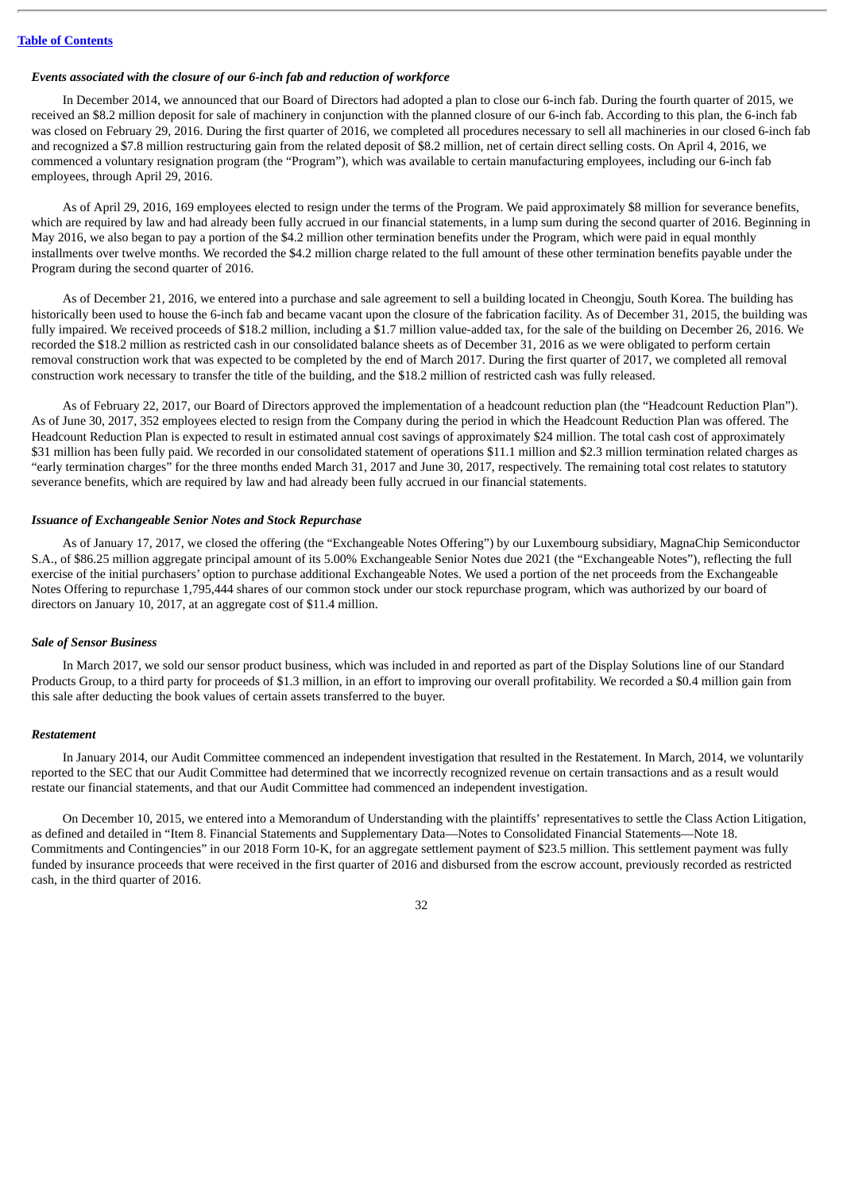#### *Events associated with the closure of our 6-inch fab and reduction of workforce*

In December 2014, we announced that our Board of Directors had adopted a plan to close our 6-inch fab. During the fourth quarter of 2015, we received an \$8.2 million deposit for sale of machinery in conjunction with the planned closure of our 6-inch fab. According to this plan, the 6-inch fab was closed on February 29, 2016. During the first quarter of 2016, we completed all procedures necessary to sell all machineries in our closed 6-inch fab and recognized a \$7.8 million restructuring gain from the related deposit of \$8.2 million, net of certain direct selling costs. On April 4, 2016, we commenced a voluntary resignation program (the "Program"), which was available to certain manufacturing employees, including our 6-inch fab employees, through April 29, 2016.

As of April 29, 2016, 169 employees elected to resign under the terms of the Program. We paid approximately \$8 million for severance benefits, which are required by law and had already been fully accrued in our financial statements, in a lump sum during the second quarter of 2016. Beginning in May 2016, we also began to pay a portion of the \$4.2 million other termination benefits under the Program, which were paid in equal monthly installments over twelve months. We recorded the \$4.2 million charge related to the full amount of these other termination benefits payable under the Program during the second quarter of 2016.

As of December 21, 2016, we entered into a purchase and sale agreement to sell a building located in Cheongju, South Korea. The building has historically been used to house the 6-inch fab and became vacant upon the closure of the fabrication facility. As of December 31, 2015, the building was fully impaired. We received proceeds of \$18.2 million, including a \$1.7 million value-added tax, for the sale of the building on December 26, 2016. We recorded the \$18.2 million as restricted cash in our consolidated balance sheets as of December 31, 2016 as we were obligated to perform certain removal construction work that was expected to be completed by the end of March 2017. During the first quarter of 2017, we completed all removal construction work necessary to transfer the title of the building, and the \$18.2 million of restricted cash was fully released.

As of February 22, 2017, our Board of Directors approved the implementation of a headcount reduction plan (the "Headcount Reduction Plan"). As of June 30, 2017, 352 employees elected to resign from the Company during the period in which the Headcount Reduction Plan was offered. The Headcount Reduction Plan is expected to result in estimated annual cost savings of approximately \$24 million. The total cash cost of approximately \$31 million has been fully paid. We recorded in our consolidated statement of operations \$11.1 million and \$2.3 million termination related charges as "early termination charges" for the three months ended March 31, 2017 and June 30, 2017, respectively. The remaining total cost relates to statutory severance benefits, which are required by law and had already been fully accrued in our financial statements.

#### *Issuance of Exchangeable Senior Notes and Stock Repurchase*

As of January 17, 2017, we closed the offering (the "Exchangeable Notes Offering") by our Luxembourg subsidiary, MagnaChip Semiconductor S.A., of \$86.25 million aggregate principal amount of its 5.00% Exchangeable Senior Notes due 2021 (the "Exchangeable Notes"), reflecting the full exercise of the initial purchasers' option to purchase additional Exchangeable Notes. We used a portion of the net proceeds from the Exchangeable Notes Offering to repurchase 1,795,444 shares of our common stock under our stock repurchase program, which was authorized by our board of directors on January 10, 2017, at an aggregate cost of \$11.4 million.

#### *Sale of Sensor Business*

In March 2017, we sold our sensor product business, which was included in and reported as part of the Display Solutions line of our Standard Products Group, to a third party for proceeds of \$1.3 million, in an effort to improving our overall profitability. We recorded a \$0.4 million gain from this sale after deducting the book values of certain assets transferred to the buyer.

#### *Restatement*

In January 2014, our Audit Committee commenced an independent investigation that resulted in the Restatement. In March, 2014, we voluntarily reported to the SEC that our Audit Committee had determined that we incorrectly recognized revenue on certain transactions and as a result would restate our financial statements, and that our Audit Committee had commenced an independent investigation.

On December 10, 2015, we entered into a Memorandum of Understanding with the plaintiffs' representatives to settle the Class Action Litigation, as defined and detailed in "Item 8. Financial Statements and Supplementary Data—Notes to Consolidated Financial Statements—Note 18. Commitments and Contingencies" in our 2018 Form 10-K, for an aggregate settlement payment of \$23.5 million. This settlement payment was fully funded by insurance proceeds that were received in the first quarter of 2016 and disbursed from the escrow account, previously recorded as restricted cash, in the third quarter of 2016.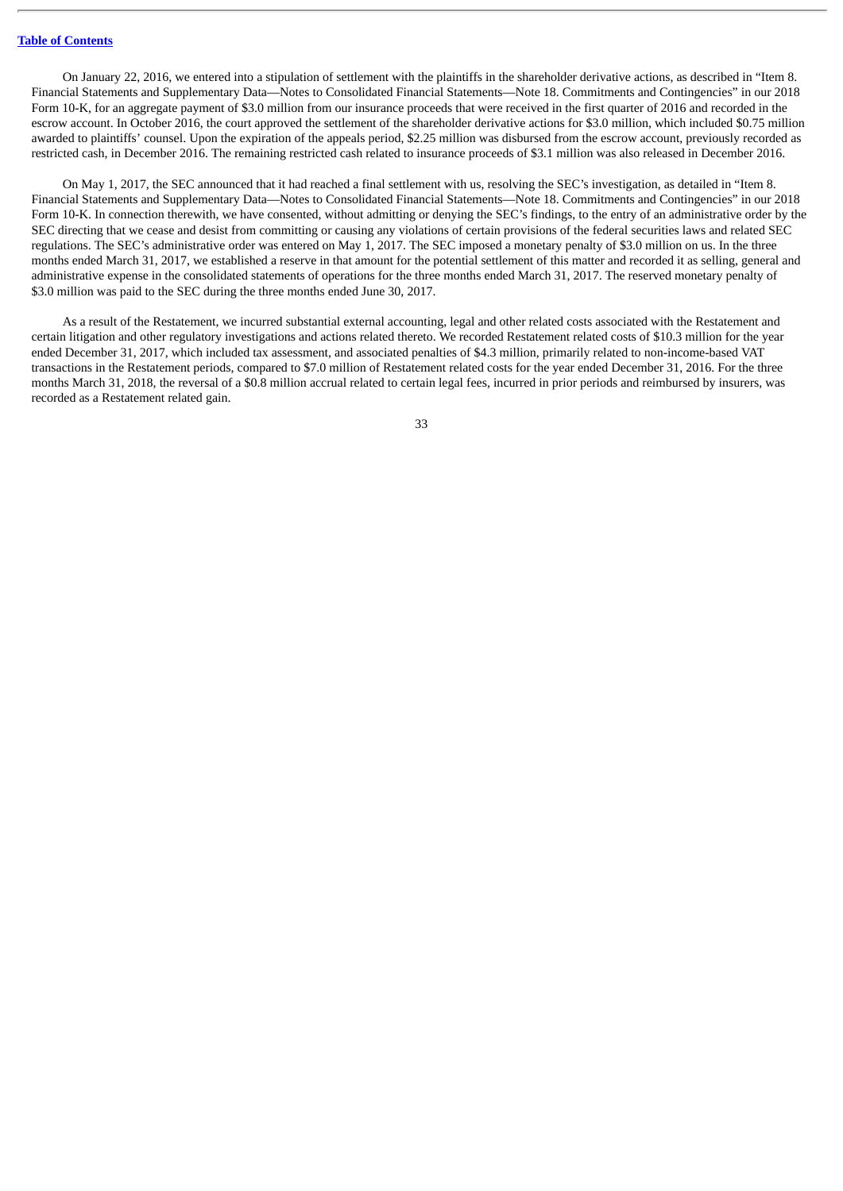On January 22, 2016, we entered into a stipulation of settlement with the plaintiffs in the shareholder derivative actions, as described in "Item 8. Financial Statements and Supplementary Data—Notes to Consolidated Financial Statements—Note 18. Commitments and Contingencies" in our 2018 Form 10-K, for an aggregate payment of \$3.0 million from our insurance proceeds that were received in the first quarter of 2016 and recorded in the escrow account. In October 2016, the court approved the settlement of the shareholder derivative actions for \$3.0 million, which included \$0.75 million awarded to plaintiffs' counsel. Upon the expiration of the appeals period, \$2.25 million was disbursed from the escrow account, previously recorded as restricted cash, in December 2016. The remaining restricted cash related to insurance proceeds of \$3.1 million was also released in December 2016.

On May 1, 2017, the SEC announced that it had reached a final settlement with us, resolving the SEC's investigation, as detailed in "Item 8. Financial Statements and Supplementary Data—Notes to Consolidated Financial Statements—Note 18. Commitments and Contingencies" in our 2018 Form 10-K. In connection therewith, we have consented, without admitting or denying the SEC's findings, to the entry of an administrative order by the SEC directing that we cease and desist from committing or causing any violations of certain provisions of the federal securities laws and related SEC regulations. The SEC's administrative order was entered on May 1, 2017. The SEC imposed a monetary penalty of \$3.0 million on us. In the three months ended March 31, 2017, we established a reserve in that amount for the potential settlement of this matter and recorded it as selling, general and administrative expense in the consolidated statements of operations for the three months ended March 31, 2017. The reserved monetary penalty of \$3.0 million was paid to the SEC during the three months ended June 30, 2017.

As a result of the Restatement, we incurred substantial external accounting, legal and other related costs associated with the Restatement and certain litigation and other regulatory investigations and actions related thereto. We recorded Restatement related costs of \$10.3 million for the year ended December 31, 2017, which included tax assessment, and associated penalties of \$4.3 million, primarily related to non-income-based VAT transactions in the Restatement periods, compared to \$7.0 million of Restatement related costs for the year ended December 31, 2016. For the three months March 31, 2018, the reversal of a \$0.8 million accrual related to certain legal fees, incurred in prior periods and reimbursed by insurers, was recorded as a Restatement related gain.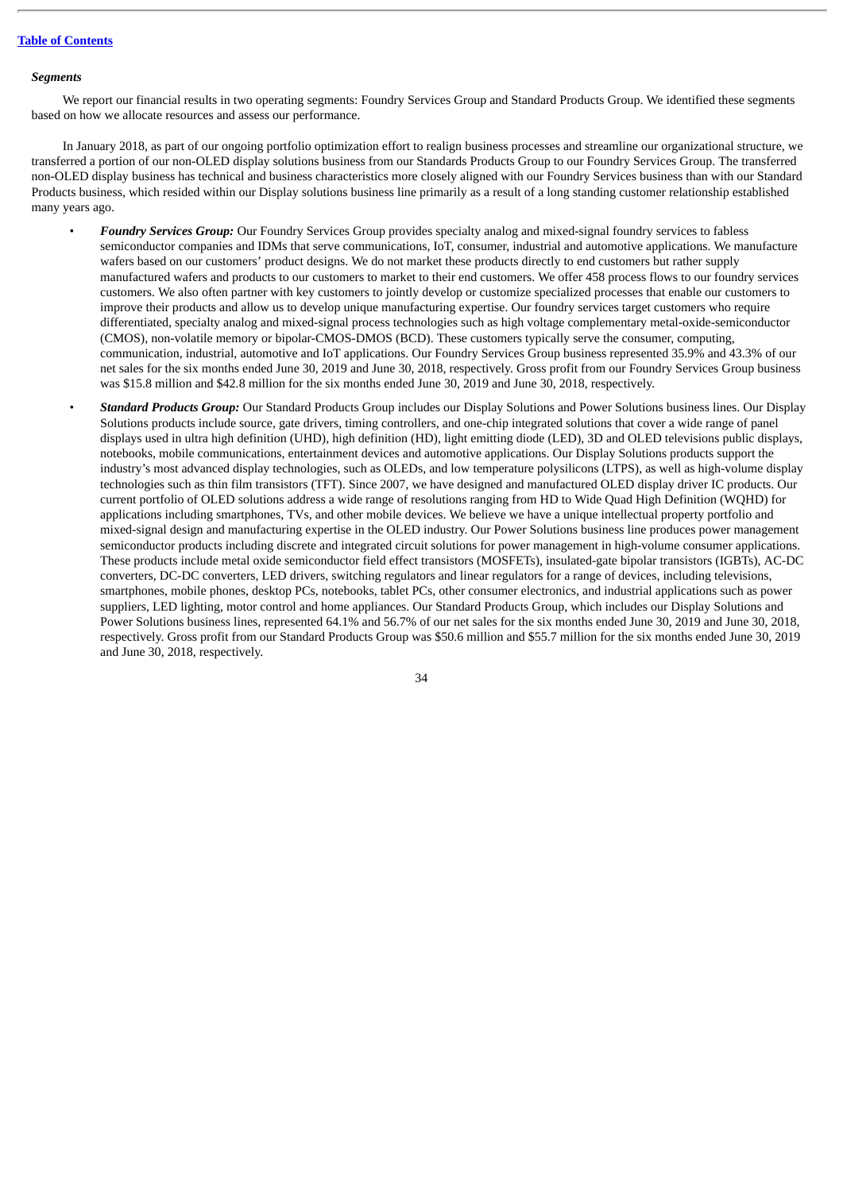#### *Segments*

We report our financial results in two operating segments: Foundry Services Group and Standard Products Group. We identified these segments based on how we allocate resources and assess our performance.

In January 2018, as part of our ongoing portfolio optimization effort to realign business processes and streamline our organizational structure, we transferred a portion of our non-OLED display solutions business from our Standards Products Group to our Foundry Services Group. The transferred non-OLED display business has technical and business characteristics more closely aligned with our Foundry Services business than with our Standard Products business, which resided within our Display solutions business line primarily as a result of a long standing customer relationship established many years ago.

- *Foundry Services Group:* Our Foundry Services Group provides specialty analog and mixed-signal foundry services to fabless semiconductor companies and IDMs that serve communications, IoT, consumer, industrial and automotive applications. We manufacture wafers based on our customers' product designs. We do not market these products directly to end customers but rather supply manufactured wafers and products to our customers to market to their end customers. We offer 458 process flows to our foundry services customers. We also often partner with key customers to jointly develop or customize specialized processes that enable our customers to improve their products and allow us to develop unique manufacturing expertise. Our foundry services target customers who require differentiated, specialty analog and mixed-signal process technologies such as high voltage complementary metal-oxide-semiconductor (CMOS), non-volatile memory or bipolar-CMOS-DMOS (BCD). These customers typically serve the consumer, computing, communication, industrial, automotive and IoT applications. Our Foundry Services Group business represented 35.9% and 43.3% of our net sales for the six months ended June 30, 2019 and June 30, 2018, respectively. Gross profit from our Foundry Services Group business was \$15.8 million and \$42.8 million for the six months ended June 30, 2019 and June 30, 2018, respectively.
- *Standard Products Group:* Our Standard Products Group includes our Display Solutions and Power Solutions business lines. Our Display Solutions products include source, gate drivers, timing controllers, and one-chip integrated solutions that cover a wide range of panel displays used in ultra high definition (UHD), high definition (HD), light emitting diode (LED), 3D and OLED televisions public displays, notebooks, mobile communications, entertainment devices and automotive applications. Our Display Solutions products support the industry's most advanced display technologies, such as OLEDs, and low temperature polysilicons (LTPS), as well as high-volume display technologies such as thin film transistors (TFT). Since 2007, we have designed and manufactured OLED display driver IC products. Our current portfolio of OLED solutions address a wide range of resolutions ranging from HD to Wide Quad High Definition (WQHD) for applications including smartphones, TVs, and other mobile devices. We believe we have a unique intellectual property portfolio and mixed-signal design and manufacturing expertise in the OLED industry. Our Power Solutions business line produces power management semiconductor products including discrete and integrated circuit solutions for power management in high-volume consumer applications. These products include metal oxide semiconductor field effect transistors (MOSFETs), insulated-gate bipolar transistors (IGBTs), AC-DC converters, DC-DC converters, LED drivers, switching regulators and linear regulators for a range of devices, including televisions, smartphones, mobile phones, desktop PCs, notebooks, tablet PCs, other consumer electronics, and industrial applications such as power suppliers, LED lighting, motor control and home appliances. Our Standard Products Group, which includes our Display Solutions and Power Solutions business lines, represented 64.1% and 56.7% of our net sales for the six months ended June 30, 2019 and June 30, 2018, respectively. Gross profit from our Standard Products Group was \$50.6 million and \$55.7 million for the six months ended June 30, 2019 and June 30, 2018, respectively.

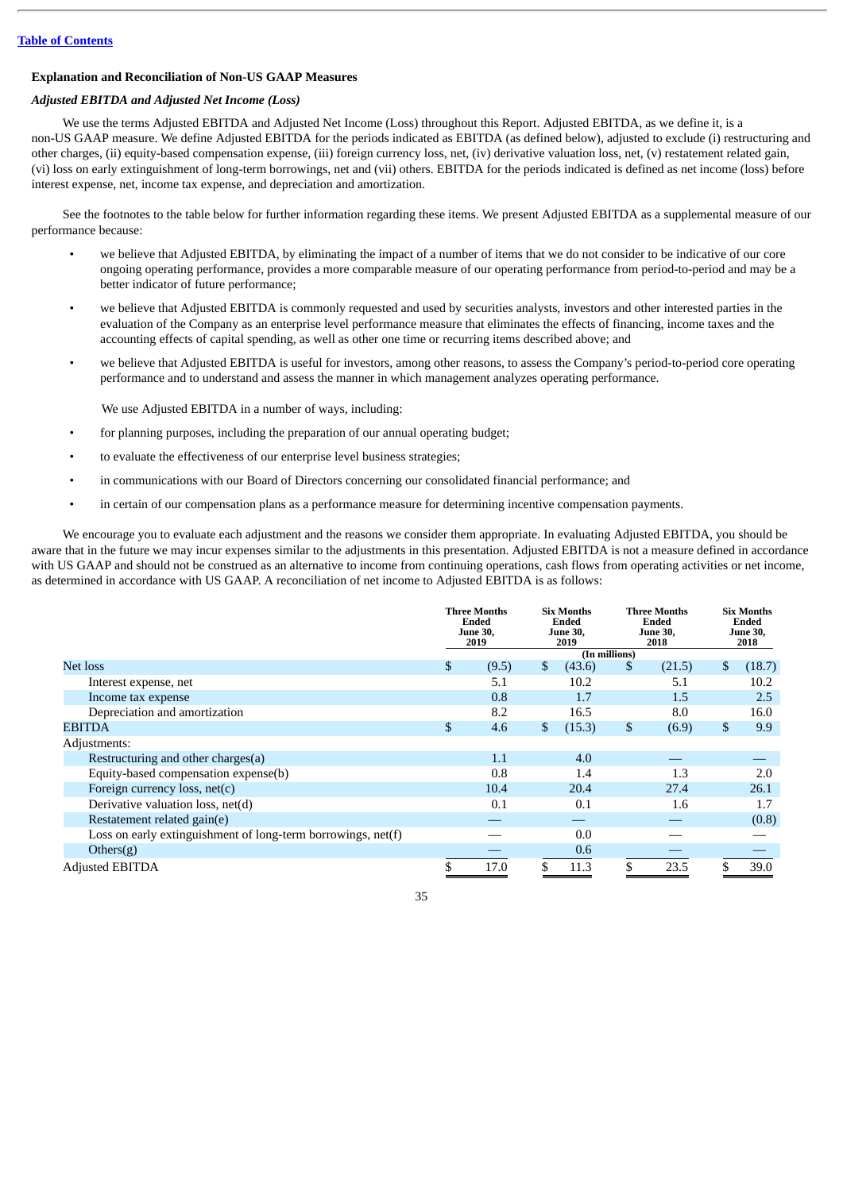### **Explanation and Reconciliation of Non-US GAAP Measures**

### *Adjusted EBITDA and Adjusted Net Income (Loss)*

We use the terms Adjusted EBITDA and Adjusted Net Income (Loss) throughout this Report. Adjusted EBITDA, as we define it, is a non-US GAAP measure. We define Adjusted EBITDA for the periods indicated as EBITDA (as defined below), adjusted to exclude (i) restructuring and other charges, (ii) equity-based compensation expense, (iii) foreign currency loss, net, (iv) derivative valuation loss, net, (v) restatement related gain, (vi) loss on early extinguishment of long-term borrowings, net and (vii) others. EBITDA for the periods indicated is defined as net income (loss) before interest expense, net, income tax expense, and depreciation and amortization.

See the footnotes to the table below for further information regarding these items. We present Adjusted EBITDA as a supplemental measure of our performance because:

- we believe that Adjusted EBITDA, by eliminating the impact of a number of items that we do not consider to be indicative of our core ongoing operating performance, provides a more comparable measure of our operating performance from period-to-period and may be a better indicator of future performance;
- we believe that Adjusted EBITDA is commonly requested and used by securities analysts, investors and other interested parties in the evaluation of the Company as an enterprise level performance measure that eliminates the effects of financing, income taxes and the accounting effects of capital spending, as well as other one time or recurring items described above; and
- we believe that Adjusted EBITDA is useful for investors, among other reasons, to assess the Company's period-to-period core operating performance and to understand and assess the manner in which management analyzes operating performance.

We use Adjusted EBITDA in a number of ways, including:

- for planning purposes, including the preparation of our annual operating budget;
- to evaluate the effectiveness of our enterprise level business strategies;
- in communications with our Board of Directors concerning our consolidated financial performance; and
- in certain of our compensation plans as a performance measure for determining incentive compensation payments.

We encourage you to evaluate each adjustment and the reasons we consider them appropriate. In evaluating Adjusted EBITDA, you should be aware that in the future we may incur expenses similar to the adjustments in this presentation. Adjusted EBITDA is not a measure defined in accordance with US GAAP and should not be construed as an alternative to income from continuing operations, cash flows from operating activities or net income, as determined in accordance with US GAAP. A reconciliation of net income to Adjusted EBITDA is as follows:

|                                                              |    | <b>Three Months</b><br>Ended<br>June 30,<br>2019 | <b>Six Months</b><br>Ended<br><b>June 30,</b><br>2019 |               | <b>Three Months</b><br><b>Ended</b><br>June 30,<br>2018 | <b>Six Months</b><br><b>Ended</b><br><b>June 30,</b><br>2018 |
|--------------------------------------------------------------|----|--------------------------------------------------|-------------------------------------------------------|---------------|---------------------------------------------------------|--------------------------------------------------------------|
|                                                              |    |                                                  |                                                       | (In millions) |                                                         |                                                              |
| Net loss                                                     | \$ | (9.5)                                            | \$<br>(43.6)                                          | S             | (21.5)                                                  | \$<br>(18.7)                                                 |
| Interest expense, net                                        |    | 5.1                                              | 10.2                                                  |               | 5.1                                                     | 10.2                                                         |
| Income tax expense                                           |    | 0.8                                              | 1.7                                                   |               | 1.5                                                     | 2.5                                                          |
| Depreciation and amortization                                |    | 8.2                                              | 16.5                                                  |               | 8.0                                                     | 16.0                                                         |
| EBITDA                                                       | \$ | 4.6                                              | \$<br>(15.3)                                          | \$            | (6.9)                                                   | \$<br>9.9                                                    |
| Adjustments:                                                 |    |                                                  |                                                       |               |                                                         |                                                              |
| Restructuring and other charges(a)                           |    | 1.1                                              | 4.0                                                   |               |                                                         |                                                              |
| Equity-based compensation expense(b)                         |    | 0.8                                              | 1.4                                                   |               | 1.3                                                     | 2.0                                                          |
| Foreign currency loss, $net(c)$                              |    | 10.4                                             | 20.4                                                  |               | 27.4                                                    | 26.1                                                         |
| Derivative valuation loss, net(d)                            |    | 0.1                                              | 0.1                                                   |               | 1.6                                                     | 1.7                                                          |
| Restatement related gain(e)                                  |    |                                                  |                                                       |               |                                                         | (0.8)                                                        |
| Loss on early extinguishment of long-term borrowings, net(f) |    |                                                  | 0.0                                                   |               |                                                         |                                                              |
| Others(g)                                                    |    |                                                  | 0.6                                                   |               |                                                         |                                                              |
| <b>Adjusted EBITDA</b>                                       | S  | 17.0                                             | 11.3                                                  |               | 23.5                                                    | 39.0                                                         |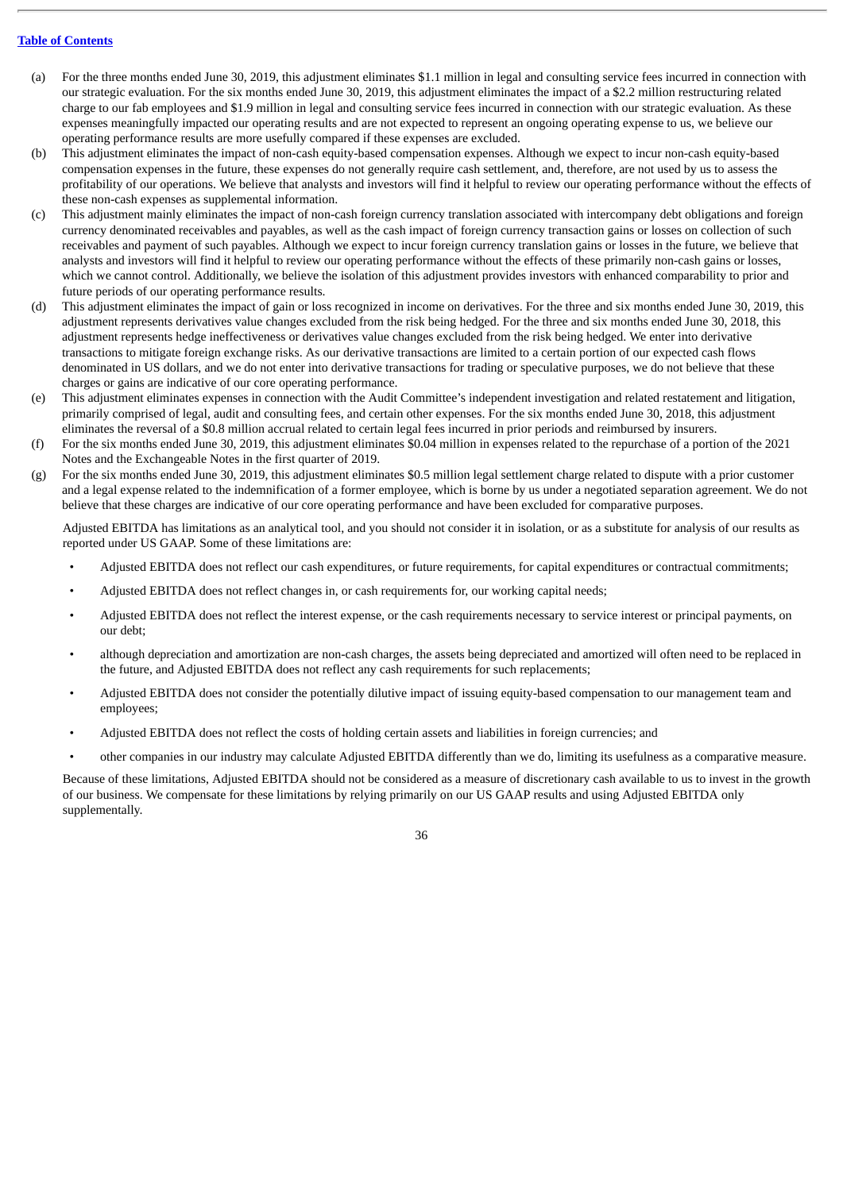#### **Table of [Contents](#page-2-0)**

- (a) For the three months ended June 30, 2019, this adjustment eliminates \$1.1 million in legal and consulting service fees incurred in connection with our strategic evaluation. For the six months ended June 30, 2019, this adjustment eliminates the impact of a \$2.2 million restructuring related charge to our fab employees and \$1.9 million in legal and consulting service fees incurred in connection with our strategic evaluation. As these expenses meaningfully impacted our operating results and are not expected to represent an ongoing operating expense to us, we believe our operating performance results are more usefully compared if these expenses are excluded.
- (b) This adjustment eliminates the impact of non-cash equity-based compensation expenses. Although we expect to incur non-cash equity-based compensation expenses in the future, these expenses do not generally require cash settlement, and, therefore, are not used by us to assess the profitability of our operations. We believe that analysts and investors will find it helpful to review our operating performance without the effects of these non-cash expenses as supplemental information.
- (c) This adjustment mainly eliminates the impact of non-cash foreign currency translation associated with intercompany debt obligations and foreign currency denominated receivables and payables, as well as the cash impact of foreign currency transaction gains or losses on collection of such receivables and payment of such payables. Although we expect to incur foreign currency translation gains or losses in the future, we believe that analysts and investors will find it helpful to review our operating performance without the effects of these primarily non-cash gains or losses, which we cannot control. Additionally, we believe the isolation of this adjustment provides investors with enhanced comparability to prior and future periods of our operating performance results.
- (d) This adjustment eliminates the impact of gain or loss recognized in income on derivatives. For the three and six months ended June 30, 2019, this adjustment represents derivatives value changes excluded from the risk being hedged. For the three and six months ended June 30, 2018, this adjustment represents hedge ineffectiveness or derivatives value changes excluded from the risk being hedged. We enter into derivative transactions to mitigate foreign exchange risks. As our derivative transactions are limited to a certain portion of our expected cash flows denominated in US dollars, and we do not enter into derivative transactions for trading or speculative purposes, we do not believe that these charges or gains are indicative of our core operating performance.
- (e) This adjustment eliminates expenses in connection with the Audit Committee's independent investigation and related restatement and litigation, primarily comprised of legal, audit and consulting fees, and certain other expenses. For the six months ended June 30, 2018, this adjustment eliminates the reversal of a \$0.8 million accrual related to certain legal fees incurred in prior periods and reimbursed by insurers.
- (f) For the six months ended June 30, 2019, this adjustment eliminates \$0.04 million in expenses related to the repurchase of a portion of the 2021 Notes and the Exchangeable Notes in the first quarter of 2019.
- (g) For the six months ended June 30, 2019, this adjustment eliminates \$0.5 million legal settlement charge related to dispute with a prior customer and a legal expense related to the indemnification of a former employee, which is borne by us under a negotiated separation agreement. We do not believe that these charges are indicative of our core operating performance and have been excluded for comparative purposes.

Adjusted EBITDA has limitations as an analytical tool, and you should not consider it in isolation, or as a substitute for analysis of our results as reported under US GAAP. Some of these limitations are:

- Adjusted EBITDA does not reflect our cash expenditures, or future requirements, for capital expenditures or contractual commitments;
- Adjusted EBITDA does not reflect changes in, or cash requirements for, our working capital needs;
- Adjusted EBITDA does not reflect the interest expense, or the cash requirements necessary to service interest or principal payments, on our debt;
- although depreciation and amortization are non-cash charges, the assets being depreciated and amortized will often need to be replaced in the future, and Adjusted EBITDA does not reflect any cash requirements for such replacements;
- Adjusted EBITDA does not consider the potentially dilutive impact of issuing equity-based compensation to our management team and employees;
- Adjusted EBITDA does not reflect the costs of holding certain assets and liabilities in foreign currencies; and
- other companies in our industry may calculate Adjusted EBITDA differently than we do, limiting its usefulness as a comparative measure.

Because of these limitations, Adjusted EBITDA should not be considered as a measure of discretionary cash available to us to invest in the growth of our business. We compensate for these limitations by relying primarily on our US GAAP results and using Adjusted EBITDA only supplementally.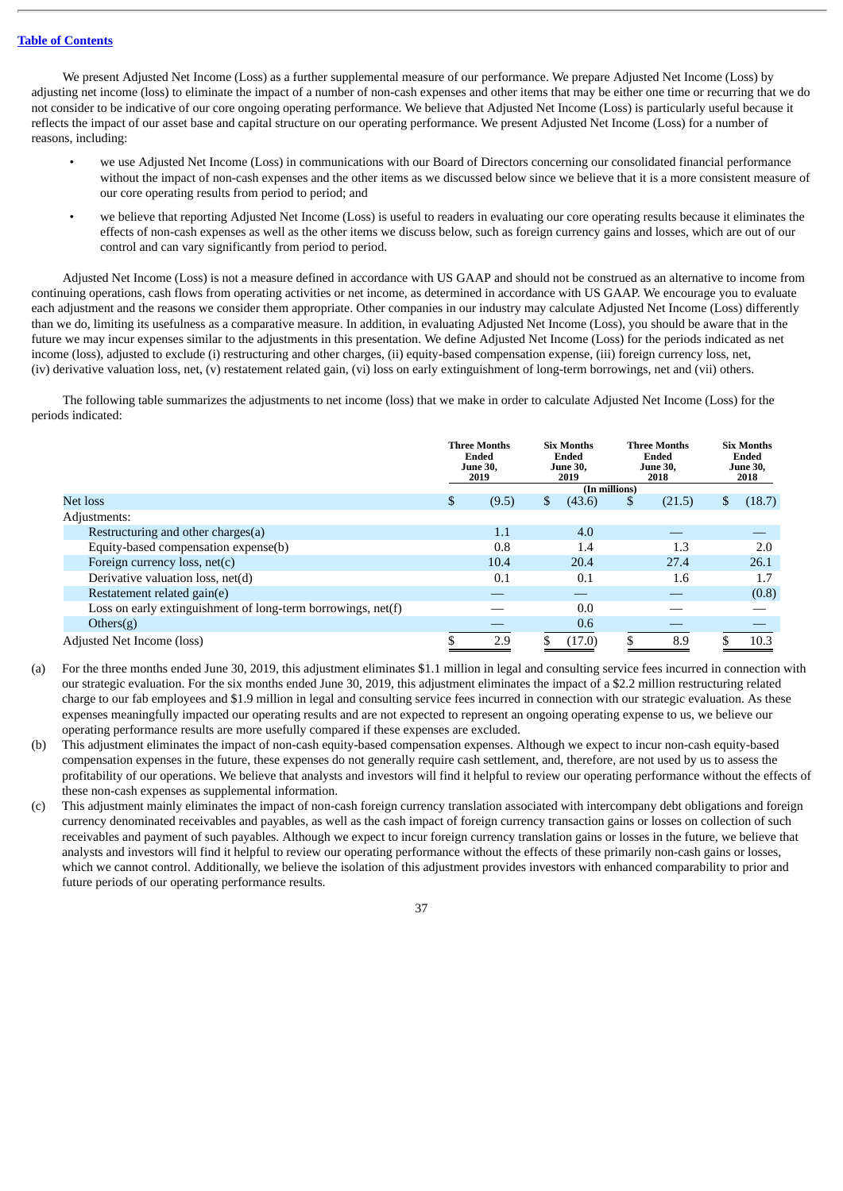We present Adjusted Net Income (Loss) as a further supplemental measure of our performance. We prepare Adjusted Net Income (Loss) by adjusting net income (loss) to eliminate the impact of a number of non-cash expenses and other items that may be either one time or recurring that we do not consider to be indicative of our core ongoing operating performance. We believe that Adjusted Net Income (Loss) is particularly useful because it reflects the impact of our asset base and capital structure on our operating performance. We present Adjusted Net Income (Loss) for a number of reasons, including:

- we use Adjusted Net Income (Loss) in communications with our Board of Directors concerning our consolidated financial performance without the impact of non-cash expenses and the other items as we discussed below since we believe that it is a more consistent measure of our core operating results from period to period; and
- we believe that reporting Adjusted Net Income (Loss) is useful to readers in evaluating our core operating results because it eliminates the effects of non-cash expenses as well as the other items we discuss below, such as foreign currency gains and losses, which are out of our control and can vary significantly from period to period.

Adjusted Net Income (Loss) is not a measure defined in accordance with US GAAP and should not be construed as an alternative to income from continuing operations, cash flows from operating activities or net income, as determined in accordance with US GAAP. We encourage you to evaluate each adjustment and the reasons we consider them appropriate. Other companies in our industry may calculate Adjusted Net Income (Loss) differently than we do, limiting its usefulness as a comparative measure. In addition, in evaluating Adjusted Net Income (Loss), you should be aware that in the future we may incur expenses similar to the adjustments in this presentation. We define Adjusted Net Income (Loss) for the periods indicated as net income (loss), adjusted to exclude (i) restructuring and other charges, (ii) equity-based compensation expense, (iii) foreign currency loss, net, (iv) derivative valuation loss, net, (v) restatement related gain, (vi) loss on early extinguishment of long-term borrowings, net and (vii) others.

The following table summarizes the adjustments to net income (loss) that we make in order to calculate Adjusted Net Income (Loss) for the periods indicated:

|                                                              |    | <b>Six Months</b><br>Ended<br>Ended<br><b>June 30,</b><br><b>June 30,</b><br>2019<br>2019 |    |               |    | Three Months |   |        |  |  |  | <b>Three Months</b><br>Ended<br>June 30,<br>2018 |  |  |  |  |  |  |  | <b>Six Months</b><br>Ended<br><b>June 30,</b><br>2018 |
|--------------------------------------------------------------|----|-------------------------------------------------------------------------------------------|----|---------------|----|--------------|---|--------|--|--|--|--------------------------------------------------|--|--|--|--|--|--|--|-------------------------------------------------------|
|                                                              |    |                                                                                           |    | (In millions) |    |              |   |        |  |  |  |                                                  |  |  |  |  |  |  |  |                                                       |
| Net loss                                                     | \$ | (9.5)                                                                                     | \$ | (43.6)        | \$ | (21.5)       | S | (18.7) |  |  |  |                                                  |  |  |  |  |  |  |  |                                                       |
| Adjustments:                                                 |    |                                                                                           |    |               |    |              |   |        |  |  |  |                                                  |  |  |  |  |  |  |  |                                                       |
| Restructuring and other charges(a)                           |    | 1.1                                                                                       |    | 4.0           |    |              |   |        |  |  |  |                                                  |  |  |  |  |  |  |  |                                                       |
| Equity-based compensation expense(b)                         |    | 0.8                                                                                       |    | 1.4           |    | 1.3          |   | 2.0    |  |  |  |                                                  |  |  |  |  |  |  |  |                                                       |
| Foreign currency loss, $net(c)$                              |    | 10.4                                                                                      |    | 20.4          |    | 27.4         |   | 26.1   |  |  |  |                                                  |  |  |  |  |  |  |  |                                                       |
| Derivative valuation loss, net(d)                            |    | 0.1                                                                                       |    | 0.1           |    | 1.6          |   | 1.7    |  |  |  |                                                  |  |  |  |  |  |  |  |                                                       |
| Restatement related gain(e)                                  |    |                                                                                           |    |               |    |              |   | (0.8)  |  |  |  |                                                  |  |  |  |  |  |  |  |                                                       |
| Loss on early extinguishment of long-term borrowings, net(f) |    |                                                                                           |    | 0.0           |    |              |   |        |  |  |  |                                                  |  |  |  |  |  |  |  |                                                       |
| Others $(g)$                                                 |    |                                                                                           |    | 0.6           |    |              |   |        |  |  |  |                                                  |  |  |  |  |  |  |  |                                                       |
| Adjusted Net Income (loss)                                   | S  | 2.9                                                                                       | \$ | (17.0)        |    | 8.9          |   | 10.3   |  |  |  |                                                  |  |  |  |  |  |  |  |                                                       |

- (a) For the three months ended June 30, 2019, this adjustment eliminates \$1.1 million in legal and consulting service fees incurred in connection with our strategic evaluation. For the six months ended June 30, 2019, this adjustment eliminates the impact of a \$2.2 million restructuring related charge to our fab employees and \$1.9 million in legal and consulting service fees incurred in connection with our strategic evaluation. As these expenses meaningfully impacted our operating results and are not expected to represent an ongoing operating expense to us, we believe our operating performance results are more usefully compared if these expenses are excluded.
- (b) This adjustment eliminates the impact of non-cash equity-based compensation expenses. Although we expect to incur non-cash equity-based compensation expenses in the future, these expenses do not generally require cash settlement, and, therefore, are not used by us to assess the profitability of our operations. We believe that analysts and investors will find it helpful to review our operating performance without the effects of these non-cash expenses as supplemental information.
- (c) This adjustment mainly eliminates the impact of non-cash foreign currency translation associated with intercompany debt obligations and foreign currency denominated receivables and payables, as well as the cash impact of foreign currency transaction gains or losses on collection of such receivables and payment of such payables. Although we expect to incur foreign currency translation gains or losses in the future, we believe that analysts and investors will find it helpful to review our operating performance without the effects of these primarily non-cash gains or losses, which we cannot control. Additionally, we believe the isolation of this adjustment provides investors with enhanced comparability to prior and future periods of our operating performance results.

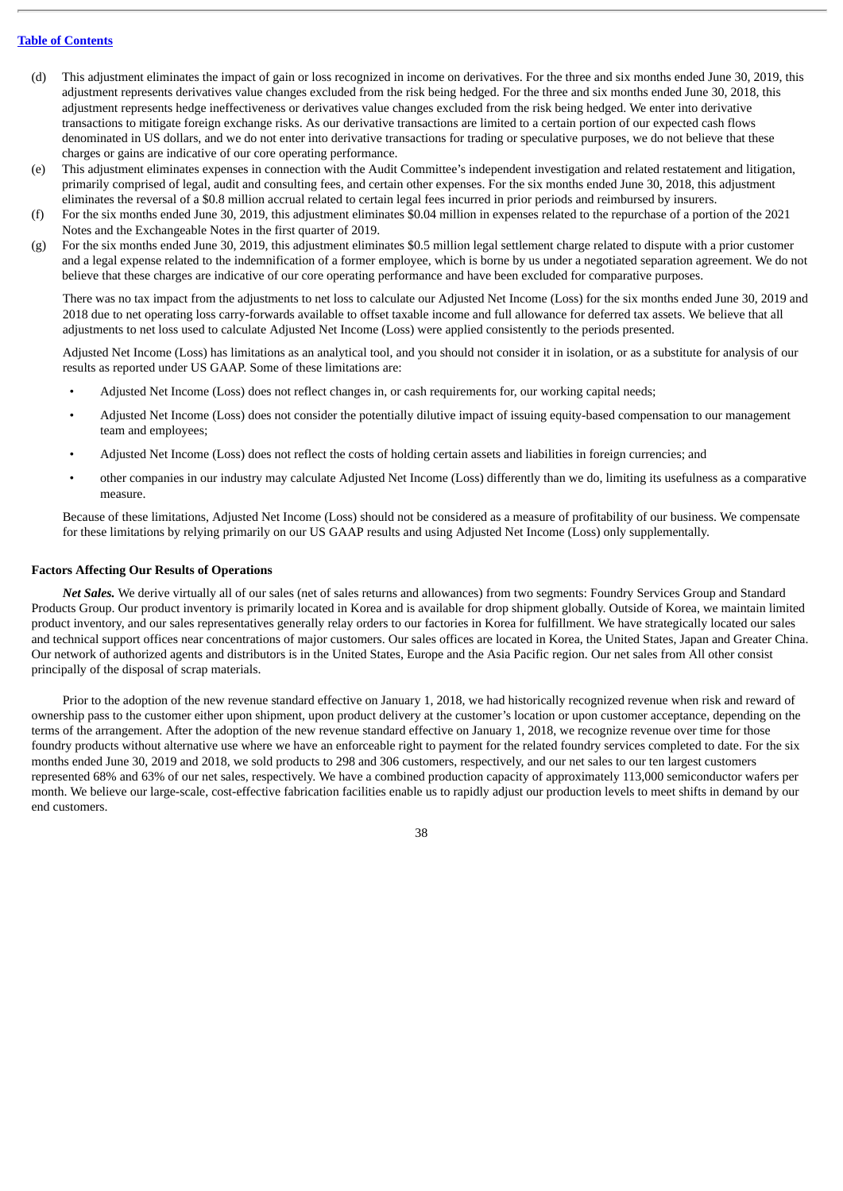#### **Table of [Contents](#page-2-0)**

- (d) This adjustment eliminates the impact of gain or loss recognized in income on derivatives. For the three and six months ended June 30, 2019, this adjustment represents derivatives value changes excluded from the risk being hedged. For the three and six months ended June 30, 2018, this adjustment represents hedge ineffectiveness or derivatives value changes excluded from the risk being hedged. We enter into derivative transactions to mitigate foreign exchange risks. As our derivative transactions are limited to a certain portion of our expected cash flows denominated in US dollars, and we do not enter into derivative transactions for trading or speculative purposes, we do not believe that these charges or gains are indicative of our core operating performance.
- (e) This adjustment eliminates expenses in connection with the Audit Committee's independent investigation and related restatement and litigation, primarily comprised of legal, audit and consulting fees, and certain other expenses. For the six months ended June 30, 2018, this adjustment eliminates the reversal of a \$0.8 million accrual related to certain legal fees incurred in prior periods and reimbursed by insurers.
- (f) For the six months ended June 30, 2019, this adjustment eliminates \$0.04 million in expenses related to the repurchase of a portion of the 2021 Notes and the Exchangeable Notes in the first quarter of 2019.
- (g) For the six months ended June 30, 2019, this adjustment eliminates \$0.5 million legal settlement charge related to dispute with a prior customer and a legal expense related to the indemnification of a former employee, which is borne by us under a negotiated separation agreement. We do not believe that these charges are indicative of our core operating performance and have been excluded for comparative purposes.

There was no tax impact from the adjustments to net loss to calculate our Adjusted Net Income (Loss) for the six months ended June 30, 2019 and 2018 due to net operating loss carry-forwards available to offset taxable income and full allowance for deferred tax assets. We believe that all adjustments to net loss used to calculate Adjusted Net Income (Loss) were applied consistently to the periods presented.

Adjusted Net Income (Loss) has limitations as an analytical tool, and you should not consider it in isolation, or as a substitute for analysis of our results as reported under US GAAP. Some of these limitations are:

- Adjusted Net Income (Loss) does not reflect changes in, or cash requirements for, our working capital needs;
- Adjusted Net Income (Loss) does not consider the potentially dilutive impact of issuing equity-based compensation to our management team and employees;
- Adjusted Net Income (Loss) does not reflect the costs of holding certain assets and liabilities in foreign currencies; and
- other companies in our industry may calculate Adjusted Net Income (Loss) differently than we do, limiting its usefulness as a comparative measure.

Because of these limitations, Adjusted Net Income (Loss) should not be considered as a measure of profitability of our business. We compensate for these limitations by relying primarily on our US GAAP results and using Adjusted Net Income (Loss) only supplementally.

#### **Factors Affecting Our Results of Operations**

*Net Sales.* We derive virtually all of our sales (net of sales returns and allowances) from two segments: Foundry Services Group and Standard Products Group. Our product inventory is primarily located in Korea and is available for drop shipment globally. Outside of Korea, we maintain limited product inventory, and our sales representatives generally relay orders to our factories in Korea for fulfillment. We have strategically located our sales and technical support offices near concentrations of major customers. Our sales offices are located in Korea, the United States, Japan and Greater China. Our network of authorized agents and distributors is in the United States, Europe and the Asia Pacific region. Our net sales from All other consist principally of the disposal of scrap materials.

Prior to the adoption of the new revenue standard effective on January 1, 2018, we had historically recognized revenue when risk and reward of ownership pass to the customer either upon shipment, upon product delivery at the customer's location or upon customer acceptance, depending on the terms of the arrangement. After the adoption of the new revenue standard effective on January 1, 2018, we recognize revenue over time for those foundry products without alternative use where we have an enforceable right to payment for the related foundry services completed to date. For the six months ended June 30, 2019 and 2018, we sold products to 298 and 306 customers, respectively, and our net sales to our ten largest customers represented 68% and 63% of our net sales, respectively. We have a combined production capacity of approximately 113,000 semiconductor wafers per month. We believe our large-scale, cost-effective fabrication facilities enable us to rapidly adjust our production levels to meet shifts in demand by our end customers.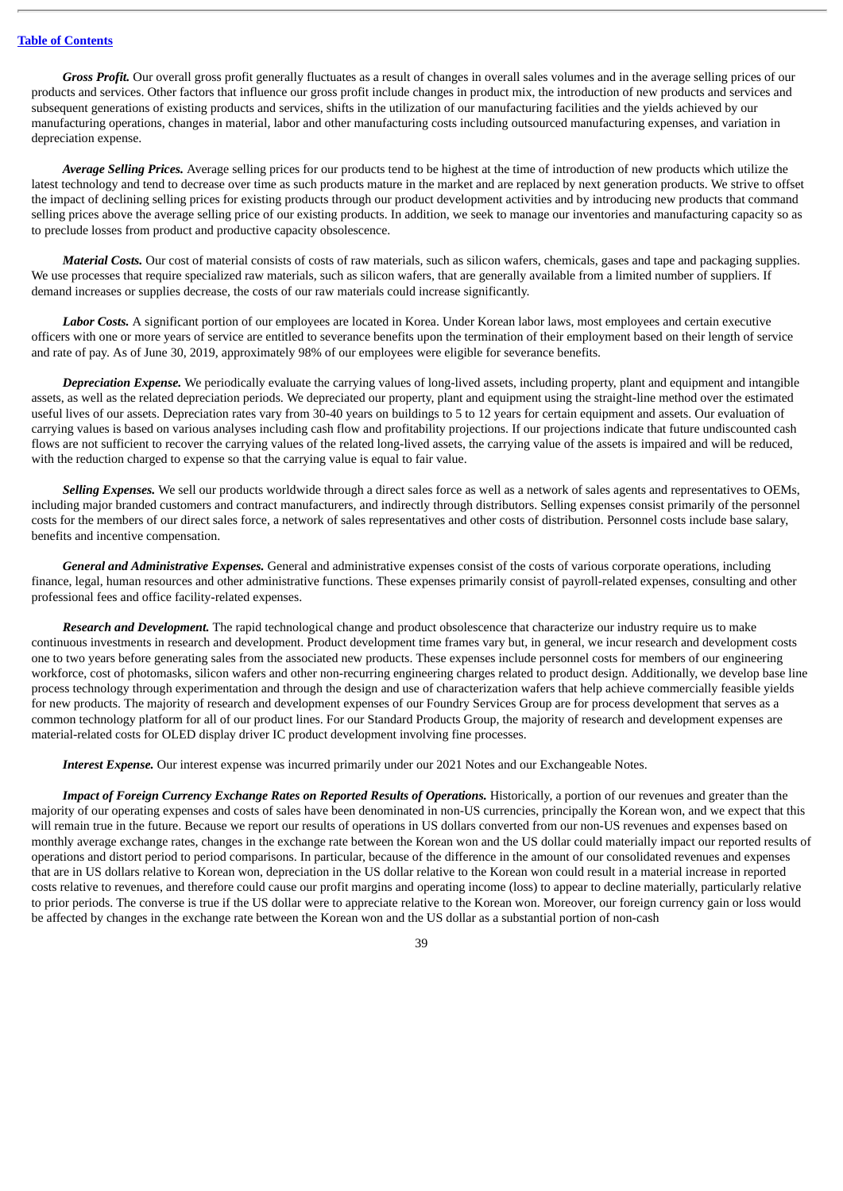*Gross Profit.* Our overall gross profit generally fluctuates as a result of changes in overall sales volumes and in the average selling prices of our products and services. Other factors that influence our gross profit include changes in product mix, the introduction of new products and services and subsequent generations of existing products and services, shifts in the utilization of our manufacturing facilities and the yields achieved by our manufacturing operations, changes in material, labor and other manufacturing costs including outsourced manufacturing expenses, and variation in depreciation expense.

*Average Selling Prices.* Average selling prices for our products tend to be highest at the time of introduction of new products which utilize the latest technology and tend to decrease over time as such products mature in the market and are replaced by next generation products. We strive to offset the impact of declining selling prices for existing products through our product development activities and by introducing new products that command selling prices above the average selling price of our existing products. In addition, we seek to manage our inventories and manufacturing capacity so as to preclude losses from product and productive capacity obsolescence.

*Material Costs.* Our cost of material consists of costs of raw materials, such as silicon wafers, chemicals, gases and tape and packaging supplies. We use processes that require specialized raw materials, such as silicon wafers, that are generally available from a limited number of suppliers. If demand increases or supplies decrease, the costs of our raw materials could increase significantly.

*Labor Costs.* A significant portion of our employees are located in Korea. Under Korean labor laws, most employees and certain executive officers with one or more years of service are entitled to severance benefits upon the termination of their employment based on their length of service and rate of pay. As of June 30, 2019, approximately 98% of our employees were eligible for severance benefits.

*Depreciation Expense.* We periodically evaluate the carrying values of long-lived assets, including property, plant and equipment and intangible assets, as well as the related depreciation periods. We depreciated our property, plant and equipment using the straight-line method over the estimated useful lives of our assets. Depreciation rates vary from 30-40 years on buildings to 5 to 12 years for certain equipment and assets. Our evaluation of carrying values is based on various analyses including cash flow and profitability projections. If our projections indicate that future undiscounted cash flows are not sufficient to recover the carrying values of the related long-lived assets, the carrying value of the assets is impaired and will be reduced, with the reduction charged to expense so that the carrying value is equal to fair value.

*Selling Expenses.* We sell our products worldwide through a direct sales force as well as a network of sales agents and representatives to OEMs, including major branded customers and contract manufacturers, and indirectly through distributors. Selling expenses consist primarily of the personnel costs for the members of our direct sales force, a network of sales representatives and other costs of distribution. Personnel costs include base salary, benefits and incentive compensation.

*General and Administrative Expenses.* General and administrative expenses consist of the costs of various corporate operations, including finance, legal, human resources and other administrative functions. These expenses primarily consist of payroll-related expenses, consulting and other professional fees and office facility-related expenses.

*Research and Development.* The rapid technological change and product obsolescence that characterize our industry require us to make continuous investments in research and development. Product development time frames vary but, in general, we incur research and development costs one to two years before generating sales from the associated new products. These expenses include personnel costs for members of our engineering workforce, cost of photomasks, silicon wafers and other non-recurring engineering charges related to product design. Additionally, we develop base line process technology through experimentation and through the design and use of characterization wafers that help achieve commercially feasible yields for new products. The majority of research and development expenses of our Foundry Services Group are for process development that serves as a common technology platform for all of our product lines. For our Standard Products Group, the majority of research and development expenses are material-related costs for OLED display driver IC product development involving fine processes.

*Interest Expense.* Our interest expense was incurred primarily under our 2021 Notes and our Exchangeable Notes.

*Impact of Foreign Currency Exchange Rates on Reported Results of Operations.* Historically, a portion of our revenues and greater than the majority of our operating expenses and costs of sales have been denominated in non-US currencies, principally the Korean won, and we expect that this will remain true in the future. Because we report our results of operations in US dollars converted from our non-US revenues and expenses based on monthly average exchange rates, changes in the exchange rate between the Korean won and the US dollar could materially impact our reported results of operations and distort period to period comparisons. In particular, because of the difference in the amount of our consolidated revenues and expenses that are in US dollars relative to Korean won, depreciation in the US dollar relative to the Korean won could result in a material increase in reported costs relative to revenues, and therefore could cause our profit margins and operating income (loss) to appear to decline materially, particularly relative to prior periods. The converse is true if the US dollar were to appreciate relative to the Korean won. Moreover, our foreign currency gain or loss would be affected by changes in the exchange rate between the Korean won and the US dollar as a substantial portion of non-cash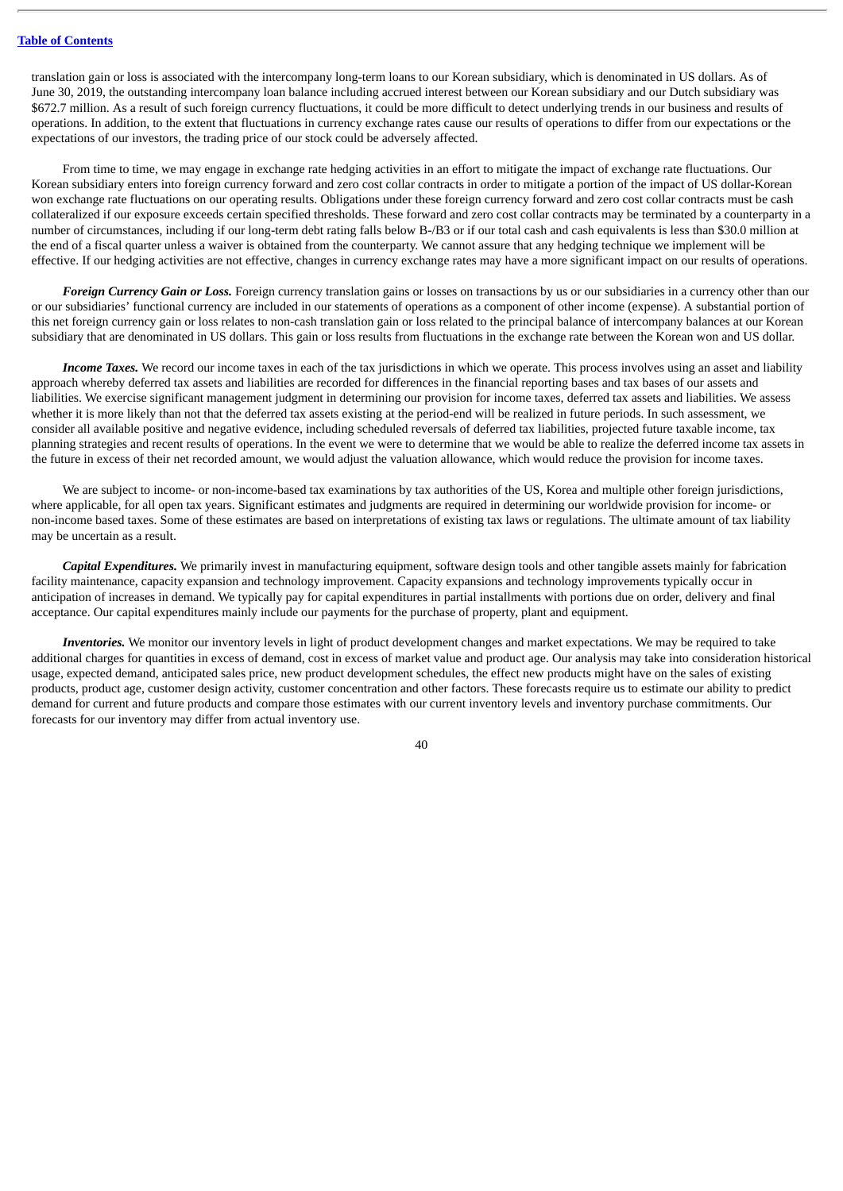translation gain or loss is associated with the intercompany long-term loans to our Korean subsidiary, which is denominated in US dollars. As of June 30, 2019, the outstanding intercompany loan balance including accrued interest between our Korean subsidiary and our Dutch subsidiary was \$672.7 million. As a result of such foreign currency fluctuations, it could be more difficult to detect underlying trends in our business and results of operations. In addition, to the extent that fluctuations in currency exchange rates cause our results of operations to differ from our expectations or the expectations of our investors, the trading price of our stock could be adversely affected.

From time to time, we may engage in exchange rate hedging activities in an effort to mitigate the impact of exchange rate fluctuations. Our Korean subsidiary enters into foreign currency forward and zero cost collar contracts in order to mitigate a portion of the impact of US dollar-Korean won exchange rate fluctuations on our operating results. Obligations under these foreign currency forward and zero cost collar contracts must be cash collateralized if our exposure exceeds certain specified thresholds. These forward and zero cost collar contracts may be terminated by a counterparty in a number of circumstances, including if our long-term debt rating falls below B-/B3 or if our total cash and cash equivalents is less than \$30.0 million at the end of a fiscal quarter unless a waiver is obtained from the counterparty. We cannot assure that any hedging technique we implement will be effective. If our hedging activities are not effective, changes in currency exchange rates may have a more significant impact on our results of operations.

*Foreign Currency Gain or Loss.* Foreign currency translation gains or losses on transactions by us or our subsidiaries in a currency other than our or our subsidiaries' functional currency are included in our statements of operations as a component of other income (expense). A substantial portion of this net foreign currency gain or loss relates to non-cash translation gain or loss related to the principal balance of intercompany balances at our Korean subsidiary that are denominated in US dollars. This gain or loss results from fluctuations in the exchange rate between the Korean won and US dollar.

*Income Taxes.* We record our income taxes in each of the tax jurisdictions in which we operate. This process involves using an asset and liability approach whereby deferred tax assets and liabilities are recorded for differences in the financial reporting bases and tax bases of our assets and liabilities. We exercise significant management judgment in determining our provision for income taxes, deferred tax assets and liabilities. We assess whether it is more likely than not that the deferred tax assets existing at the period-end will be realized in future periods. In such assessment, we consider all available positive and negative evidence, including scheduled reversals of deferred tax liabilities, projected future taxable income, tax planning strategies and recent results of operations. In the event we were to determine that we would be able to realize the deferred income tax assets in the future in excess of their net recorded amount, we would adjust the valuation allowance, which would reduce the provision for income taxes.

We are subject to income- or non-income-based tax examinations by tax authorities of the US, Korea and multiple other foreign jurisdictions, where applicable, for all open tax years. Significant estimates and judgments are required in determining our worldwide provision for income- or non-income based taxes. Some of these estimates are based on interpretations of existing tax laws or regulations. The ultimate amount of tax liability may be uncertain as a result.

*Capital Expenditures.* We primarily invest in manufacturing equipment, software design tools and other tangible assets mainly for fabrication facility maintenance, capacity expansion and technology improvement. Capacity expansions and technology improvements typically occur in anticipation of increases in demand. We typically pay for capital expenditures in partial installments with portions due on order, delivery and final acceptance. Our capital expenditures mainly include our payments for the purchase of property, plant and equipment.

*Inventories.* We monitor our inventory levels in light of product development changes and market expectations. We may be required to take additional charges for quantities in excess of demand, cost in excess of market value and product age. Our analysis may take into consideration historical usage, expected demand, anticipated sales price, new product development schedules, the effect new products might have on the sales of existing products, product age, customer design activity, customer concentration and other factors. These forecasts require us to estimate our ability to predict demand for current and future products and compare those estimates with our current inventory levels and inventory purchase commitments. Our forecasts for our inventory may differ from actual inventory use.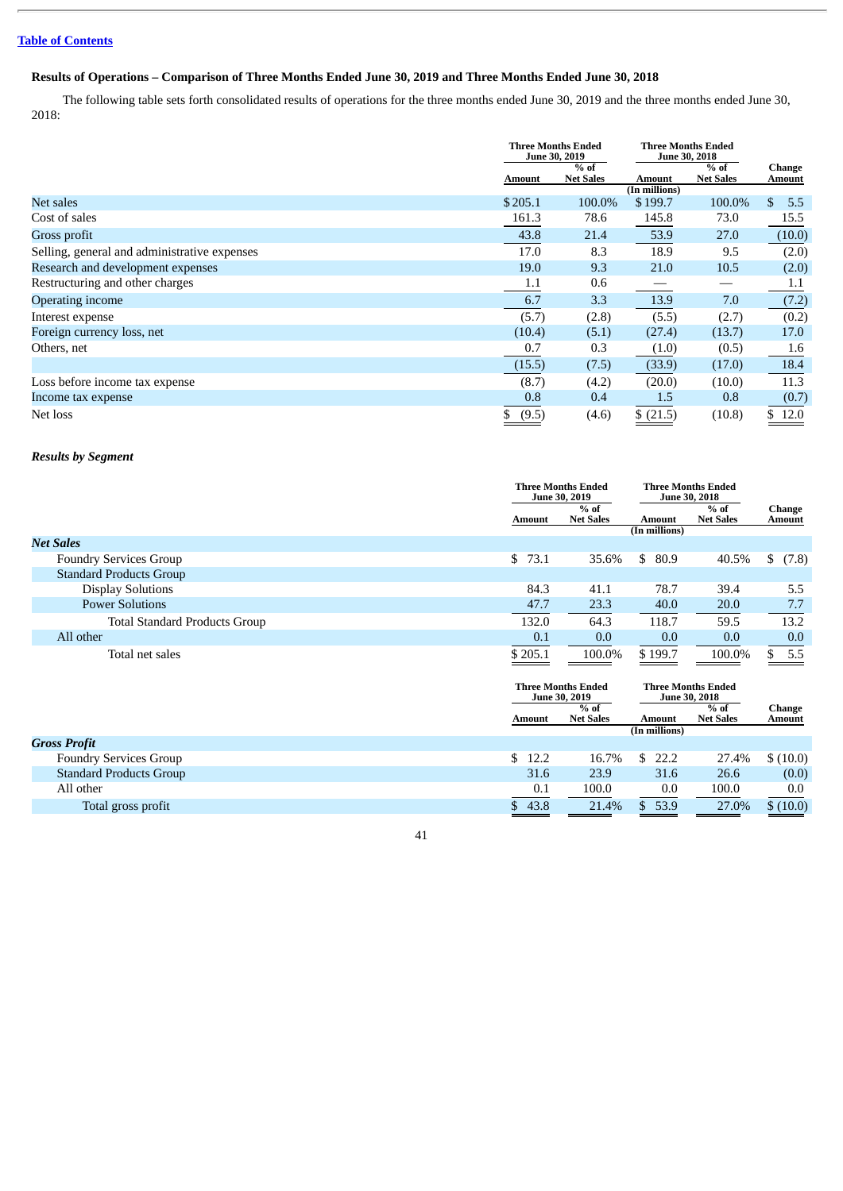### **Table of [Contents](#page-2-0)**

### Results of Operations - Comparison of Three Months Ended June 30, 2019 and Three Months Ended June 30, 2018

The following table sets forth consolidated results of operations for the three months ended June 30, 2019 and the three months ended June 30, 2018:

|                                              |             | <b>Three Months Ended</b><br><b>June 30, 2019</b> |               | <b>Three Months Ended</b><br><b>June 30, 2018</b> |                  |  |
|----------------------------------------------|-------------|---------------------------------------------------|---------------|---------------------------------------------------|------------------|--|
|                                              | Amount      | $%$ of<br><b>Net Sales</b>                        |               | $%$ of<br><b>Net Sales</b>                        | Change<br>Amount |  |
|                                              |             |                                                   | (In millions) |                                                   |                  |  |
| Net sales                                    | \$205.1     | 100.0%                                            | \$199.7       | 100.0%                                            | \$.<br>5.5       |  |
| Cost of sales                                | 161.3       | 78.6                                              | 145.8         | 73.0                                              | 15.5             |  |
| Gross profit                                 | 43.8        | 21.4                                              | 53.9          | 27.0                                              | (10.0)           |  |
| Selling, general and administrative expenses | 17.0        | 8.3                                               | 18.9          | 9.5                                               | (2.0)            |  |
| Research and development expenses            | 19.0        | 9.3                                               | 21.0          | 10.5                                              | (2.0)            |  |
| Restructuring and other charges              | 1.1         | 0.6                                               |               |                                                   | 1.1              |  |
| Operating income                             | 6.7         | 3.3                                               | 13.9          | 7.0                                               | (7.2)            |  |
| Interest expense                             | (5.7)       | (2.8)                                             | (5.5)         | (2.7)                                             | (0.2)            |  |
| Foreign currency loss, net                   | (10.4)      | (5.1)                                             | (27.4)        | (13.7)                                            | 17.0             |  |
| Others, net                                  | 0.7         | 0.3                                               | (1.0)         | (0.5)                                             | 1.6              |  |
|                                              | (15.5)      | (7.5)                                             | (33.9)        | (17.0)                                            | 18.4             |  |
| Loss before income tax expense               | (8.7)       | (4.2)                                             | (20.0)        | (10.0)                                            | 11.3             |  |
| Income tax expense                           | 0.8         | 0.4                                               | 1.5           | 0.8                                               | (0.7)            |  |
| Net loss                                     | \$<br>(9.5) | (4.6)                                             | \$(21.5)      | (10.8)                                            | \$12.0           |  |

### *Results by Segment*

|                                      | Amount     | <b>Three Months Ended</b><br><b>June 30, 2019</b><br>$%$ of<br><b>Net Sales</b> |               | <b>Three Months Ended</b><br><b>June 30, 2018</b><br>$%$ of<br><b>Net Sales</b> | Change<br><b>Amount</b> |
|--------------------------------------|------------|---------------------------------------------------------------------------------|---------------|---------------------------------------------------------------------------------|-------------------------|
|                                      |            |                                                                                 | (In millions) |                                                                                 |                         |
| <b>Net Sales</b>                     |            |                                                                                 |               |                                                                                 |                         |
| <b>Foundry Services Group</b>        | \$<br>73.1 | 35.6%                                                                           | S.<br>80.9    | 40.5%                                                                           | (7.8)<br>S.             |
| <b>Standard Products Group</b>       |            |                                                                                 |               |                                                                                 |                         |
| <b>Display Solutions</b>             | 84.3       | 41.1                                                                            | 78.7          | 39.4                                                                            | 5.5                     |
| <b>Power Solutions</b>               | 47.7       | 23.3                                                                            | 40.0          | 20.0                                                                            | 7.7                     |
| <b>Total Standard Products Group</b> | 132.0      | 64.3                                                                            | 118.7         | 59.5                                                                            | 13.2                    |
| All other                            | 0.1        | 0.0                                                                             | 0.0           | 0.0                                                                             | 0.0                     |
| Total net sales                      | \$205.1    | 100.0%                                                                          | \$199.7       | 100.0%                                                                          | 5.5<br>$\mathcal{S}$    |

|                                |        | <b>Three Months Ended</b><br><b>June 30, 2019</b> |                         | <b>Three Months Ended</b><br><b>June 30, 2018</b> |                  |
|--------------------------------|--------|---------------------------------------------------|-------------------------|---------------------------------------------------|------------------|
|                                | Amount | $%$ of<br><b>Net Sales</b>                        | Amount<br>(In millions) | $%$ of<br><b>Net Sales</b>                        | Change<br>Amount |
| <b>Gross Profit</b>            |        |                                                   |                         |                                                   |                  |
| <b>Foundry Services Group</b>  | \$12.2 | 16.7%                                             | 22.2                    | 27.4%                                             | \$(10.0)         |
| <b>Standard Products Group</b> | 31.6   | 23.9                                              | 31.6                    | 26.6                                              | (0.0)            |
| All other                      | 0.1    | 100.0                                             | 0.0                     | 100.0                                             | 0.0              |
| Total gross profit             | \$43.8 | 21.4%                                             | \$53.9                  | 27.0%                                             | \$(10.0)         |

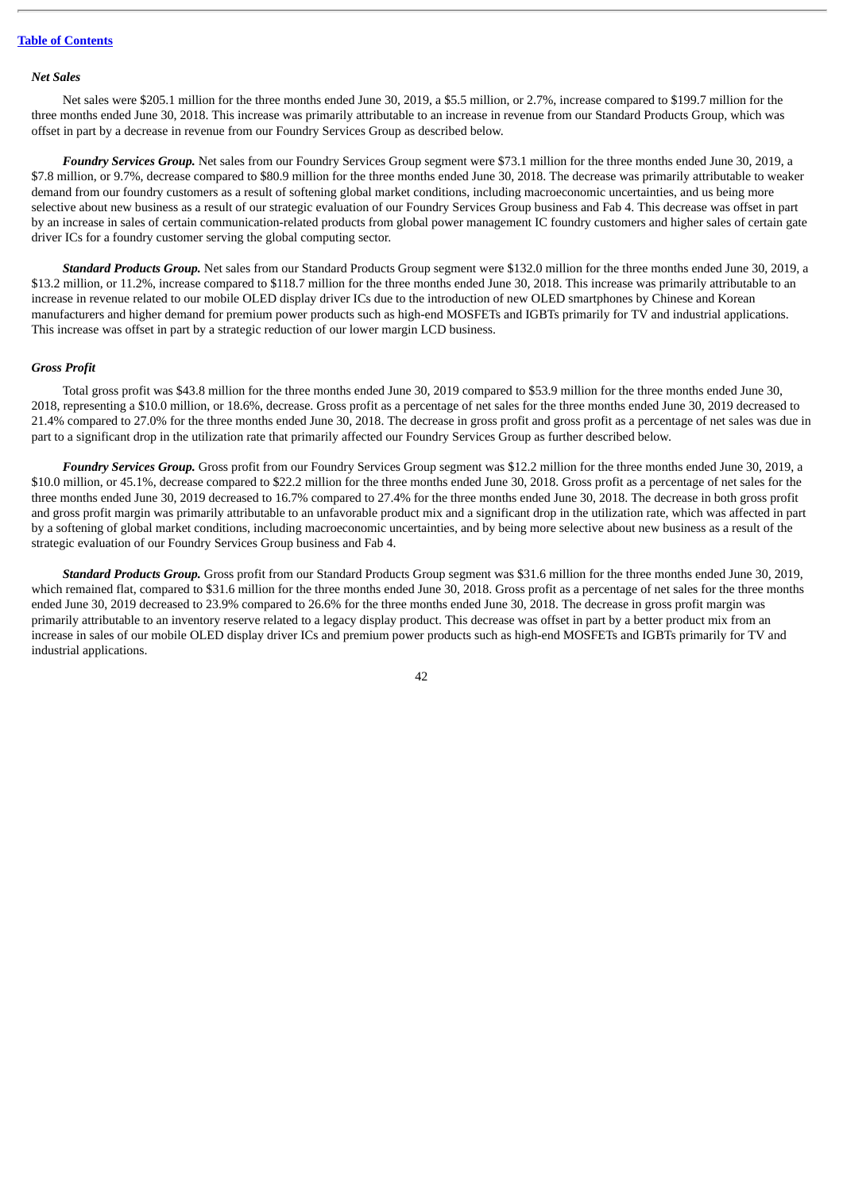#### *Net Sales*

Net sales were \$205.1 million for the three months ended June 30, 2019, a \$5.5 million, or 2.7%, increase compared to \$199.7 million for the three months ended June 30, 2018. This increase was primarily attributable to an increase in revenue from our Standard Products Group, which was offset in part by a decrease in revenue from our Foundry Services Group as described below.

*Foundry Services Group.* Net sales from our Foundry Services Group segment were \$73.1 million for the three months ended June 30, 2019, a \$7.8 million, or 9.7%, decrease compared to \$80.9 million for the three months ended June 30, 2018. The decrease was primarily attributable to weaker demand from our foundry customers as a result of softening global market conditions, including macroeconomic uncertainties, and us being more selective about new business as a result of our strategic evaluation of our Foundry Services Group business and Fab 4. This decrease was offset in part by an increase in sales of certain communication-related products from global power management IC foundry customers and higher sales of certain gate driver ICs for a foundry customer serving the global computing sector.

*Standard Products Group.* Net sales from our Standard Products Group segment were \$132.0 million for the three months ended June 30, 2019, a \$13.2 million, or 11.2%, increase compared to \$118.7 million for the three months ended June 30, 2018. This increase was primarily attributable to an increase in revenue related to our mobile OLED display driver ICs due to the introduction of new OLED smartphones by Chinese and Korean manufacturers and higher demand for premium power products such as high-end MOSFETs and IGBTs primarily for TV and industrial applications. This increase was offset in part by a strategic reduction of our lower margin LCD business.

#### *Gross Profit*

Total gross profit was \$43.8 million for the three months ended June 30, 2019 compared to \$53.9 million for the three months ended June 30, 2018, representing a \$10.0 million, or 18.6%, decrease. Gross profit as a percentage of net sales for the three months ended June 30, 2019 decreased to 21.4% compared to 27.0% for the three months ended June 30, 2018. The decrease in gross profit and gross profit as a percentage of net sales was due in part to a significant drop in the utilization rate that primarily affected our Foundry Services Group as further described below.

*Foundry Services Group.* Gross profit from our Foundry Services Group segment was \$12.2 million for the three months ended June 30, 2019, a \$10.0 million, or 45.1%, decrease compared to \$22.2 million for the three months ended June 30, 2018. Gross profit as a percentage of net sales for the three months ended June 30, 2019 decreased to 16.7% compared to 27.4% for the three months ended June 30, 2018. The decrease in both gross profit and gross profit margin was primarily attributable to an unfavorable product mix and a significant drop in the utilization rate, which was affected in part by a softening of global market conditions, including macroeconomic uncertainties, and by being more selective about new business as a result of the strategic evaluation of our Foundry Services Group business and Fab 4.

*Standard Products Group.* Gross profit from our Standard Products Group segment was \$31.6 million for the three months ended June 30, 2019, which remained flat, compared to \$31.6 million for the three months ended June 30, 2018. Gross profit as a percentage of net sales for the three months ended June 30, 2019 decreased to 23.9% compared to 26.6% for the three months ended June 30, 2018. The decrease in gross profit margin was primarily attributable to an inventory reserve related to a legacy display product. This decrease was offset in part by a better product mix from an increase in sales of our mobile OLED display driver ICs and premium power products such as high-end MOSFETs and IGBTs primarily for TV and industrial applications.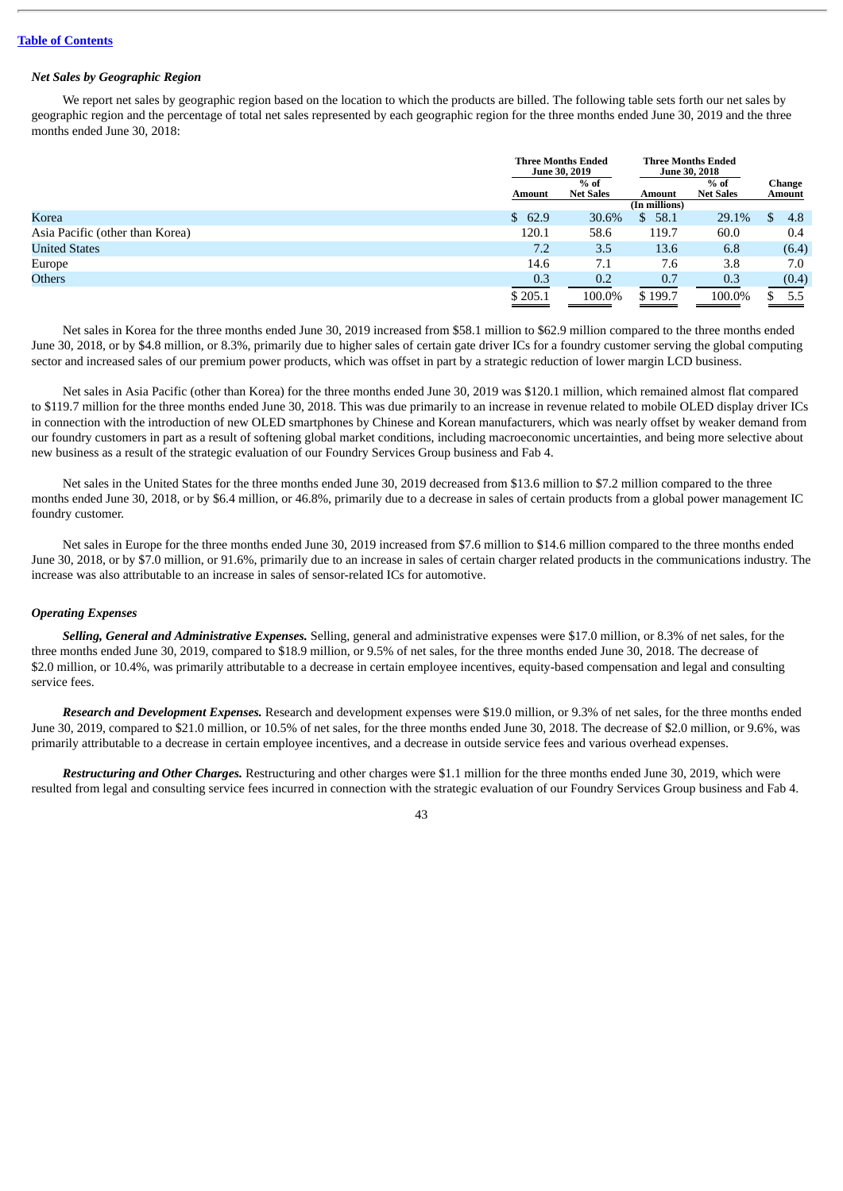#### *Net Sales by Geographic Region*

We report net sales by geographic region based on the location to which the products are billed. The following table sets forth our net sales by geographic region and the percentage of total net sales represented by each geographic region for the three months ended June 30, 2019 and the three months ended June 30, 2018:

|                                 |         | <b>Three Months Ended</b><br>June 30, 2019 |                       | <b>Three Months Ended</b><br><b>June 30, 2018</b> |                  |
|---------------------------------|---------|--------------------------------------------|-----------------------|---------------------------------------------------|------------------|
|                                 | Amount  | $%$ of<br><b>Net Sales</b>                 | Amount                | $%$ of<br><b>Net Sales</b>                        | Change<br>Amount |
|                                 |         |                                            | (In millions)         |                                                   |                  |
| Korea                           | \$62.9  | 30.6%                                      | 58.1<br><sup>\$</sup> | 29.1%                                             | \$<br>4.8        |
| Asia Pacific (other than Korea) | 120.1   | 58.6                                       | 119.7                 | 60.0                                              | 0.4              |
| <b>United States</b>            | 7.2     | 3.5                                        | 13.6                  | 6.8                                               | (6.4)            |
| Europe                          | 14.6    | 7.1                                        | 7.6                   | 3.8                                               | 7.0              |
| <b>Others</b>                   | 0.3     | 0.2                                        | 0.7                   | 0.3                                               | (0.4)            |
|                                 | \$205.1 | 100.0%                                     | \$199.7               | 100.0%                                            | 5.5              |

Net sales in Korea for the three months ended June 30, 2019 increased from \$58.1 million to \$62.9 million compared to the three months ended June 30, 2018, or by \$4.8 million, or 8.3%, primarily due to higher sales of certain gate driver ICs for a foundry customer serving the global computing sector and increased sales of our premium power products, which was offset in part by a strategic reduction of lower margin LCD business.

Net sales in Asia Pacific (other than Korea) for the three months ended June 30, 2019 was \$120.1 million, which remained almost flat compared to \$119.7 million for the three months ended June 30, 2018. This was due primarily to an increase in revenue related to mobile OLED display driver ICs in connection with the introduction of new OLED smartphones by Chinese and Korean manufacturers, which was nearly offset by weaker demand from our foundry customers in part as a result of softening global market conditions, including macroeconomic uncertainties, and being more selective about new business as a result of the strategic evaluation of our Foundry Services Group business and Fab 4.

Net sales in the United States for the three months ended June 30, 2019 decreased from \$13.6 million to \$7.2 million compared to the three months ended June 30, 2018, or by \$6.4 million, or 46.8%, primarily due to a decrease in sales of certain products from a global power management IC foundry customer.

Net sales in Europe for the three months ended June 30, 2019 increased from \$7.6 million to \$14.6 million compared to the three months ended June 30, 2018, or by \$7.0 million, or 91.6%, primarily due to an increase in sales of certain charger related products in the communications industry. The increase was also attributable to an increase in sales of sensor-related ICs for automotive.

#### *Operating Expenses*

*Selling, General and Administrative Expenses.* Selling, general and administrative expenses were \$17.0 million, or 8.3% of net sales, for the three months ended June 30, 2019, compared to \$18.9 million, or 9.5% of net sales, for the three months ended June 30, 2018. The decrease of \$2.0 million, or 10.4%, was primarily attributable to a decrease in certain employee incentives, equity-based compensation and legal and consulting service fees.

*Research and Development Expenses.* Research and development expenses were \$19.0 million, or 9.3% of net sales, for the three months ended June 30, 2019, compared to \$21.0 million, or 10.5% of net sales, for the three months ended June 30, 2018. The decrease of \$2.0 million, or 9.6%, was primarily attributable to a decrease in certain employee incentives, and a decrease in outside service fees and various overhead expenses.

*Restructuring and Other Charges.* Restructuring and other charges were \$1.1 million for the three months ended June 30, 2019, which were resulted from legal and consulting service fees incurred in connection with the strategic evaluation of our Foundry Services Group business and Fab 4.

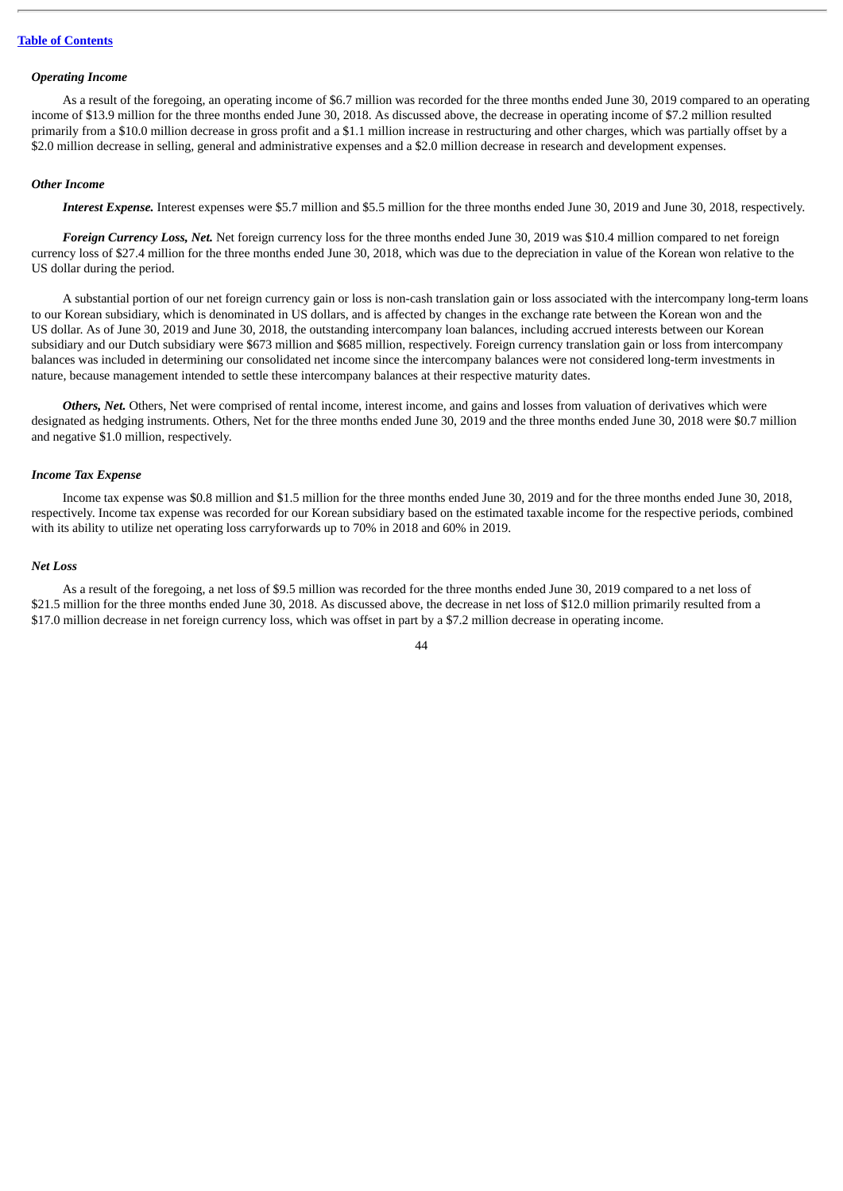#### *Operating Income*

As a result of the foregoing, an operating income of \$6.7 million was recorded for the three months ended June 30, 2019 compared to an operating income of \$13.9 million for the three months ended June 30, 2018. As discussed above, the decrease in operating income of \$7.2 million resulted primarily from a \$10.0 million decrease in gross profit and a \$1.1 million increase in restructuring and other charges, which was partially offset by a \$2.0 million decrease in selling, general and administrative expenses and a \$2.0 million decrease in research and development expenses.

#### *Other Income*

*Interest Expense.* Interest expenses were \$5.7 million and \$5.5 million for the three months ended June 30, 2019 and June 30, 2018, respectively.

*Foreign Currency Loss, Net.* Net foreign currency loss for the three months ended June 30, 2019 was \$10.4 million compared to net foreign currency loss of \$27.4 million for the three months ended June 30, 2018, which was due to the depreciation in value of the Korean won relative to the US dollar during the period.

A substantial portion of our net foreign currency gain or loss is non-cash translation gain or loss associated with the intercompany long-term loans to our Korean subsidiary, which is denominated in US dollars, and is affected by changes in the exchange rate between the Korean won and the US dollar. As of June 30, 2019 and June 30, 2018, the outstanding intercompany loan balances, including accrued interests between our Korean subsidiary and our Dutch subsidiary were \$673 million and \$685 million, respectively. Foreign currency translation gain or loss from intercompany balances was included in determining our consolidated net income since the intercompany balances were not considered long-term investments in nature, because management intended to settle these intercompany balances at their respective maturity dates.

*Others, Net.* Others, Net were comprised of rental income, interest income, and gains and losses from valuation of derivatives which were designated as hedging instruments. Others, Net for the three months ended June 30, 2019 and the three months ended June 30, 2018 were \$0.7 million and negative \$1.0 million, respectively.

#### *Income Tax Expense*

Income tax expense was \$0.8 million and \$1.5 million for the three months ended June 30, 2019 and for the three months ended June 30, 2018, respectively. Income tax expense was recorded for our Korean subsidiary based on the estimated taxable income for the respective periods, combined with its ability to utilize net operating loss carryforwards up to 70% in 2018 and 60% in 2019.

#### *Net Loss*

As a result of the foregoing, a net loss of \$9.5 million was recorded for the three months ended June 30, 2019 compared to a net loss of \$21.5 million for the three months ended June 30, 2018. As discussed above, the decrease in net loss of \$12.0 million primarily resulted from a \$17.0 million decrease in net foreign currency loss, which was offset in part by a \$7.2 million decrease in operating income.

 $\overline{A}$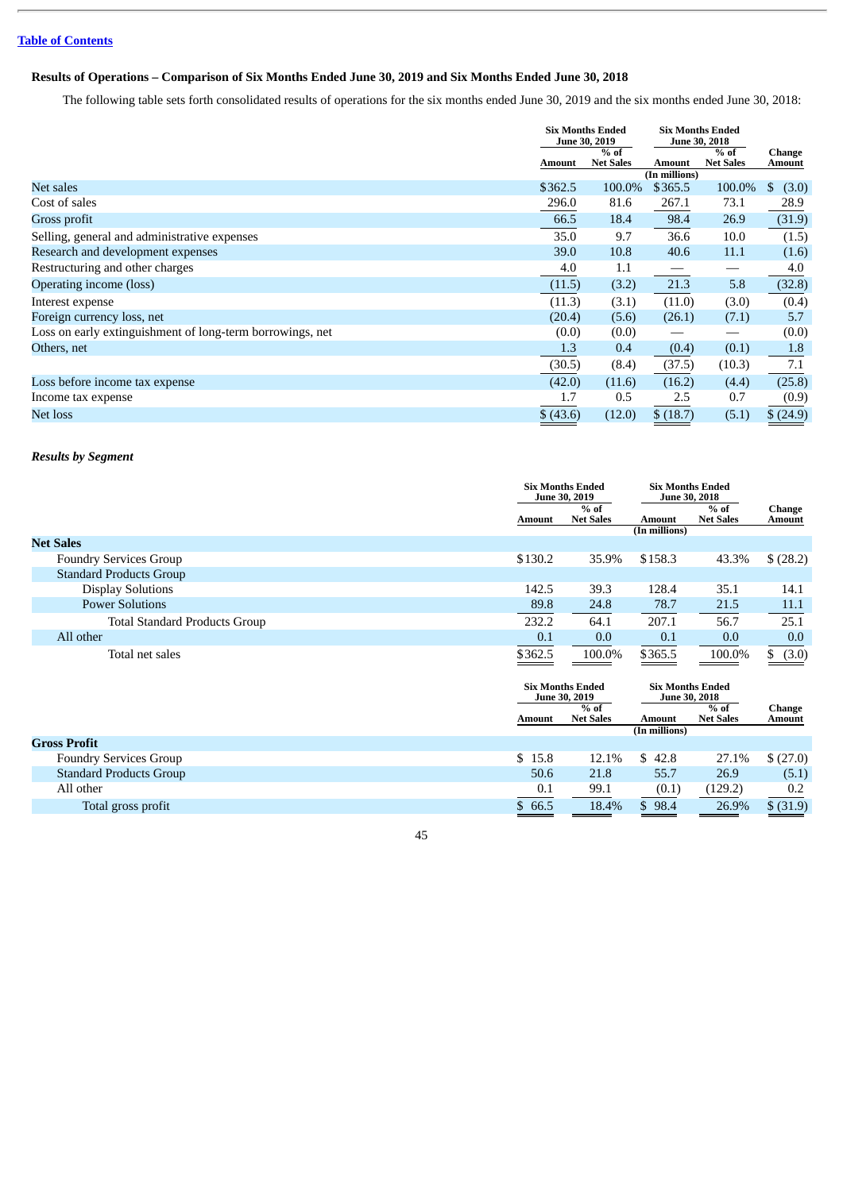### Results of Operations - Comparison of Six Months Ended June 30, 2019 and Six Months Ended June 30, 2018

The following table sets forth consolidated results of operations for the six months ended June 30, 2019 and the six months ended June 30, 2018:

|                                                           |           | <b>Six Months Ended</b><br><b>June 30, 2019</b> |               | <b>Six Months Ended</b><br>June 30, 2018 |                  |
|-----------------------------------------------------------|-----------|-------------------------------------------------|---------------|------------------------------------------|------------------|
|                                                           | Amount    | $%$ of<br><b>Net Sales</b>                      | Amount        | $%$ of<br><b>Net Sales</b>               | Change<br>Amount |
|                                                           |           |                                                 | (In millions) |                                          |                  |
| Net sales                                                 | \$362.5   | 100.0%                                          | \$365.5       | 100.0%                                   | (3.0)<br>\$      |
| Cost of sales                                             | 296.0     | 81.6                                            | 267.1         | 73.1                                     | 28.9             |
| Gross profit                                              | 66.5      | 18.4                                            | 98.4          | 26.9                                     | (31.9)           |
| Selling, general and administrative expenses              | 35.0      | 9.7                                             | 36.6          | 10.0                                     | (1.5)            |
| Research and development expenses                         | 39.0      | 10.8                                            | 40.6          | 11.1                                     | (1.6)            |
| Restructuring and other charges                           | 4.0       | 1.1                                             |               |                                          | 4.0              |
| Operating income (loss)                                   | (11.5)    | (3.2)                                           | 21.3          | 5.8                                      | (32.8)           |
| Interest expense                                          | (11.3)    | (3.1)                                           | (11.0)        | (3.0)                                    | (0.4)            |
| Foreign currency loss, net                                | (20.4)    | (5.6)                                           | (26.1)        | (7.1)                                    | 5.7              |
| Loss on early extinguishment of long-term borrowings, net | (0.0)     | (0.0)                                           |               |                                          | (0.0)            |
| Others, net                                               | 1.3       | 0.4                                             | (0.4)         | (0.1)                                    | 1.8              |
|                                                           | (30.5)    | (8.4)                                           | (37.5)        | (10.3)                                   | 7.1              |
| Loss before income tax expense                            | (42.0)    | (11.6)                                          | (16.2)        | (4.4)                                    | (25.8)           |
| Income tax expense                                        | 1.7       | 0.5                                             | 2.5           | 0.7                                      | (0.9)            |
| Net loss                                                  | \$ (43.6) | (12.0)                                          | \$(18.7)      | (5.1)                                    | \$(24.9)         |

### *Results by Segment*

|                                      |         | <b>Six Months Ended</b><br><b>June 30, 2019</b> |               | <b>Six Months Ended</b><br><b>June 30, 2018</b> |                  |
|--------------------------------------|---------|-------------------------------------------------|---------------|-------------------------------------------------|------------------|
|                                      | Amount  | $%$ of<br><b>Net Sales</b>                      | Amount        | $%$ of<br><b>Net Sales</b>                      | Change<br>Amount |
| <b>Net Sales</b>                     |         |                                                 | (In millions) |                                                 |                  |
| <b>Foundry Services Group</b>        | \$130.2 | 35.9%                                           | \$158.3       | 43.3%                                           | \$(28.2)         |
| <b>Standard Products Group</b>       |         |                                                 |               |                                                 |                  |
| <b>Display Solutions</b>             | 142.5   | 39.3                                            | 128.4         | 35.1                                            | 14.1             |
| <b>Power Solutions</b>               | 89.8    | 24.8                                            | 78.7          | 21.5                                            | 11.1             |
| <b>Total Standard Products Group</b> | 232.2   | 64.1                                            | 207.1         | 56.7                                            | 25.1             |
| All other                            | 0.1     | 0.0                                             | 0.1           | 0.0                                             | 0.0              |
| Total net sales                      | \$362.5 | 100.0%                                          | \$365.5       | 100.0%                                          | \$ (3.0)         |

|                                |        | <b>Six Months Ended</b><br>June 30, 2019 |               | <b>Six Months Ended</b><br><b>June 30, 2018</b> |                  |  |
|--------------------------------|--------|------------------------------------------|---------------|-------------------------------------------------|------------------|--|
|                                | Amount | $%$ of<br><b>Net Sales</b>               | Amount        | $%$ of<br><b>Net Sales</b>                      | Change<br>Amount |  |
| <b>Gross Profit</b>            |        |                                          | (In millions) |                                                 |                  |  |
| <b>Foundry Services Group</b>  | \$15.8 | 12.1%                                    | \$ 42.8       | 27.1%                                           | \$(27.0)         |  |
| <b>Standard Products Group</b> | 50.6   | 21.8                                     | 55.7          | 26.9                                            | (5.1)            |  |
| All other                      | 0.1    | 99.1                                     | (0.1)         | (129.2)                                         | 0.2              |  |
| Total gross profit             | \$66.5 | 18.4%                                    | \$98.4        | 26.9%                                           | \$ (31.9)        |  |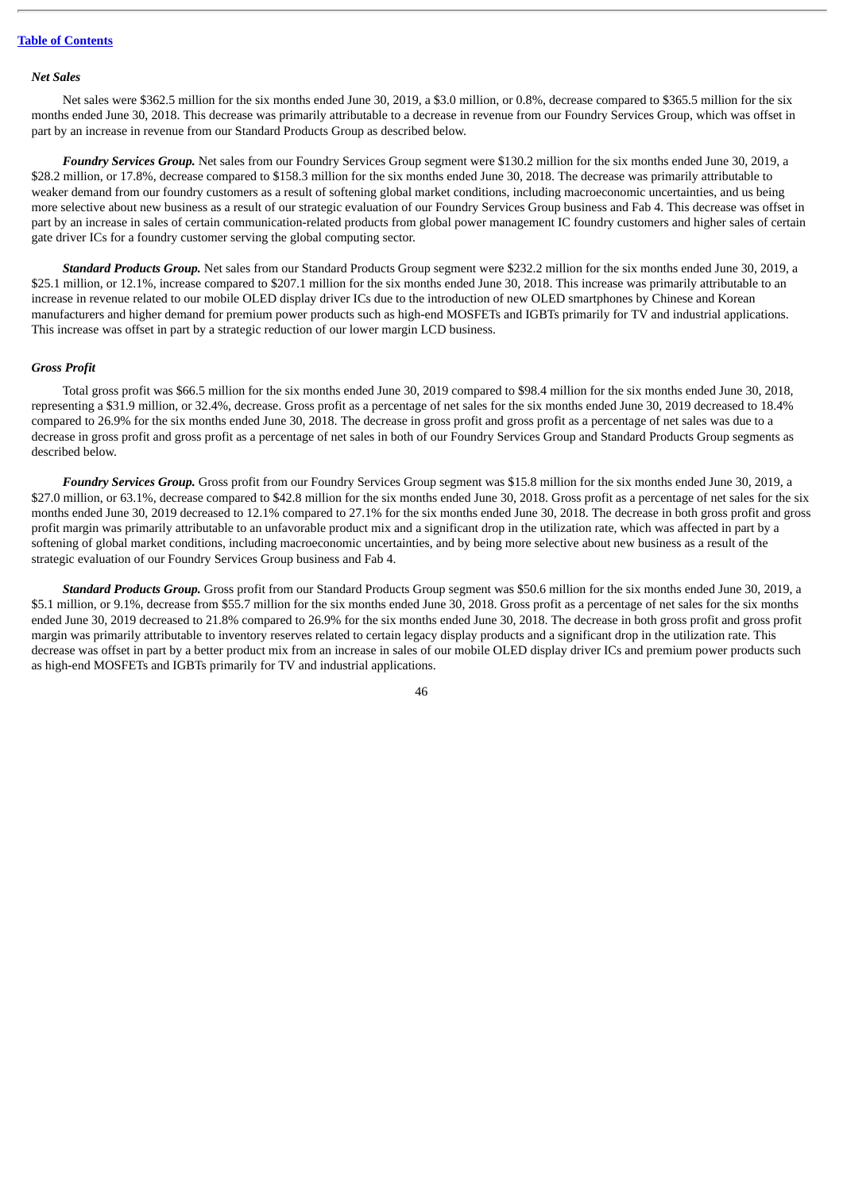#### *Net Sales*

Net sales were \$362.5 million for the six months ended June 30, 2019, a \$3.0 million, or 0.8%, decrease compared to \$365.5 million for the six months ended June 30, 2018. This decrease was primarily attributable to a decrease in revenue from our Foundry Services Group, which was offset in part by an increase in revenue from our Standard Products Group as described below.

*Foundry Services Group.* Net sales from our Foundry Services Group segment were \$130.2 million for the six months ended June 30, 2019, a \$28.2 million, or 17.8%, decrease compared to \$158.3 million for the six months ended June 30, 2018. The decrease was primarily attributable to weaker demand from our foundry customers as a result of softening global market conditions, including macroeconomic uncertainties, and us being more selective about new business as a result of our strategic evaluation of our Foundry Services Group business and Fab 4. This decrease was offset in part by an increase in sales of certain communication-related products from global power management IC foundry customers and higher sales of certain gate driver ICs for a foundry customer serving the global computing sector.

*Standard Products Group.* Net sales from our Standard Products Group segment were \$232.2 million for the six months ended June 30, 2019, a \$25.1 million, or 12.1%, increase compared to \$207.1 million for the six months ended June 30, 2018. This increase was primarily attributable to an increase in revenue related to our mobile OLED display driver ICs due to the introduction of new OLED smartphones by Chinese and Korean manufacturers and higher demand for premium power products such as high-end MOSFETs and IGBTs primarily for TV and industrial applications. This increase was offset in part by a strategic reduction of our lower margin LCD business.

#### *Gross Profit*

Total gross profit was \$66.5 million for the six months ended June 30, 2019 compared to \$98.4 million for the six months ended June 30, 2018, representing a \$31.9 million, or 32.4%, decrease. Gross profit as a percentage of net sales for the six months ended June 30, 2019 decreased to 18.4% compared to 26.9% for the six months ended June 30, 2018. The decrease in gross profit and gross profit as a percentage of net sales was due to a decrease in gross profit and gross profit as a percentage of net sales in both of our Foundry Services Group and Standard Products Group segments as described below.

*Foundry Services Group.* Gross profit from our Foundry Services Group segment was \$15.8 million for the six months ended June 30, 2019, a \$27.0 million, or 63.1%, decrease compared to \$42.8 million for the six months ended June 30, 2018. Gross profit as a percentage of net sales for the six months ended June 30, 2019 decreased to 12.1% compared to 27.1% for the six months ended June 30, 2018. The decrease in both gross profit and gross profit margin was primarily attributable to an unfavorable product mix and a significant drop in the utilization rate, which was affected in part by a softening of global market conditions, including macroeconomic uncertainties, and by being more selective about new business as a result of the strategic evaluation of our Foundry Services Group business and Fab 4.

*Standard Products Group.* Gross profit from our Standard Products Group segment was \$50.6 million for the six months ended June 30, 2019, a \$5.1 million, or 9.1%, decrease from \$55.7 million for the six months ended June 30, 2018. Gross profit as a percentage of net sales for the six months ended June 30, 2019 decreased to 21.8% compared to 26.9% for the six months ended June 30, 2018. The decrease in both gross profit and gross profit margin was primarily attributable to inventory reserves related to certain legacy display products and a significant drop in the utilization rate. This decrease was offset in part by a better product mix from an increase in sales of our mobile OLED display driver ICs and premium power products such as high-end MOSFETs and IGBTs primarily for TV and industrial applications.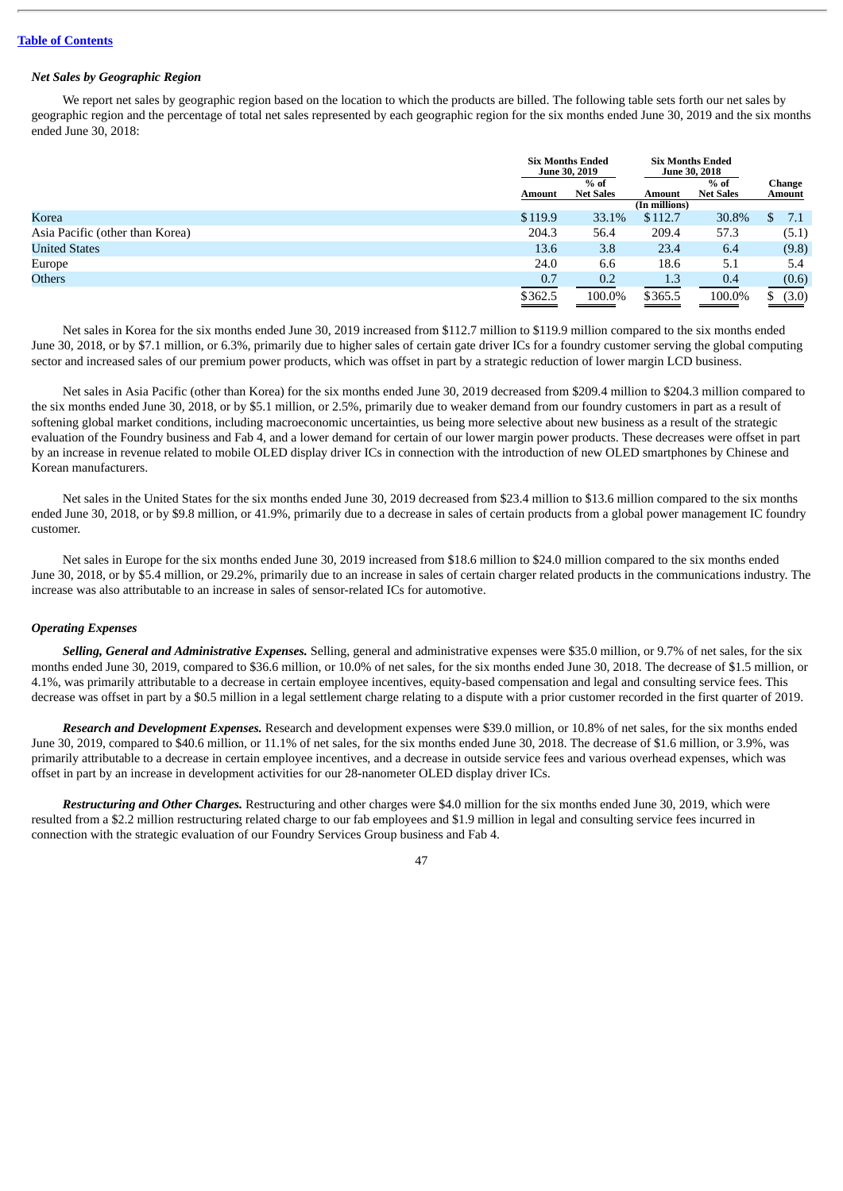#### *Net Sales by Geographic Region*

We report net sales by geographic region based on the location to which the products are billed. The following table sets forth our net sales by geographic region and the percentage of total net sales represented by each geographic region for the six months ended June 30, 2019 and the six months ended June 30, 2018:

|                                 |         | <b>Six Months Ended</b><br>June 30, 2019 |               | <b>Six Months Ended</b><br><b>June 30, 2018</b> |                  |
|---------------------------------|---------|------------------------------------------|---------------|-------------------------------------------------|------------------|
|                                 | Amount  | $%$ of<br><b>Net Sales</b>               | Amount        | $%$ of<br><b>Net Sales</b>                      | Change<br>Amount |
|                                 |         |                                          | (In millions) |                                                 |                  |
| Korea                           | \$119.9 | 33.1%                                    | \$112.7       | 30.8%                                           | 7.1<br>\$.       |
| Asia Pacific (other than Korea) | 204.3   | 56.4                                     | 209.4         | 57.3                                            | (5.1)            |
| <b>United States</b>            | 13.6    | 3.8                                      | 23.4          | 6.4                                             | (9.8)            |
| Europe                          | 24.0    | 6.6                                      | 18.6          | 5.1                                             | 5.4              |
| <b>Others</b>                   | 0.7     | 0.2                                      | 1.3           | 0.4                                             | (0.6)            |
|                                 | \$362.5 | 100.0%                                   | \$365.5       | 100.0%                                          | (3.0)<br>\$      |

Net sales in Korea for the six months ended June 30, 2019 increased from \$112.7 million to \$119.9 million compared to the six months ended June 30, 2018, or by \$7.1 million, or 6.3%, primarily due to higher sales of certain gate driver ICs for a foundry customer serving the global computing sector and increased sales of our premium power products, which was offset in part by a strategic reduction of lower margin LCD business.

Net sales in Asia Pacific (other than Korea) for the six months ended June 30, 2019 decreased from \$209.4 million to \$204.3 million compared to the six months ended June 30, 2018, or by \$5.1 million, or 2.5%, primarily due to weaker demand from our foundry customers in part as a result of softening global market conditions, including macroeconomic uncertainties, us being more selective about new business as a result of the strategic evaluation of the Foundry business and Fab 4, and a lower demand for certain of our lower margin power products. These decreases were offset in part by an increase in revenue related to mobile OLED display driver ICs in connection with the introduction of new OLED smartphones by Chinese and Korean manufacturers.

Net sales in the United States for the six months ended June 30, 2019 decreased from \$23.4 million to \$13.6 million compared to the six months ended June 30, 2018, or by \$9.8 million, or 41.9%, primarily due to a decrease in sales of certain products from a global power management IC foundry customer.

Net sales in Europe for the six months ended June 30, 2019 increased from \$18.6 million to \$24.0 million compared to the six months ended June 30, 2018, or by \$5.4 million, or 29.2%, primarily due to an increase in sales of certain charger related products in the communications industry. The increase was also attributable to an increase in sales of sensor-related ICs for automotive.

#### *Operating Expenses*

*Selling, General and Administrative Expenses.* Selling, general and administrative expenses were \$35.0 million, or 9.7% of net sales, for the six months ended June 30, 2019, compared to \$36.6 million, or 10.0% of net sales, for the six months ended June 30, 2018. The decrease of \$1.5 million, or 4.1%, was primarily attributable to a decrease in certain employee incentives, equity-based compensation and legal and consulting service fees. This decrease was offset in part by a \$0.5 million in a legal settlement charge relating to a dispute with a prior customer recorded in the first quarter of 2019.

*Research and Development Expenses.* Research and development expenses were \$39.0 million, or 10.8% of net sales, for the six months ended June 30, 2019, compared to \$40.6 million, or 11.1% of net sales, for the six months ended June 30, 2018. The decrease of \$1.6 million, or 3.9%, was primarily attributable to a decrease in certain employee incentives, and a decrease in outside service fees and various overhead expenses, which was offset in part by an increase in development activities for our 28-nanometer OLED display driver ICs.

*Restructuring and Other Charges.* Restructuring and other charges were \$4.0 million for the six months ended June 30, 2019, which were resulted from a \$2.2 million restructuring related charge to our fab employees and \$1.9 million in legal and consulting service fees incurred in connection with the strategic evaluation of our Foundry Services Group business and Fab 4.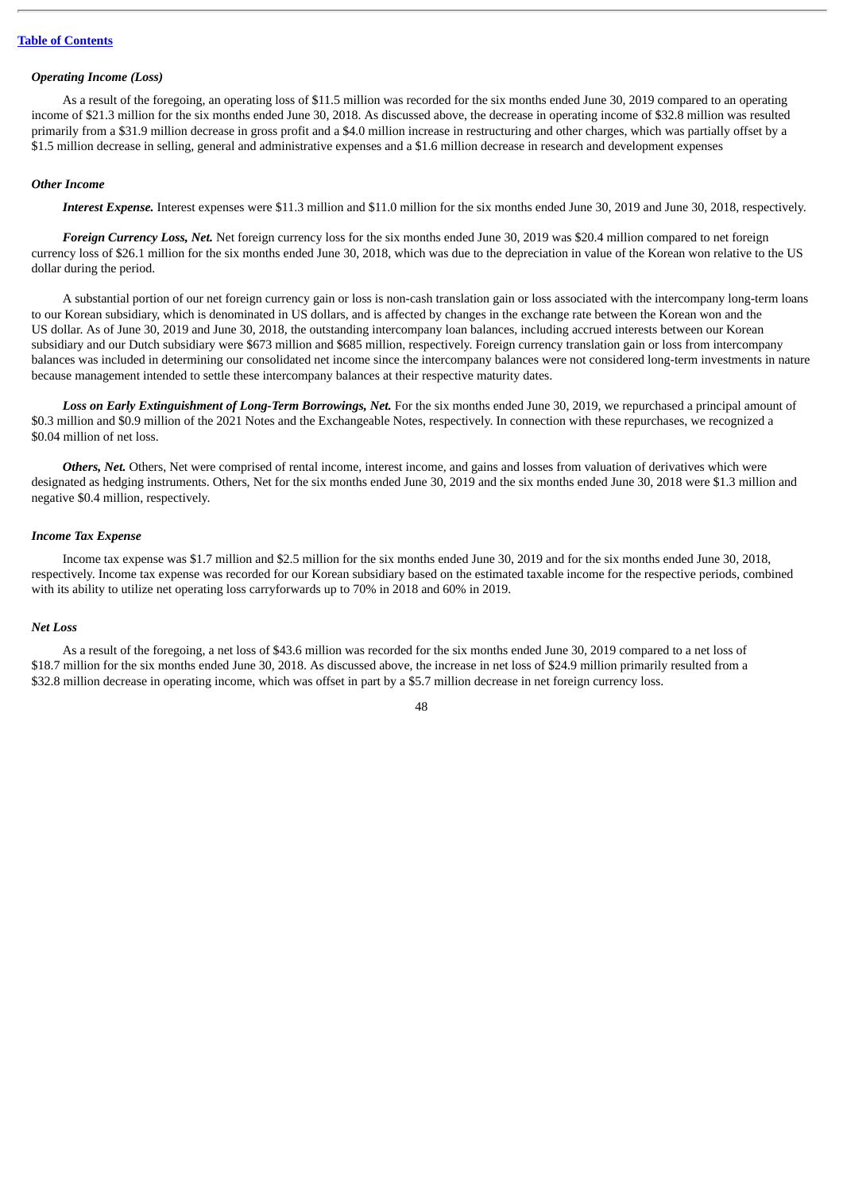#### *Operating Income (Loss)*

As a result of the foregoing, an operating loss of \$11.5 million was recorded for the six months ended June 30, 2019 compared to an operating income of \$21.3 million for the six months ended June 30, 2018. As discussed above, the decrease in operating income of \$32.8 million was resulted primarily from a \$31.9 million decrease in gross profit and a \$4.0 million increase in restructuring and other charges, which was partially offset by a \$1.5 million decrease in selling, general and administrative expenses and a \$1.6 million decrease in research and development expenses

#### *Other Income*

*Interest Expense.* Interest expenses were \$11.3 million and \$11.0 million for the six months ended June 30, 2019 and June 30, 2018, respectively.

*Foreign Currency Loss, Net.* Net foreign currency loss for the six months ended June 30, 2019 was \$20.4 million compared to net foreign currency loss of \$26.1 million for the six months ended June 30, 2018, which was due to the depreciation in value of the Korean won relative to the US dollar during the period.

A substantial portion of our net foreign currency gain or loss is non-cash translation gain or loss associated with the intercompany long-term loans to our Korean subsidiary, which is denominated in US dollars, and is affected by changes in the exchange rate between the Korean won and the US dollar. As of June 30, 2019 and June 30, 2018, the outstanding intercompany loan balances, including accrued interests between our Korean subsidiary and our Dutch subsidiary were \$673 million and \$685 million, respectively. Foreign currency translation gain or loss from intercompany balances was included in determining our consolidated net income since the intercompany balances were not considered long-term investments in nature because management intended to settle these intercompany balances at their respective maturity dates.

*Loss on Early Extinguishment of Long-Term Borrowings, Net.* For the six months ended June 30, 2019, we repurchased a principal amount of \$0.3 million and \$0.9 million of the 2021 Notes and the Exchangeable Notes, respectively. In connection with these repurchases, we recognized a \$0.04 million of net loss.

*Others, Net.* Others, Net were comprised of rental income, interest income, and gains and losses from valuation of derivatives which were designated as hedging instruments. Others, Net for the six months ended June 30, 2019 and the six months ended June 30, 2018 were \$1.3 million and negative \$0.4 million, respectively.

#### *Income Tax Expense*

Income tax expense was \$1.7 million and \$2.5 million for the six months ended June 30, 2019 and for the six months ended June 30, 2018, respectively. Income tax expense was recorded for our Korean subsidiary based on the estimated taxable income for the respective periods, combined with its ability to utilize net operating loss carryforwards up to 70% in 2018 and 60% in 2019.

#### *Net Loss*

As a result of the foregoing, a net loss of \$43.6 million was recorded for the six months ended June 30, 2019 compared to a net loss of \$18.7 million for the six months ended June 30, 2018. As discussed above, the increase in net loss of \$24.9 million primarily resulted from a \$32.8 million decrease in operating income, which was offset in part by a \$5.7 million decrease in net foreign currency loss.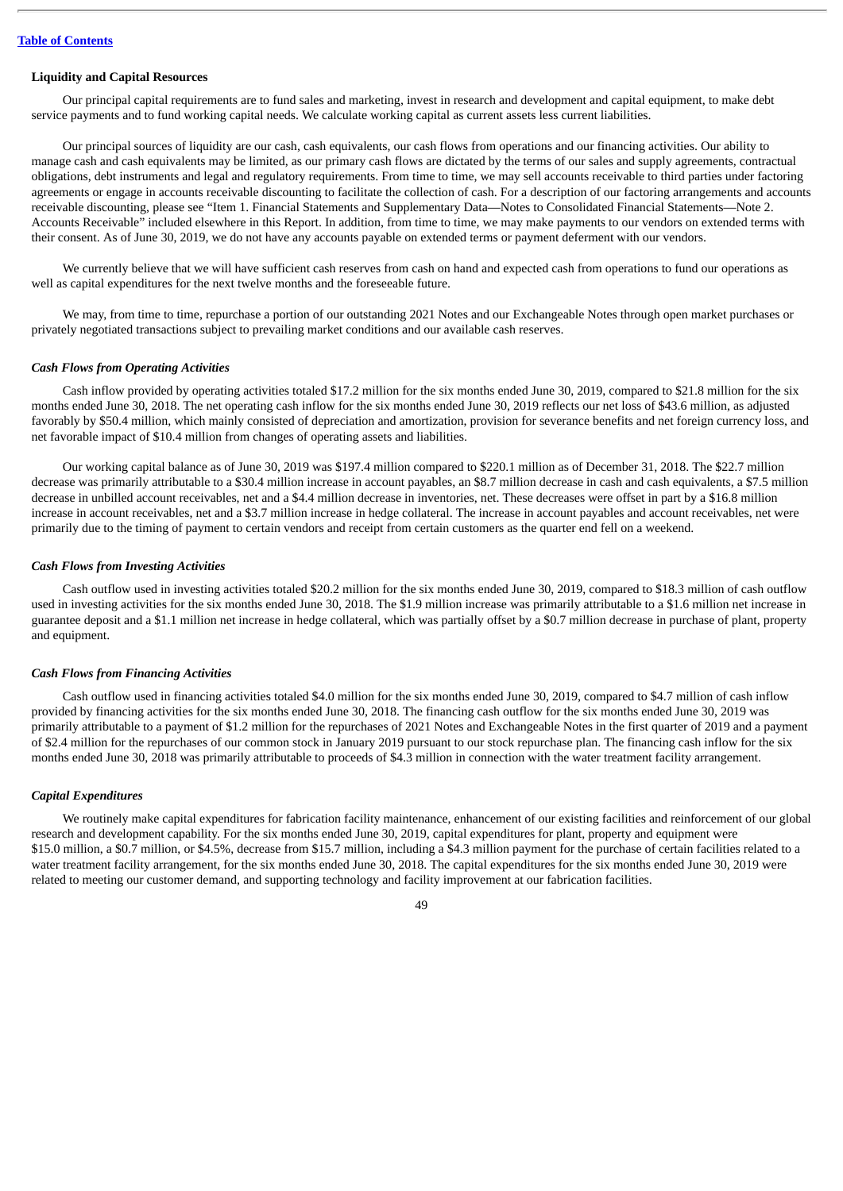#### **Liquidity and Capital Resources**

Our principal capital requirements are to fund sales and marketing, invest in research and development and capital equipment, to make debt service payments and to fund working capital needs. We calculate working capital as current assets less current liabilities.

Our principal sources of liquidity are our cash, cash equivalents, our cash flows from operations and our financing activities. Our ability to manage cash and cash equivalents may be limited, as our primary cash flows are dictated by the terms of our sales and supply agreements, contractual obligations, debt instruments and legal and regulatory requirements. From time to time, we may sell accounts receivable to third parties under factoring agreements or engage in accounts receivable discounting to facilitate the collection of cash. For a description of our factoring arrangements and accounts receivable discounting, please see "Item 1. Financial Statements and Supplementary Data—Notes to Consolidated Financial Statements—Note 2. Accounts Receivable" included elsewhere in this Report. In addition, from time to time, we may make payments to our vendors on extended terms with their consent. As of June 30, 2019, we do not have any accounts payable on extended terms or payment deferment with our vendors.

We currently believe that we will have sufficient cash reserves from cash on hand and expected cash from operations to fund our operations as well as capital expenditures for the next twelve months and the foreseeable future.

We may, from time to time, repurchase a portion of our outstanding 2021 Notes and our Exchangeable Notes through open market purchases or privately negotiated transactions subject to prevailing market conditions and our available cash reserves.

#### *Cash Flows from Operating Activities*

Cash inflow provided by operating activities totaled \$17.2 million for the six months ended June 30, 2019, compared to \$21.8 million for the six months ended June 30, 2018. The net operating cash inflow for the six months ended June 30, 2019 reflects our net loss of \$43.6 million, as adjusted favorably by \$50.4 million, which mainly consisted of depreciation and amortization, provision for severance benefits and net foreign currency loss, and net favorable impact of \$10.4 million from changes of operating assets and liabilities.

Our working capital balance as of June 30, 2019 was \$197.4 million compared to \$220.1 million as of December 31, 2018. The \$22.7 million decrease was primarily attributable to a \$30.4 million increase in account payables, an \$8.7 million decrease in cash and cash equivalents, a \$7.5 million decrease in unbilled account receivables, net and a \$4.4 million decrease in inventories, net. These decreases were offset in part by a \$16.8 million increase in account receivables, net and a \$3.7 million increase in hedge collateral. The increase in account payables and account receivables, net were primarily due to the timing of payment to certain vendors and receipt from certain customers as the quarter end fell on a weekend.

#### *Cash Flows from Investing Activities*

Cash outflow used in investing activities totaled \$20.2 million for the six months ended June 30, 2019, compared to \$18.3 million of cash outflow used in investing activities for the six months ended June 30, 2018. The \$1.9 million increase was primarily attributable to a \$1.6 million net increase in guarantee deposit and a \$1.1 million net increase in hedge collateral, which was partially offset by a \$0.7 million decrease in purchase of plant, property and equipment.

#### *Cash Flows from Financing Activities*

Cash outflow used in financing activities totaled \$4.0 million for the six months ended June 30, 2019, compared to \$4.7 million of cash inflow provided by financing activities for the six months ended June 30, 2018. The financing cash outflow for the six months ended June 30, 2019 was primarily attributable to a payment of \$1.2 million for the repurchases of 2021 Notes and Exchangeable Notes in the first quarter of 2019 and a payment of \$2.4 million for the repurchases of our common stock in January 2019 pursuant to our stock repurchase plan. The financing cash inflow for the six months ended June 30, 2018 was primarily attributable to proceeds of \$4.3 million in connection with the water treatment facility arrangement.

### *Capital Expenditures*

We routinely make capital expenditures for fabrication facility maintenance, enhancement of our existing facilities and reinforcement of our global research and development capability. For the six months ended June 30, 2019, capital expenditures for plant, property and equipment were \$15.0 million, a \$0.7 million, or \$4.5%, decrease from \$15.7 million, including a \$4.3 million payment for the purchase of certain facilities related to a water treatment facility arrangement, for the six months ended June 30, 2018. The capital expenditures for the six months ended June 30, 2019 were related to meeting our customer demand, and supporting technology and facility improvement at our fabrication facilities.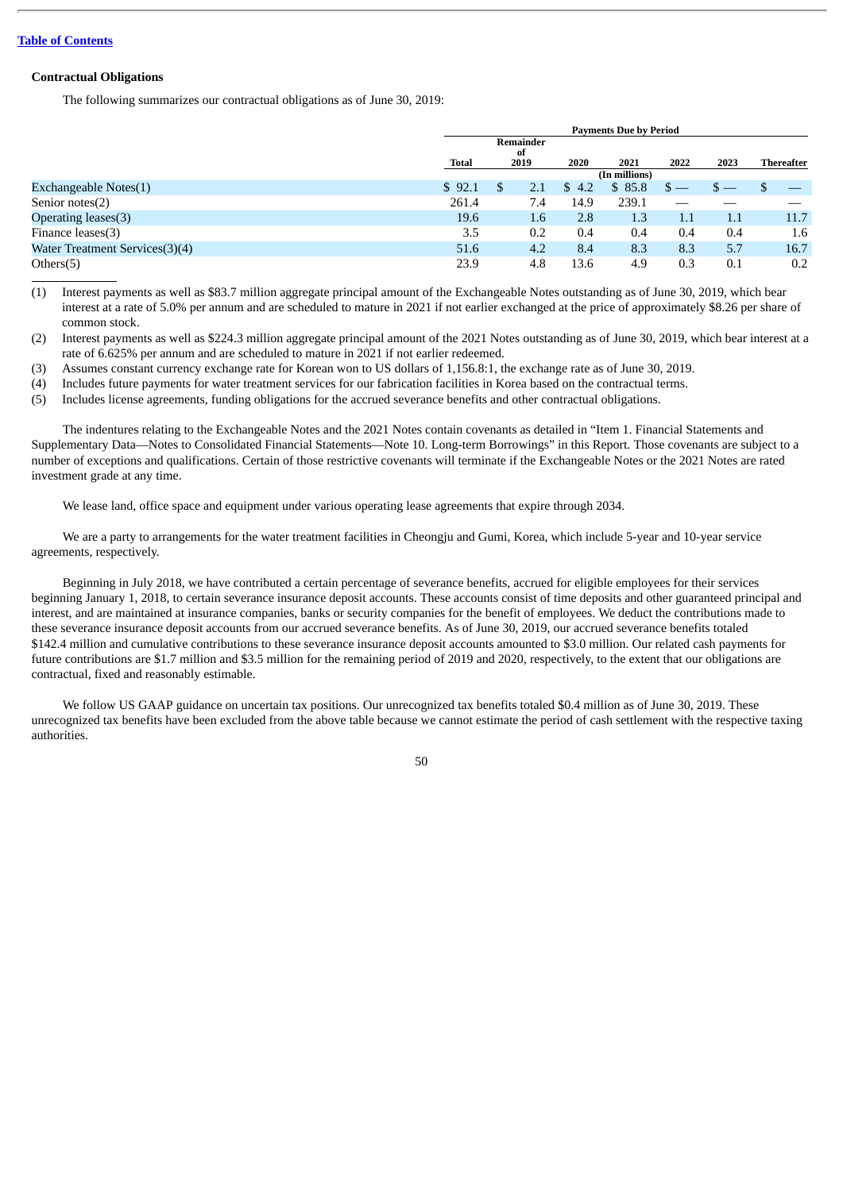### **Contractual Obligations**

The following summarizes our contractual obligations as of June 30, 2019:

|                                | <b>Payments Due by Period</b> |            |       |               |         |         |                   |
|--------------------------------|-------------------------------|------------|-------|---------------|---------|---------|-------------------|
|                                |                               | Remainder  |       |               |         |         |                   |
|                                | Total                         | оf<br>2019 | 2020  | 2021          | 2022    | 2023    | <b>Thereafter</b> |
|                                |                               |            |       | (In millions) |         |         |                   |
| Exchangeable Notes(1)          | \$92.1                        | 2.1        | \$4.2 | \$85.8        |         |         |                   |
| Senior notes(2)                | 261.4                         | 7.4        | 14.9  | 239.1         |         |         |                   |
| Operating leases(3)            | 19.6                          | 1.6        | 2.8   | 1.3           | $1.1\,$ | $1.1\,$ | 11.7              |
| Finance leases(3)              | 3.5                           | 0.2        | 0.4   | 0.4           | 0.4     | 0.4     | 1.6               |
| Water Treatment Services(3)(4) | 51.6                          | 4.2        | 8.4   | 8.3           | 8.3     | 5.7     | 16.7              |
| Others $(5)$                   | 23.9                          | 4.8        | 13.6  | 4.9           | 0.3     | 0.1     | 0.2               |

(1) Interest payments as well as \$83.7 million aggregate principal amount of the Exchangeable Notes outstanding as of June 30, 2019, which bear interest at a rate of 5.0% per annum and are scheduled to mature in 2021 if not earlier exchanged at the price of approximately \$8.26 per share of common stock.

(2) Interest payments as well as \$224.3 million aggregate principal amount of the 2021 Notes outstanding as of June 30, 2019, which bear interest at a rate of 6.625% per annum and are scheduled to mature in 2021 if not earlier redeemed.

(3) Assumes constant currency exchange rate for Korean won to US dollars of 1,156.8:1, the exchange rate as of June 30, 2019.

(4) Includes future payments for water treatment services for our fabrication facilities in Korea based on the contractual terms.

(5) Includes license agreements, funding obligations for the accrued severance benefits and other contractual obligations.

The indentures relating to the Exchangeable Notes and the 2021 Notes contain covenants as detailed in "Item 1. Financial Statements and Supplementary Data—Notes to Consolidated Financial Statements—Note 10. Long-term Borrowings" in this Report. Those covenants are subject to a number of exceptions and qualifications. Certain of those restrictive covenants will terminate if the Exchangeable Notes or the 2021 Notes are rated investment grade at any time.

We lease land, office space and equipment under various operating lease agreements that expire through 2034.

We are a party to arrangements for the water treatment facilities in Cheongju and Gumi, Korea, which include 5-year and 10-year service agreements, respectively.

Beginning in July 2018, we have contributed a certain percentage of severance benefits, accrued for eligible employees for their services beginning January 1, 2018, to certain severance insurance deposit accounts. These accounts consist of time deposits and other guaranteed principal and interest, and are maintained at insurance companies, banks or security companies for the benefit of employees. We deduct the contributions made to these severance insurance deposit accounts from our accrued severance benefits. As of June 30, 2019, our accrued severance benefits totaled \$142.4 million and cumulative contributions to these severance insurance deposit accounts amounted to \$3.0 million. Our related cash payments for future contributions are \$1.7 million and \$3.5 million for the remaining period of 2019 and 2020, respectively, to the extent that our obligations are contractual, fixed and reasonably estimable.

We follow US GAAP guidance on uncertain tax positions. Our unrecognized tax benefits totaled \$0.4 million as of June 30, 2019. These unrecognized tax benefits have been excluded from the above table because we cannot estimate the period of cash settlement with the respective taxing authorities.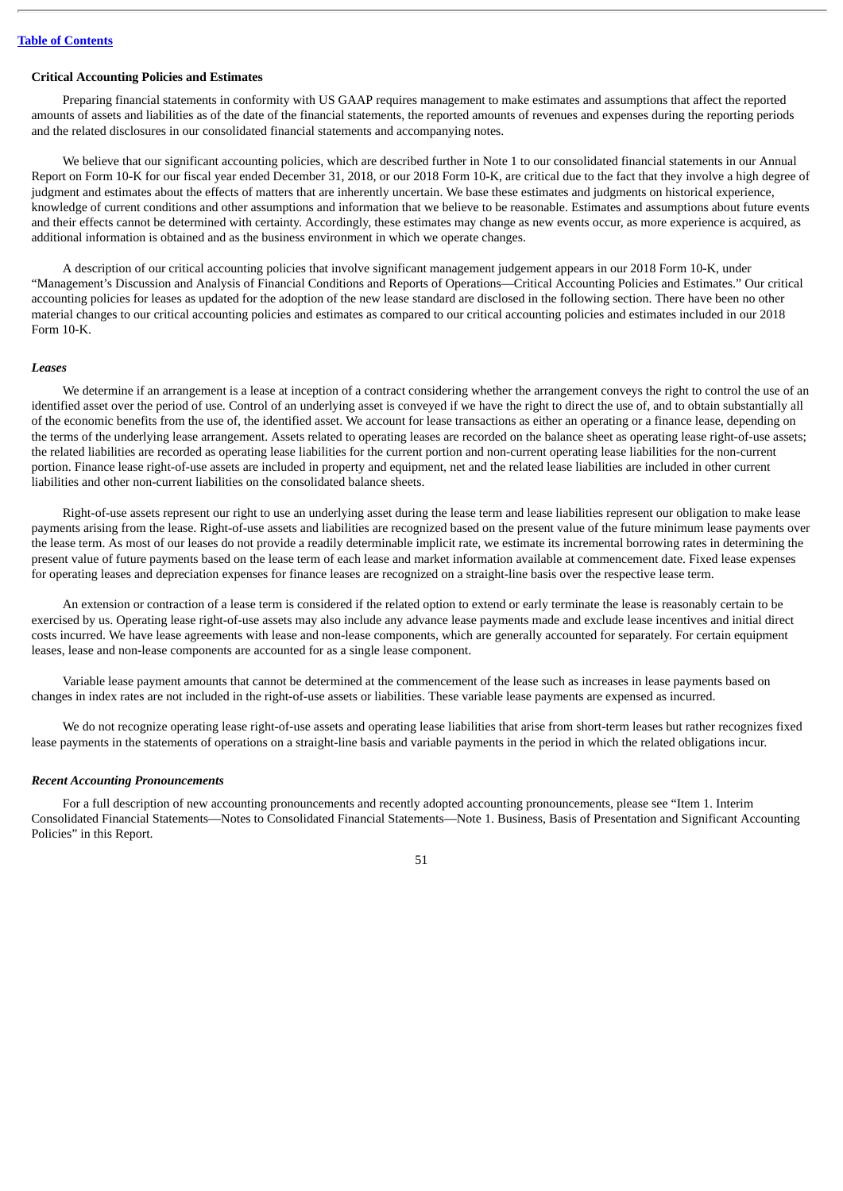#### **Critical Accounting Policies and Estimates**

Preparing financial statements in conformity with US GAAP requires management to make estimates and assumptions that affect the reported amounts of assets and liabilities as of the date of the financial statements, the reported amounts of revenues and expenses during the reporting periods and the related disclosures in our consolidated financial statements and accompanying notes.

We believe that our significant accounting policies, which are described further in Note 1 to our consolidated financial statements in our Annual Report on Form 10-K for our fiscal year ended December 31, 2018, or our 2018 Form 10-K, are critical due to the fact that they involve a high degree of judgment and estimates about the effects of matters that are inherently uncertain. We base these estimates and judgments on historical experience, knowledge of current conditions and other assumptions and information that we believe to be reasonable. Estimates and assumptions about future events and their effects cannot be determined with certainty. Accordingly, these estimates may change as new events occur, as more experience is acquired, as additional information is obtained and as the business environment in which we operate changes.

A description of our critical accounting policies that involve significant management judgement appears in our 2018 Form 10-K, under "Management's Discussion and Analysis of Financial Conditions and Reports of Operations—Critical Accounting Policies and Estimates." Our critical accounting policies for leases as updated for the adoption of the new lease standard are disclosed in the following section. There have been no other material changes to our critical accounting policies and estimates as compared to our critical accounting policies and estimates included in our 2018 Form 10-K.

#### *Leases*

We determine if an arrangement is a lease at inception of a contract considering whether the arrangement conveys the right to control the use of an identified asset over the period of use. Control of an underlying asset is conveyed if we have the right to direct the use of, and to obtain substantially all of the economic benefits from the use of, the identified asset. We account for lease transactions as either an operating or a finance lease, depending on the terms of the underlying lease arrangement. Assets related to operating leases are recorded on the balance sheet as operating lease right-of-use assets; the related liabilities are recorded as operating lease liabilities for the current portion and non-current operating lease liabilities for the non-current portion. Finance lease right-of-use assets are included in property and equipment, net and the related lease liabilities are included in other current liabilities and other non-current liabilities on the consolidated balance sheets.

Right-of-use assets represent our right to use an underlying asset during the lease term and lease liabilities represent our obligation to make lease payments arising from the lease. Right-of-use assets and liabilities are recognized based on the present value of the future minimum lease payments over the lease term. As most of our leases do not provide a readily determinable implicit rate, we estimate its incremental borrowing rates in determining the present value of future payments based on the lease term of each lease and market information available at commencement date. Fixed lease expenses for operating leases and depreciation expenses for finance leases are recognized on a straight-line basis over the respective lease term.

An extension or contraction of a lease term is considered if the related option to extend or early terminate the lease is reasonably certain to be exercised by us. Operating lease right-of-use assets may also include any advance lease payments made and exclude lease incentives and initial direct costs incurred. We have lease agreements with lease and non-lease components, which are generally accounted for separately. For certain equipment leases, lease and non-lease components are accounted for as a single lease component.

Variable lease payment amounts that cannot be determined at the commencement of the lease such as increases in lease payments based on changes in index rates are not included in the right-of-use assets or liabilities. These variable lease payments are expensed as incurred.

We do not recognize operating lease right-of-use assets and operating lease liabilities that arise from short-term leases but rather recognizes fixed lease payments in the statements of operations on a straight-line basis and variable payments in the period in which the related obligations incur.

#### *Recent Accounting Pronouncements*

For a full description of new accounting pronouncements and recently adopted accounting pronouncements, please see "Item 1. Interim Consolidated Financial Statements—Notes to Consolidated Financial Statements—Note 1. Business, Basis of Presentation and Significant Accounting Policies" in this Report.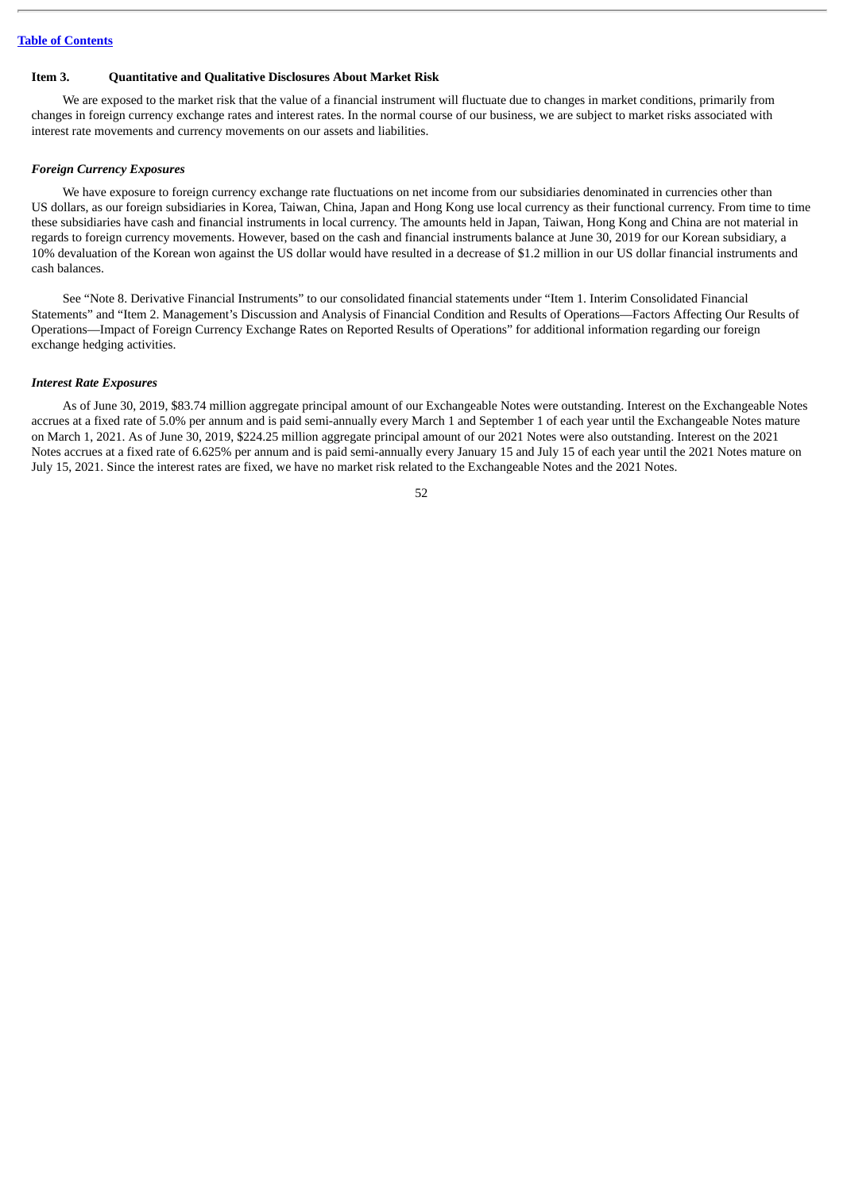#### <span id="page-52-0"></span>**Item 3. Quantitative and Qualitative Disclosures About Market Risk**

We are exposed to the market risk that the value of a financial instrument will fluctuate due to changes in market conditions, primarily from changes in foreign currency exchange rates and interest rates. In the normal course of our business, we are subject to market risks associated with interest rate movements and currency movements on our assets and liabilities.

#### *Foreign Currency Exposures*

We have exposure to foreign currency exchange rate fluctuations on net income from our subsidiaries denominated in currencies other than US dollars, as our foreign subsidiaries in Korea, Taiwan, China, Japan and Hong Kong use local currency as their functional currency. From time to time these subsidiaries have cash and financial instruments in local currency. The amounts held in Japan, Taiwan, Hong Kong and China are not material in regards to foreign currency movements. However, based on the cash and financial instruments balance at June 30, 2019 for our Korean subsidiary, a 10% devaluation of the Korean won against the US dollar would have resulted in a decrease of \$1.2 million in our US dollar financial instruments and cash balances.

See "Note 8. Derivative Financial Instruments" to our consolidated financial statements under "Item 1. Interim Consolidated Financial Statements" and "Item 2. Management's Discussion and Analysis of Financial Condition and Results of Operations—Factors Affecting Our Results of Operations—Impact of Foreign Currency Exchange Rates on Reported Results of Operations" for additional information regarding our foreign exchange hedging activities.

### *Interest Rate Exposures*

As of June 30, 2019, \$83.74 million aggregate principal amount of our Exchangeable Notes were outstanding. Interest on the Exchangeable Notes accrues at a fixed rate of 5.0% per annum and is paid semi-annually every March 1 and September 1 of each year until the Exchangeable Notes mature on March 1, 2021. As of June 30, 2019, \$224.25 million aggregate principal amount of our 2021 Notes were also outstanding. Interest on the 2021 Notes accrues at a fixed rate of 6.625% per annum and is paid semi-annually every January 15 and July 15 of each year until the 2021 Notes mature on July 15, 2021. Since the interest rates are fixed, we have no market risk related to the Exchangeable Notes and the 2021 Notes.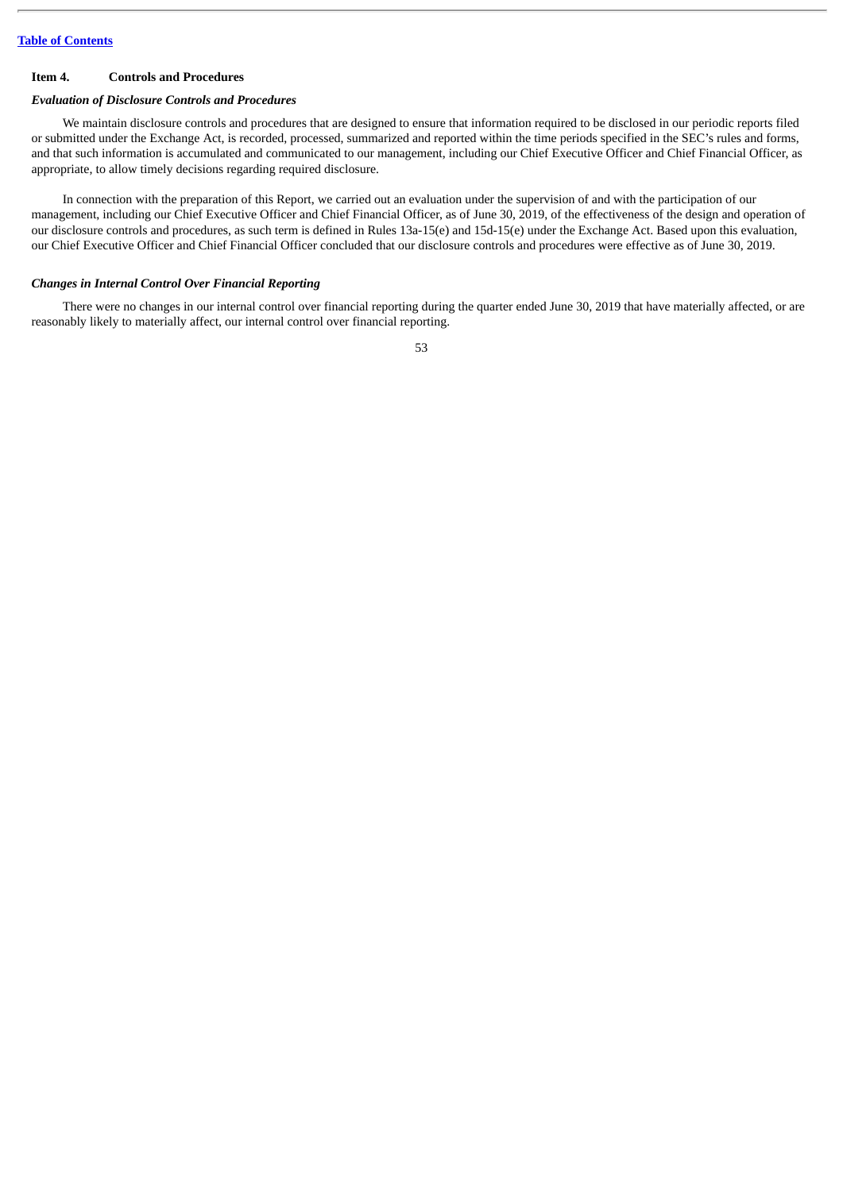#### <span id="page-53-0"></span>**Item 4. Controls and Procedures**

#### *Evaluation of Disclosure Controls and Procedures*

We maintain disclosure controls and procedures that are designed to ensure that information required to be disclosed in our periodic reports filed or submitted under the Exchange Act, is recorded, processed, summarized and reported within the time periods specified in the SEC's rules and forms, and that such information is accumulated and communicated to our management, including our Chief Executive Officer and Chief Financial Officer, as appropriate, to allow timely decisions regarding required disclosure.

In connection with the preparation of this Report, we carried out an evaluation under the supervision of and with the participation of our management, including our Chief Executive Officer and Chief Financial Officer, as of June 30, 2019, of the effectiveness of the design and operation of our disclosure controls and procedures, as such term is defined in Rules 13a-15(e) and 15d-15(e) under the Exchange Act. Based upon this evaluation, our Chief Executive Officer and Chief Financial Officer concluded that our disclosure controls and procedures were effective as of June 30, 2019.

#### *Changes in Internal Control Over Financial Reporting*

There were no changes in our internal control over financial reporting during the quarter ended June 30, 2019 that have materially affected, or are reasonably likely to materially affect, our internal control over financial reporting.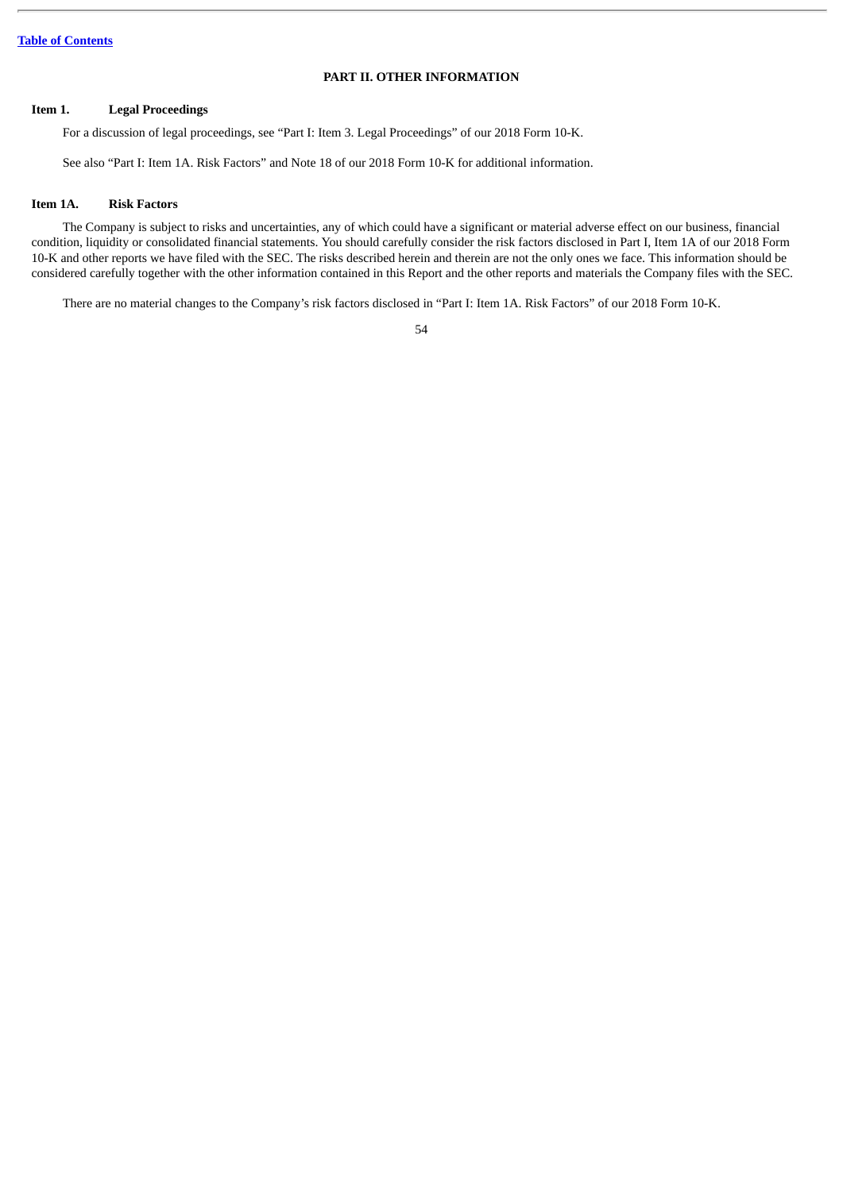### **PART II. OTHER INFORMATION**

#### <span id="page-54-1"></span><span id="page-54-0"></span>**Item 1. Legal Proceedings**

For a discussion of legal proceedings, see "Part I: Item 3. Legal Proceedings" of our 2018 Form 10-K.

See also "Part I: Item 1A. Risk Factors" and Note 18 of our 2018 Form 10-K for additional information.

#### <span id="page-54-2"></span>**Item 1A. Risk Factors**

The Company is subject to risks and uncertainties, any of which could have a significant or material adverse effect on our business, financial condition, liquidity or consolidated financial statements. You should carefully consider the risk factors disclosed in Part I, Item 1A of our 2018 Form 10-K and other reports we have filed with the SEC. The risks described herein and therein are not the only ones we face. This information should be considered carefully together with the other information contained in this Report and the other reports and materials the Company files with the SEC.

There are no material changes to the Company's risk factors disclosed in "Part I: Item 1A. Risk Factors" of our 2018 Form 10-K.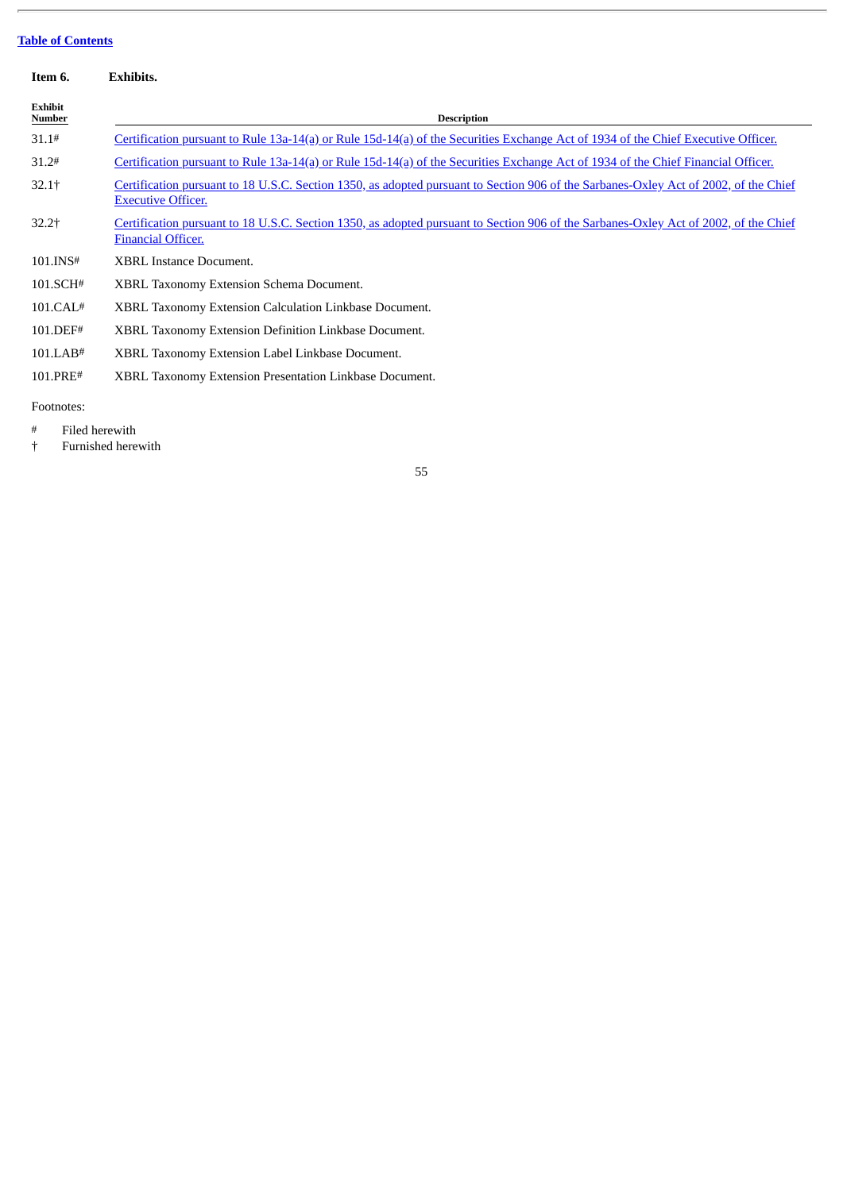### **Table of [Contents](#page-2-0)**

<span id="page-55-0"></span>

| Item 6.           | <b>Exhibits.</b>                                                                                                                                                  |
|-------------------|-------------------------------------------------------------------------------------------------------------------------------------------------------------------|
| Exhibit<br>Number | <b>Description</b>                                                                                                                                                |
| 31.1#             | Certification pursuant to Rule 13a-14(a) or Rule 15d-14(a) of the Securities Exchange Act of 1934 of the Chief Executive Officer.                                 |
| 31.2#             | Certification pursuant to Rule 13a-14(a) or Rule 15d-14(a) of the Securities Exchange Act of 1934 of the Chief Financial Officer.                                 |
| $32.1+$           | Certification pursuant to 18 U.S.C. Section 1350, as adopted pursuant to Section 906 of the Sarbanes-Oxley Act of 2002, of the Chief<br><b>Executive Officer.</b> |
| $32.2+$           | Certification pursuant to 18 U.S.C. Section 1350, as adopted pursuant to Section 906 of the Sarbanes-Oxley Act of 2002, of the Chief<br><b>Financial Officer.</b> |
| 101.INS#          | <b>XBRL Instance Document.</b>                                                                                                                                    |
| 101.SCH#          | XBRL Taxonomy Extension Schema Document.                                                                                                                          |
| 101.CAL#          | XBRL Taxonomy Extension Calculation Linkbase Document.                                                                                                            |
| 101.DEF#          | XBRL Taxonomy Extension Definition Linkbase Document.                                                                                                             |
| 101.LAB#          | XBRL Taxonomy Extension Label Linkbase Document.                                                                                                                  |
| 101.PRE#          | XBRL Taxonomy Extension Presentation Linkbase Document.                                                                                                           |
| Footnotes:        |                                                                                                                                                                   |

- # Filed herewith
- † Furnished herewith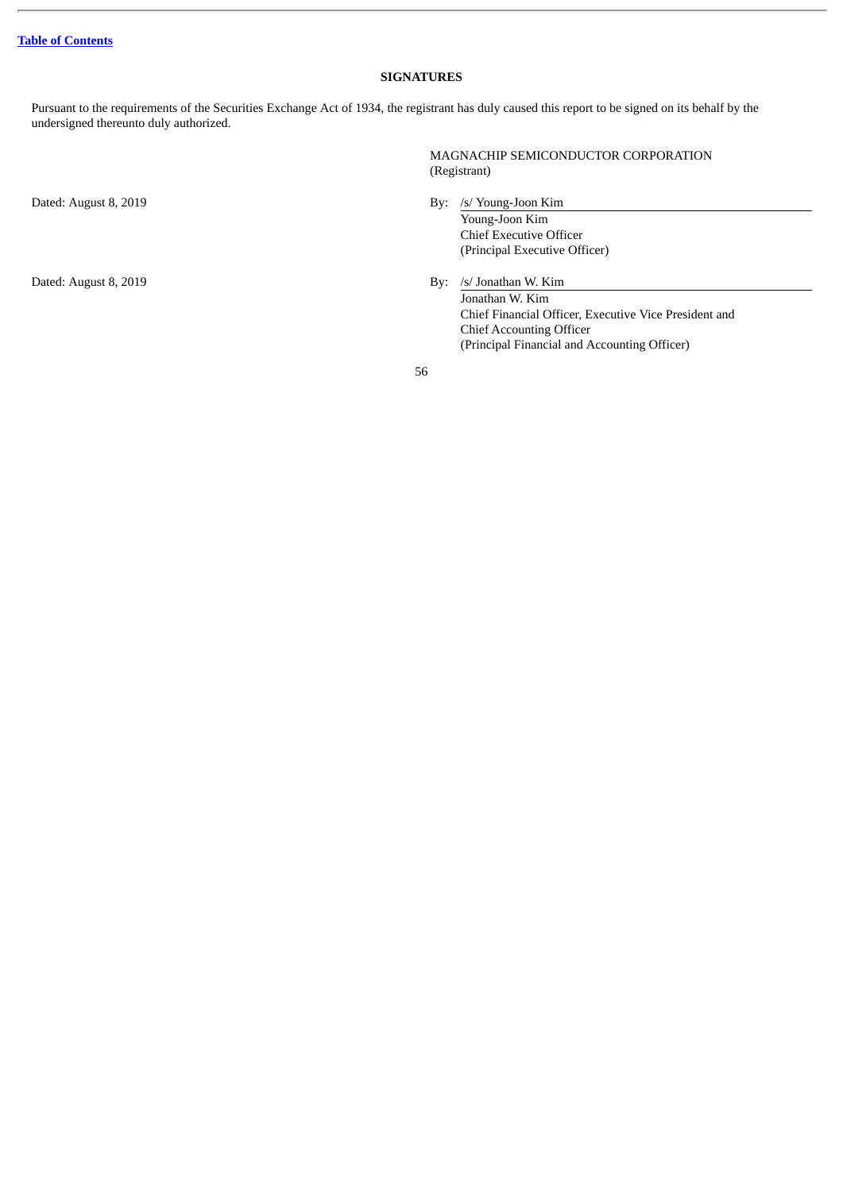### **SIGNATURES**

<span id="page-56-0"></span>Pursuant to the requirements of the Securities Exchange Act of 1934, the registrant has duly caused this report to be signed on its behalf by the undersigned thereunto duly authorized.

Dated: August 8, 2019 **By:** /s/ Jonathan W. Kim

MAGNACHIP SEMICONDUCTOR CORPORATION (Registrant)

Dated: August 8, 2019 **By:** /s/ Young-Joon Kim

Young-Joon Kim Chief Executive Officer (Principal Executive Officer)

Jonathan W. Kim Chief Financial Officer, Executive Vice President and Chief Accounting Officer (Principal Financial and Accounting Officer)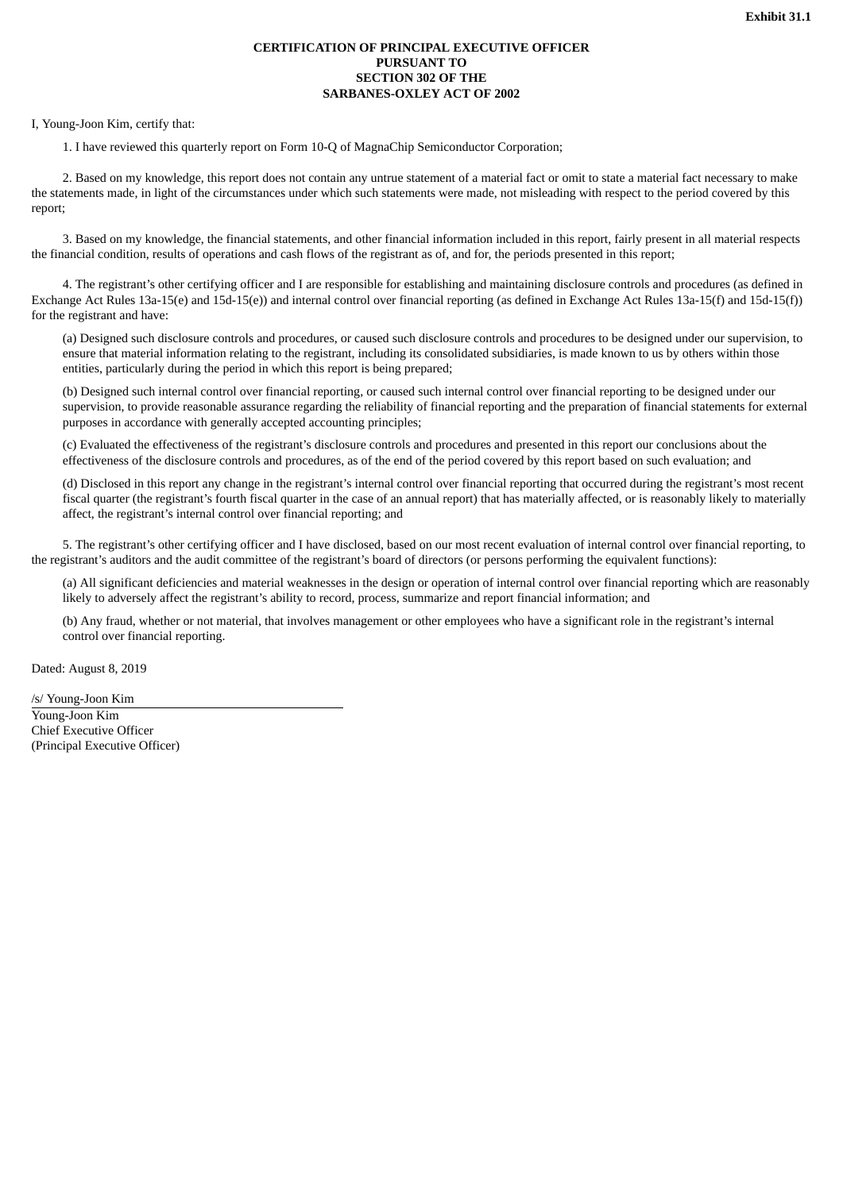#### **CERTIFICATION OF PRINCIPAL EXECUTIVE OFFICER PURSUANT TO SECTION 302 OF THE SARBANES-OXLEY ACT OF 2002**

<span id="page-57-0"></span>I, Young-Joon Kim, certify that:

1. I have reviewed this quarterly report on Form 10-Q of MagnaChip Semiconductor Corporation;

2. Based on my knowledge, this report does not contain any untrue statement of a material fact or omit to state a material fact necessary to make the statements made, in light of the circumstances under which such statements were made, not misleading with respect to the period covered by this report;

3. Based on my knowledge, the financial statements, and other financial information included in this report, fairly present in all material respects the financial condition, results of operations and cash flows of the registrant as of, and for, the periods presented in this report;

4. The registrant's other certifying officer and I are responsible for establishing and maintaining disclosure controls and procedures (as defined in Exchange Act Rules 13a-15(e) and 15d-15(e)) and internal control over financial reporting (as defined in Exchange Act Rules 13a-15(f) and 15d-15(f)) for the registrant and have:

(a) Designed such disclosure controls and procedures, or caused such disclosure controls and procedures to be designed under our supervision, to ensure that material information relating to the registrant, including its consolidated subsidiaries, is made known to us by others within those entities, particularly during the period in which this report is being prepared;

(b) Designed such internal control over financial reporting, or caused such internal control over financial reporting to be designed under our supervision, to provide reasonable assurance regarding the reliability of financial reporting and the preparation of financial statements for external purposes in accordance with generally accepted accounting principles;

(c) Evaluated the effectiveness of the registrant's disclosure controls and procedures and presented in this report our conclusions about the effectiveness of the disclosure controls and procedures, as of the end of the period covered by this report based on such evaluation; and

(d) Disclosed in this report any change in the registrant's internal control over financial reporting that occurred during the registrant's most recent fiscal quarter (the registrant's fourth fiscal quarter in the case of an annual report) that has materially affected, or is reasonably likely to materially affect, the registrant's internal control over financial reporting; and

5. The registrant's other certifying officer and I have disclosed, based on our most recent evaluation of internal control over financial reporting, to the registrant's auditors and the audit committee of the registrant's board of directors (or persons performing the equivalent functions):

(a) All significant deficiencies and material weaknesses in the design or operation of internal control over financial reporting which are reasonably likely to adversely affect the registrant's ability to record, process, summarize and report financial information; and

(b) Any fraud, whether or not material, that involves management or other employees who have a significant role in the registrant's internal control over financial reporting.

Dated: August 8, 2019

/s/ Young-Joon Kim

Young-Joon Kim Chief Executive Officer (Principal Executive Officer)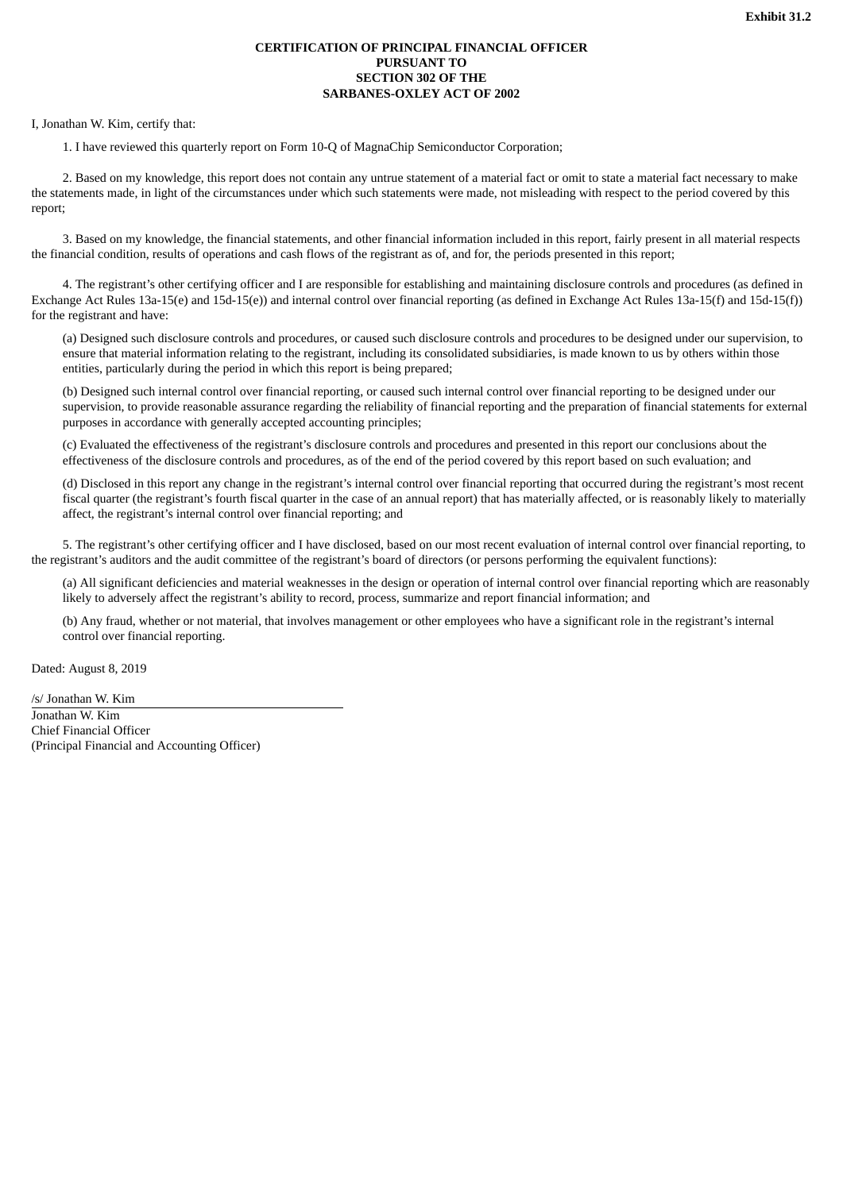#### **CERTIFICATION OF PRINCIPAL FINANCIAL OFFICER PURSUANT TO SECTION 302 OF THE SARBANES-OXLEY ACT OF 2002**

<span id="page-58-0"></span>I, Jonathan W. Kim, certify that:

1. I have reviewed this quarterly report on Form 10-Q of MagnaChip Semiconductor Corporation;

2. Based on my knowledge, this report does not contain any untrue statement of a material fact or omit to state a material fact necessary to make the statements made, in light of the circumstances under which such statements were made, not misleading with respect to the period covered by this report;

3. Based on my knowledge, the financial statements, and other financial information included in this report, fairly present in all material respects the financial condition, results of operations and cash flows of the registrant as of, and for, the periods presented in this report;

4. The registrant's other certifying officer and I are responsible for establishing and maintaining disclosure controls and procedures (as defined in Exchange Act Rules 13a-15(e) and 15d-15(e)) and internal control over financial reporting (as defined in Exchange Act Rules 13a-15(f) and 15d-15(f)) for the registrant and have:

(a) Designed such disclosure controls and procedures, or caused such disclosure controls and procedures to be designed under our supervision, to ensure that material information relating to the registrant, including its consolidated subsidiaries, is made known to us by others within those entities, particularly during the period in which this report is being prepared;

(b) Designed such internal control over financial reporting, or caused such internal control over financial reporting to be designed under our supervision, to provide reasonable assurance regarding the reliability of financial reporting and the preparation of financial statements for external purposes in accordance with generally accepted accounting principles;

(c) Evaluated the effectiveness of the registrant's disclosure controls and procedures and presented in this report our conclusions about the effectiveness of the disclosure controls and procedures, as of the end of the period covered by this report based on such evaluation; and

(d) Disclosed in this report any change in the registrant's internal control over financial reporting that occurred during the registrant's most recent fiscal quarter (the registrant's fourth fiscal quarter in the case of an annual report) that has materially affected, or is reasonably likely to materially affect, the registrant's internal control over financial reporting; and

5. The registrant's other certifying officer and I have disclosed, based on our most recent evaluation of internal control over financial reporting, to the registrant's auditors and the audit committee of the registrant's board of directors (or persons performing the equivalent functions):

(a) All significant deficiencies and material weaknesses in the design or operation of internal control over financial reporting which are reasonably likely to adversely affect the registrant's ability to record, process, summarize and report financial information; and

(b) Any fraud, whether or not material, that involves management or other employees who have a significant role in the registrant's internal control over financial reporting.

Dated: August 8, 2019

/s/ Jonathan W. Kim Jonathan W. Kim Chief Financial Officer (Principal Financial and Accounting Officer)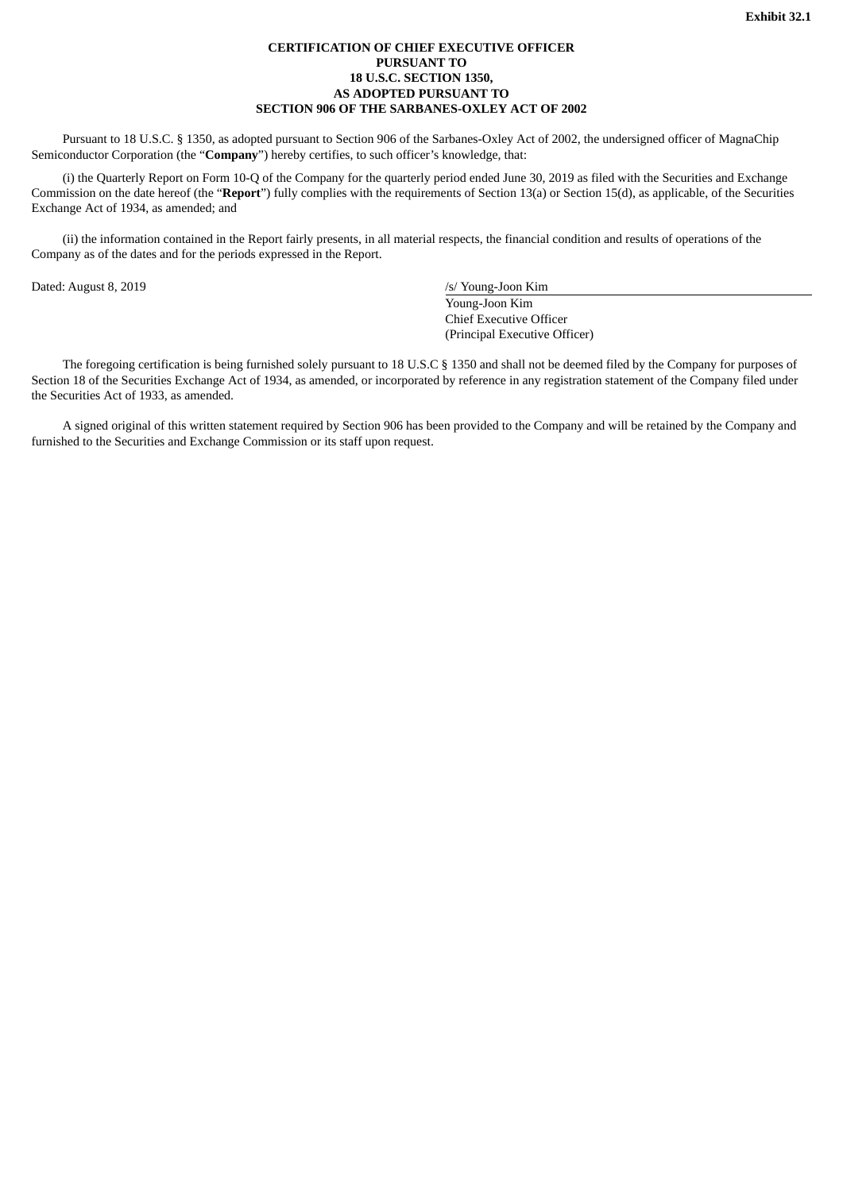#### **CERTIFICATION OF CHIEF EXECUTIVE OFFICER PURSUANT TO 18 U.S.C. SECTION 1350, AS ADOPTED PURSUANT TO SECTION 906 OF THE SARBANES-OXLEY ACT OF 2002**

<span id="page-59-0"></span>Pursuant to 18 U.S.C. § 1350, as adopted pursuant to Section 906 of the Sarbanes-Oxley Act of 2002, the undersigned officer of MagnaChip Semiconductor Corporation (the "**Company**") hereby certifies, to such officer's knowledge, that:

(i) the Quarterly Report on Form 10-Q of the Company for the quarterly period ended June 30, 2019 as filed with the Securities and Exchange Commission on the date hereof (the "**Report**") fully complies with the requirements of Section 13(a) or Section 15(d), as applicable, of the Securities Exchange Act of 1934, as amended; and

(ii) the information contained in the Report fairly presents, in all material respects, the financial condition and results of operations of the Company as of the dates and for the periods expressed in the Report.

Dated: August 8, 2019 */s/ Young-Joon Kim* 

Young-Joon Kim Chief Executive Officer (Principal Executive Officer)

The foregoing certification is being furnished solely pursuant to 18 U.S.C § 1350 and shall not be deemed filed by the Company for purposes of Section 18 of the Securities Exchange Act of 1934, as amended, or incorporated by reference in any registration statement of the Company filed under the Securities Act of 1933, as amended.

A signed original of this written statement required by Section 906 has been provided to the Company and will be retained by the Company and furnished to the Securities and Exchange Commission or its staff upon request.